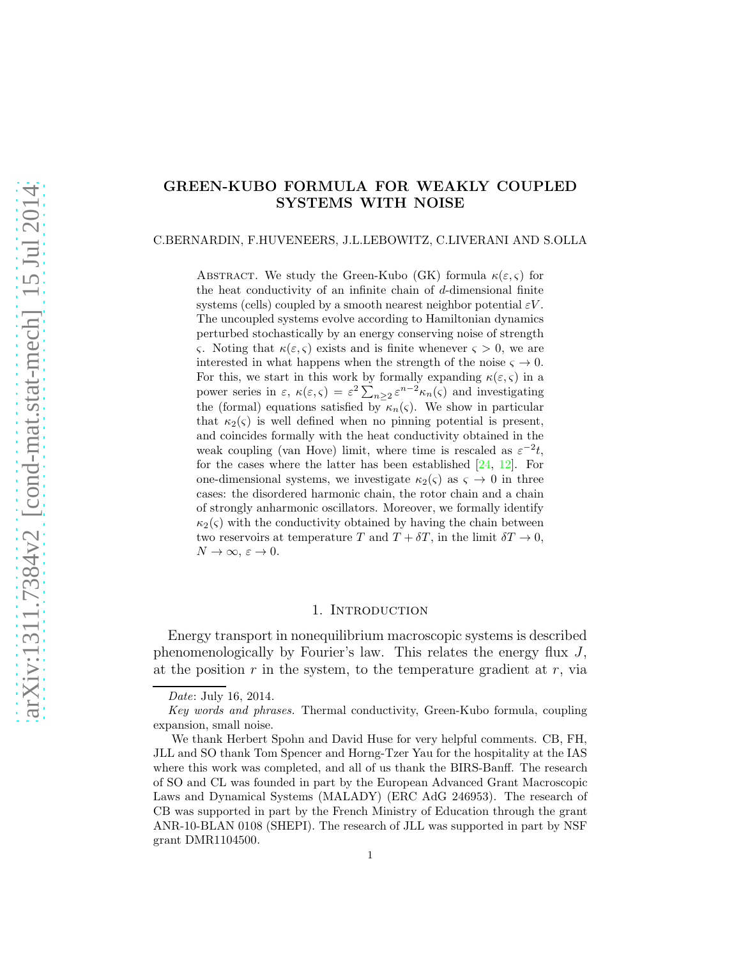# $arXiv:1311.7384v2$  [cond-mat.stat-mech] 15 Jul 2014 [arXiv:1311.7384v2 \[cond-mat.stat-mech\] 15 Jul 2014](http://arxiv.org/abs/1311.7384v2)

# GREEN-KUBO FORMULA FOR WEAKLY COUPLED SYSTEMS WITH NOISE

### C.BERNARDIN, F.HUVENEERS, J.L.LEBOWITZ, C.LIVERANI AND S.OLLA

ABSTRACT. We study the Green-Kubo (GK) formula  $\kappa(\varepsilon,\varsigma)$  for the heat conductivity of an infinite chain of d-dimensional finite systems (cells) coupled by a smooth nearest neighbor potential  $\varepsilon V$ . The uncoupled systems evolve according to Hamiltonian dynamics perturbed stochastically by an energy conserving noise of strength ς. Noting that  $\kappa(\varepsilon, \varsigma)$  exists and is finite whenever  $\varsigma > 0$ , we are interested in what happens when the strength of the noise  $\varsigma \to 0$ . For this, we start in this work by formally expanding  $\kappa(\varepsilon,\varsigma)$  in a power series in  $\varepsilon$ ,  $\kappa(\varepsilon,\varsigma) = \varepsilon^2 \sum_{n\geq 2} \varepsilon^{n-2} \kappa_n(\varsigma)$  and investigating the (formal) equations satisfied by  $\kappa_n(\varsigma)$ . We show in particular that  $\kappa_2(\varsigma)$  is well defined when no pinning potential is present, and coincides formally with the heat conductivity obtained in the weak coupling (van Hove) limit, where time is rescaled as  $\varepsilon^{-2}t$ , for the cases where the latter has been established  $[24, 12]$  $[24, 12]$ . For one-dimensional systems, we investigate  $\kappa_2(\varsigma)$  as  $\varsigma \to 0$  in three cases: the disordered harmonic chain, the rotor chain and a chain of strongly anharmonic oscillators. Moreover, we formally identify  $\kappa_2(\varsigma)$  with the conductivity obtained by having the chain between two reservoirs at temperature T and  $T + \delta T$ , in the limit  $\delta T \to 0$ ,  $N \to \infty$ ,  $\varepsilon \to 0$ .

# 1. INTRODUCTION

Energy transport in nonequilibrium macroscopic systems is described phenomenologically by Fourier's law. This relates the energy flux J, at the position  $r$  in the system, to the temperature gradient at  $r$ , via

Date: July 16, 2014.

Key words and phrases. Thermal conductivity, Green-Kubo formula, coupling expansion, small noise.

We thank Herbert Spohn and David Huse for very helpful comments. CB, FH, JLL and SO thank Tom Spencer and Horng-Tzer Yau for the hospitality at the IAS where this work was completed, and all of us thank the BIRS-Banff. The research of SO and CL was founded in part by the European Advanced Grant Macroscopic Laws and Dynamical Systems (MALADY) (ERC AdG 246953). The research of CB was supported in part by the French Ministry of Education through the grant ANR-10-BLAN 0108 (SHEPI). The research of JLL was supported in part by NSF grant DMR1104500.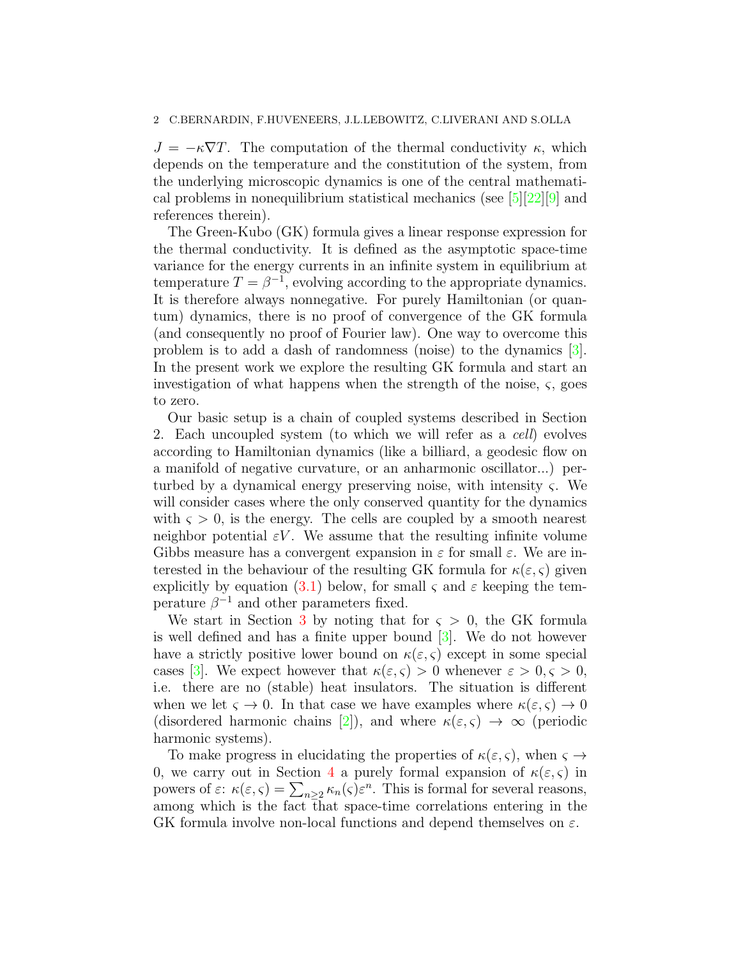$J = -\kappa \nabla T$ . The computation of the thermal conductivity  $\kappa$ , which depends on the temperature and the constitution of the system, from the underlying microscopic dynamics is one of the central mathematical problems in nonequilibrium statistical mechanics (see [\[5\]](#page-40-0)[\[22\]](#page-41-2)[\[9\]](#page-41-3) and references therein).

The Green-Kubo (GK) formula gives a linear response expression for the thermal conductivity. It is defined as the asymptotic space-time variance for the energy currents in an infinite system in equilibrium at temperature  $T = \beta^{-1}$ , evolving according to the appropriate dynamics. It is therefore always nonnegative. For purely Hamiltonian (or quantum) dynamics, there is no proof of convergence of the GK formula (and consequently no proof of Fourier law). One way to overcome this problem is to add a dash of randomness (noise) to the dynamics [\[3\]](#page-40-1). In the present work we explore the resulting GK formula and start an investigation of what happens when the strength of the noise,  $\varsigma$ , goes to zero.

Our basic setup is a chain of coupled systems described in Section 2. Each uncoupled system (to which we will refer as a cell) evolves according to Hamiltonian dynamics (like a billiard, a geodesic flow on a manifold of negative curvature, or an anharmonic oscillator...) perturbed by a dynamical energy preserving noise, with intensity  $\varsigma$ . We will consider cases where the only conserved quantity for the dynamics with  $\varsigma > 0$ , is the energy. The cells are coupled by a smooth nearest neighbor potential  $\varepsilon V$ . We assume that the resulting infinite volume Gibbs measure has a convergent expansion in  $\varepsilon$  for small  $\varepsilon$ . We are interested in the behaviour of the resulting GK formula for  $\kappa(\varepsilon, \varsigma)$  given explicitly by equation [\(3.1\)](#page-7-0) below, for small  $\varsigma$  and  $\varepsilon$  keeping the temperature  $\beta^{-1}$  and other parameters fixed.

We start in Section [3](#page-7-1) by noting that for  $\varsigma > 0$ , the GK formula is well defined and has a finite upper bound [\[3\]](#page-40-1). We do not however have a strictly positive lower bound on  $\kappa(\varepsilon, \varsigma)$  except in some special cases [\[3\]](#page-40-1). We expect however that  $\kappa(\varepsilon,\varsigma) > 0$  whenever  $\varepsilon > 0, \varsigma > 0$ , i.e. there are no (stable) heat insulators. The situation is different when we let  $\varsigma \to 0$ . In that case we have examples where  $\kappa(\varepsilon, \varsigma) \to 0$ (disordered harmonic chains [\[2\]](#page-40-2)), and where  $\kappa(\varepsilon,\varsigma) \to \infty$  (periodic harmonic systems).

To make progress in elucidating the properties of  $\kappa(\varepsilon, \varsigma)$ , when  $\varsigma \to$ 0, we carry out in Section [4](#page-9-0) a purely formal expansion of  $\kappa(\varepsilon, \varsigma)$  in powers of  $\varepsilon$ :  $\kappa(\varepsilon, \varsigma) = \sum_{n \geq 2} \kappa_n(\varsigma) \varepsilon^n$ . This is formal for several reasons, among which is the fact that space-time correlations entering in the GK formula involve non-local functions and depend themselves on  $\varepsilon$ .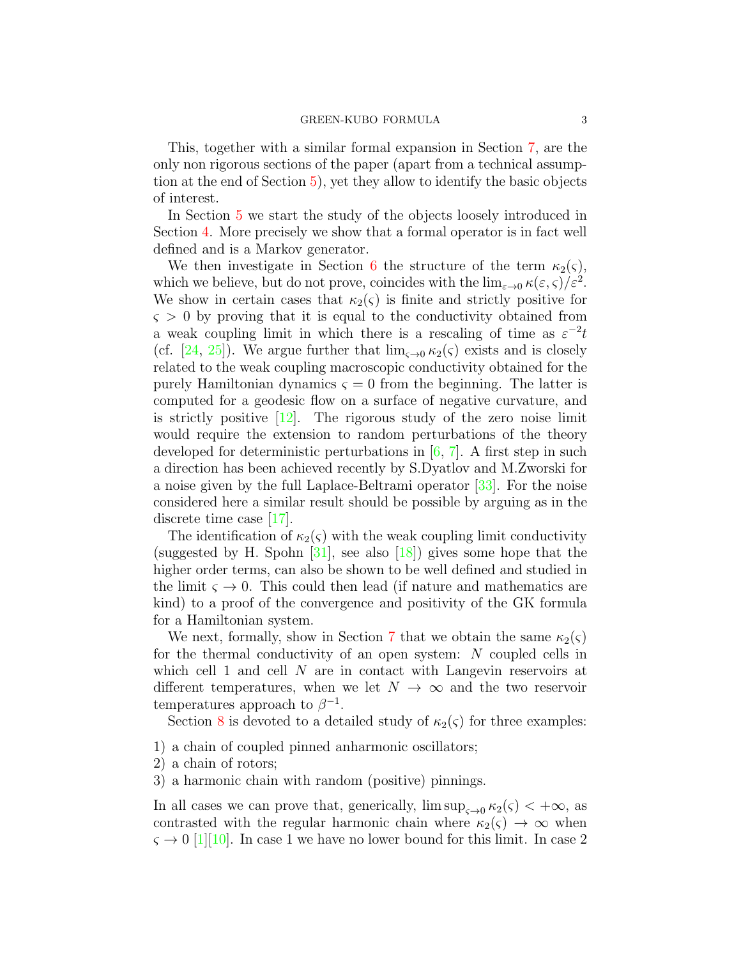This, together with a similar formal expansion in Section [7,](#page-21-0) are the only non rigorous sections of the paper (apart from a technical assumption at the end of Section [5\)](#page-12-0), yet they allow to identify the basic objects of interest.

In Section [5](#page-12-0) we start the study of the objects loosely introduced in Section [4.](#page-9-0) More precisely we show that a formal operator is in fact well defined and is a Markov generator.

We then investigate in Section [6](#page-15-0) the structure of the term  $\kappa_2(\varsigma)$ , which we believe, but do not prove, coincides with the  $\lim_{\varepsilon \to 0} \kappa(\varepsilon, \varsigma)/\varepsilon^2$ . We show in certain cases that  $\kappa_2(\varsigma)$  is finite and strictly positive for  $\varsigma > 0$  by proving that it is equal to the conductivity obtained from a weak coupling limit in which there is a rescaling of time as  $\varepsilon^{-2}t$ (cf. [\[24,](#page-41-0) [25\]](#page-41-4)). We argue further that  $\lim_{\zeta\to 0} \kappa_2(\zeta)$  exists and is closely related to the weak coupling macroscopic conductivity obtained for the purely Hamiltonian dynamics  $\varsigma = 0$  from the beginning. The latter is computed for a geodesic flow on a surface of negative curvature, and is strictly positive  $[12]$ . The rigorous study of the zero noise limit would require the extension to random perturbations of the theory developed for deterministic perturbations in  $[6, 7]$  $[6, 7]$ . A first step in such a direction has been achieved recently by S.Dyatlov and M.Zworski for a noise given by the full Laplace-Beltrami operator [\[33\]](#page-42-0). For the noise considered here a similar result should be possible by arguing as in the discrete time case [\[17\]](#page-41-5).

The identification of  $\kappa_2(\varsigma)$  with the weak coupling limit conductivity (suggested by H. Spohn  $[31]$ , see also  $[18]$ ) gives some hope that the higher order terms, can also be shown to be well defined and studied in the limit  $\varsigma \to 0$ . This could then lead (if nature and mathematics are kind) to a proof of the convergence and positivity of the GK formula for a Hamiltonian system.

We next, formally, show in Section [7](#page-21-0) that we obtain the same  $\kappa_2(\varsigma)$ for the thermal conductivity of an open system: N coupled cells in which cell 1 and cell  $N$  are in contact with Langevin reservoirs at different temperatures, when we let  $N \to \infty$  and the two reservoir temperatures approach to  $\beta^{-1}$ .

Section [8](#page-26-0) is devoted to a detailed study of  $\kappa_2(\varsigma)$  for three examples:

- 1) a chain of coupled pinned anharmonic oscillators;
- 2) a chain of rotors;
- 3) a harmonic chain with random (positive) pinnings.

In all cases we can prove that, generically,  $\limsup_{s\to 0} \kappa_2(s) < +\infty$ , as contrasted with the regular harmonic chain where  $\kappa_2(\varsigma) \to \infty$  when  $\varsigma \rightarrow 0$  [\[1\]](#page-40-5)[\[10\]](#page-41-8). In case 1 we have no lower bound for this limit. In case 2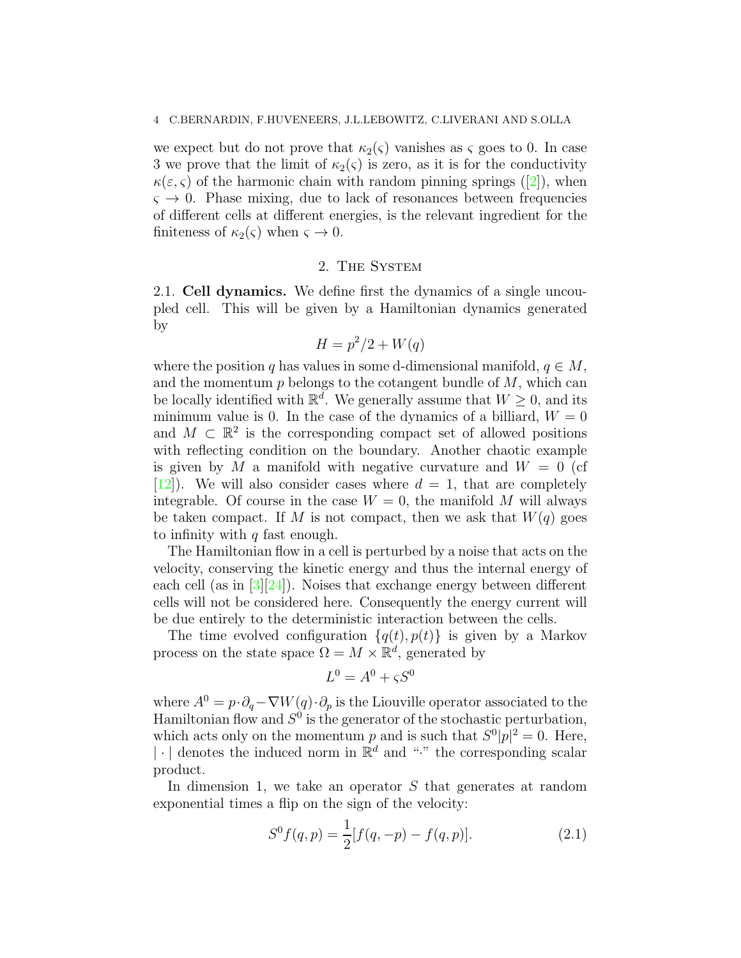we expect but do not prove that  $\kappa_2(\varsigma)$  vanishes as  $\varsigma$  goes to 0. In case 3 we prove that the limit of  $\kappa_2(\varsigma)$  is zero, as it is for the conductivity  $\kappa(\varepsilon, \varsigma)$  $\kappa(\varepsilon, \varsigma)$  $\kappa(\varepsilon, \varsigma)$  of the harmonic chain with random pinning springs ([\[2\]](#page-40-2)), when  $\varsigma \rightarrow 0$ . Phase mixing, due to lack of resonances between frequencies of different cells at different energies, is the relevant ingredient for the finiteness of  $\kappa_2(\varsigma)$  when  $\varsigma \to 0$ .

# 2. The System

2.1. Cell dynamics. We define first the dynamics of a single uncoupled cell. This will be given by a Hamiltonian dynamics generated by

$$
H = p^2/2 + W(q)
$$

where the position q has values in some d-dimensional manifold,  $q \in M$ , and the momentum  $p$  belongs to the cotangent bundle of  $M$ , which can be locally identified with  $\mathbb{R}^d$ . We generally assume that  $W \geq 0$ , and its minimum value is 0. In the case of the dynamics of a billiard,  $W = 0$ and  $M \subset \mathbb{R}^2$  is the corresponding compact set of allowed positions with reflecting condition on the boundary. Another chaotic example is given by M a manifold with negative curvature and  $W = 0$  (cf  $[12]$ . We will also consider cases where  $d = 1$ , that are completely integrable. Of course in the case  $W = 0$ , the manifold M will always be taken compact. If M is not compact, then we ask that  $W(q)$  goes to infinity with  $q$  fast enough.

The Hamiltonian flow in a cell is perturbed by a noise that acts on the velocity, conserving the kinetic energy and thus the internal energy of each cell (as in [\[3\]](#page-40-1)[\[24\]](#page-41-0)). Noises that exchange energy between different cells will not be considered here. Consequently the energy current will be due entirely to the deterministic interaction between the cells.

The time evolved configuration  $\{q(t), p(t)\}\$ is given by a Markov process on the state space  $\Omega = M \times \mathbb{R}^d$ , generated by

$$
L^0 = A^0 + \varsigma S^0
$$

where  $A^0 = p \cdot \partial_q - \nabla W(q) \cdot \partial_p$  is the Liouville operator associated to the Hamiltonian flow and  $S^0$  is the generator of the stochastic perturbation, which acts only on the momentum p and is such that  $S^0|p|^2 = 0$ . Here,  $|\cdot|$  denotes the induced norm in  $\mathbb{R}^d$  and "." the corresponding scalar product.

In dimension 1, we take an operator S that generates at random exponential times a flip on the sign of the velocity:

$$
S^{0} f(q, p) = \frac{1}{2} [f(q, -p) - f(q, p)].
$$
\n(2.1)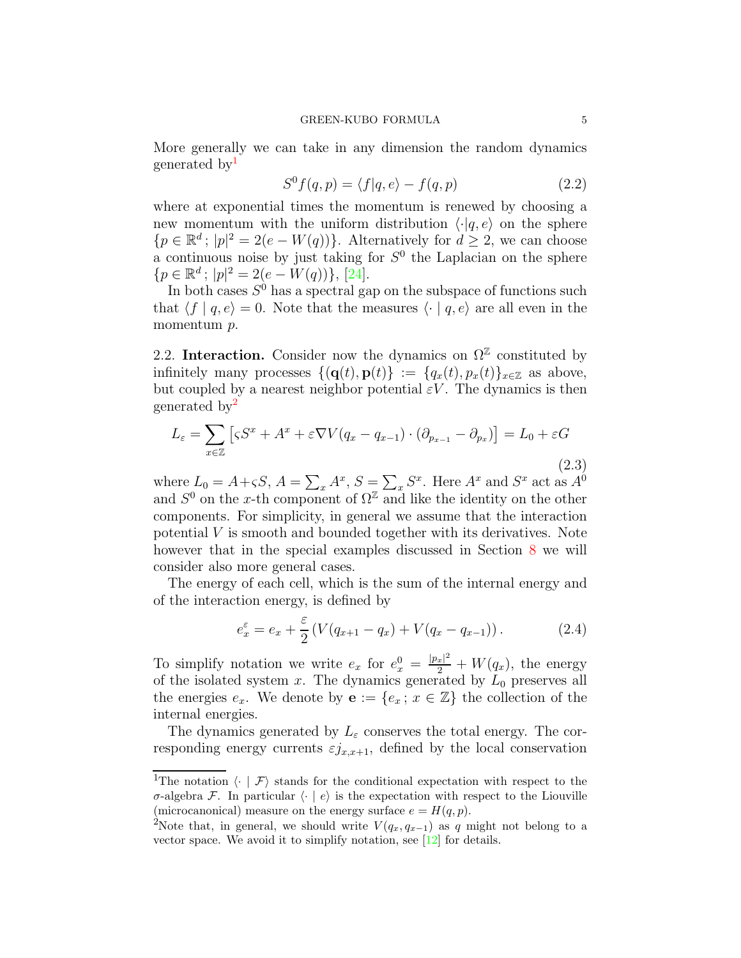More generally we can take in any dimension the random dynamics generated by<sup>1</sup>

$$
S^{0} f(q, p) = \langle f|q, e \rangle - f(q, p) \tag{2.2}
$$

where at exponential times the momentum is renewed by choosing a new momentum with the uniform distribution  $\langle \cdot | q, e \rangle$  on the sphere  ${p \in \mathbb{R}^d$ ;  $|p|^2 = 2(e - W(q))}$ . Alternatively for  $d \geq 2$ , we can choose a continuous noise by just taking for  $S^0$  the Laplacian on the sphere  ${p \in \mathbb{R}^d$ ;  $|p|^2 = 2(e - W(q))}$ , [\[24\]](#page-41-0).

In both cases  $S^0$  has a spectral gap on the subspace of functions such that  $\langle f | q, e \rangle = 0$ . Note that the measures  $\langle \cdot | q, e \rangle$  are all even in the momentum  $p$ .

2.2. Interaction. Consider now the dynamics on  $\Omega^{\mathbb{Z}}$  constituted by infinitely many processes  $\{(\mathbf{q}(t), \mathbf{p}(t))\} := \{q_x(t), p_x(t)\}_{x \in \mathbb{Z}}$  as above, but coupled by a nearest neighbor potential  $\varepsilon V$ . The dynamics is then generated by<sup>2</sup>

<span id="page-4-0"></span>
$$
L_{\varepsilon} = \sum_{x \in \mathbb{Z}} \left[ \varsigma S^x + A^x + \varepsilon \nabla V(q_x - q_{x-1}) \cdot (\partial_{p_{x-1}} - \partial_{p_x}) \right] = L_0 + \varepsilon G \tag{2.3}
$$

where  $L_0 = A + \varsigma S$ ,  $A = \sum_x A^x$ ,  $S = \sum_x S^x$ . Here  $A^x$  and  $S^x$  act as  $A^0$ and  $S^0$  on the x-th component of  $\Omega^{\mathbb{Z}}$  and like the identity on the other components. For simplicity, in general we assume that the interaction potential V is smooth and bounded together with its derivatives. Note however that in the special examples discussed in Section [8](#page-26-0) we will consider also more general cases.

The energy of each cell, which is the sum of the internal energy and of the interaction energy, is defined by

$$
e_x^{\varepsilon} = e_x + \frac{\varepsilon}{2} \left( V(q_{x+1} - q_x) + V(q_x - q_{x-1}) \right). \tag{2.4}
$$

To simplify notation we write  $e_x$  for  $e_x^0 = \frac{|p_x|^2}{2} + W(q_x)$ , the energy of the isolated system x. The dynamics generated by  $L_0$  preserves all the energies  $e_x$ . We denote by  $\mathbf{e} := \{e_x : x \in \mathbb{Z}\}\)$  the collection of the internal energies.

The dynamics generated by  $L_{\varepsilon}$  conserves the total energy. The corresponding energy currents  $\varepsilon j_{x,x+1}$ , defined by the local conservation

<sup>&</sup>lt;sup>1</sup>The notation  $\langle \cdot | \mathcal{F} \rangle$  stands for the conditional expectation with respect to the σ-algebra F. In particular  $\langle \cdot | e \rangle$  is the expectation with respect to the Liouville (microcanonical) measure on the energy surface  $e = H(q, p)$ .

<sup>&</sup>lt;sup>2</sup>Note that, in general, we should write  $V(q_x, q_{x-1})$  as q might not belong to a vector space. We avoid it to simplify notation, see  $[12]$  for details.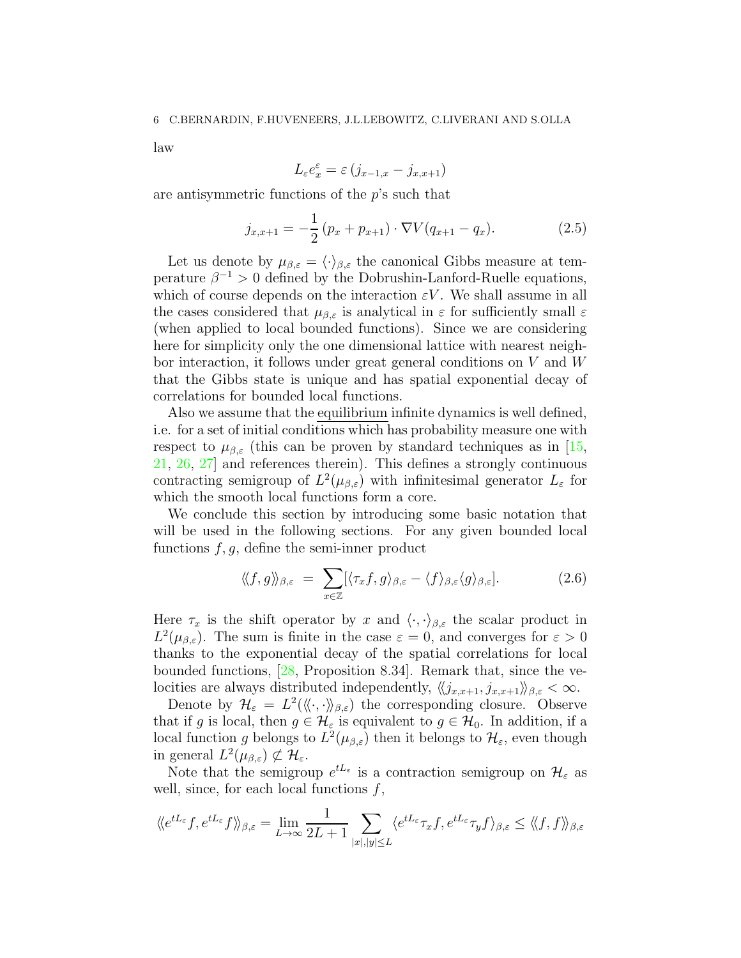law

$$
L_{\varepsilon}e_x^{\varepsilon} = \varepsilon (j_{x-1,x} - j_{x,x+1})
$$

are antisymmetric functions of the p's such that

<span id="page-5-1"></span>
$$
j_{x,x+1} = -\frac{1}{2} (p_x + p_{x+1}) \cdot \nabla V (q_{x+1} - q_x).
$$
 (2.5)

Let us denote by  $\mu_{\beta,\varepsilon} = \langle \cdot \rangle_{\beta,\varepsilon}$  the canonical Gibbs measure at temperature  $\beta^{-1} > 0$  defined by the Dobrushin-Lanford-Ruelle equations, which of course depends on the interaction  $\varepsilon V$ . We shall assume in all the cases considered that  $\mu_{\beta,\varepsilon}$  is analytical in  $\varepsilon$  for sufficiently small  $\varepsilon$ (when applied to local bounded functions). Since we are considering here for simplicity only the one dimensional lattice with nearest neighbor interaction, it follows under great general conditions on V and W that the Gibbs state is unique and has spatial exponential decay of correlations for bounded local functions.

Also we assume that the equilibrium infinite dynamics is well defined, i.e. for a set of initial conditions which has probability measure one with respect to  $\mu_{\beta,\varepsilon}$  (this can be proven by standard techniques as in [\[15,](#page-41-9) [21,](#page-41-10) [26,](#page-41-11) [27\]](#page-41-12) and references therein). This defines a strongly continuous contracting semigroup of  $L^2(\mu_{\beta,\varepsilon})$  with infinitesimal generator  $L_{\varepsilon}$  for which the smooth local functions form a core.

We conclude this section by introducing some basic notation that will be used in the following sections. For any given bounded local functions  $f, g$ , define the semi-inner product

<span id="page-5-0"></span>
$$
\langle\!\langle f, g \rangle\!\rangle_{\beta, \varepsilon} = \sum_{x \in \mathbb{Z}} [\langle \tau_x f, g \rangle_{\beta, \varepsilon} - \langle f \rangle_{\beta, \varepsilon} \langle g \rangle_{\beta, \varepsilon}]. \tag{2.6}
$$

Here  $\tau_x$  is the shift operator by x and  $\langle \cdot, \cdot \rangle_{\beta,\varepsilon}$  the scalar product in  $L^2(\mu_{\beta,\varepsilon})$ . The sum is finite in the case  $\varepsilon = 0$ , and converges for  $\varepsilon > 0$ thanks to the exponential decay of the spatial correlations for local bounded functions, [\[28,](#page-41-13) Proposition 8.34]. Remark that, since the velocities are always distributed independently,  $\langle \langle j_{x,x+1}, j_{x,x+1} \rangle \rangle_{\beta,\varepsilon} < \infty$ .

Denote by  $\mathcal{H}_{\varepsilon} = L^2(\langle\!\langle \cdot, \cdot \rangle\!\rangle_{\beta,\varepsilon})$  the corresponding closure. Observe that if g is local, then  $g \in \mathcal{H}_{\varepsilon}$  is equivalent to  $g \in \mathcal{H}_0$ . In addition, if a local function g belongs to  $L^2(\mu_{\beta,\varepsilon})$  then it belongs to  $\mathcal{H}_{\varepsilon}$ , even though in general  $L^2(\mu_{\beta,\varepsilon}) \not\subset \mathcal{H}_{\varepsilon}$ .

Note that the semigroup  $e^{tL_{\varepsilon}}$  is a contraction semigroup on  $\mathcal{H}_{\varepsilon}$  as well, since, for each local functions  $f$ ,

$$
\langle e^{tL_{\varepsilon}}f, e^{tL_{\varepsilon}}f \rangle \rangle_{\beta,\varepsilon} = \lim_{L \to \infty} \frac{1}{2L+1} \sum_{|x|,|y| \le L} \langle e^{tL_{\varepsilon}} \tau_x f, e^{tL_{\varepsilon}} \tau_y f \rangle_{\beta,\varepsilon} \le \langle \langle f, f \rangle \rangle_{\beta,\varepsilon}
$$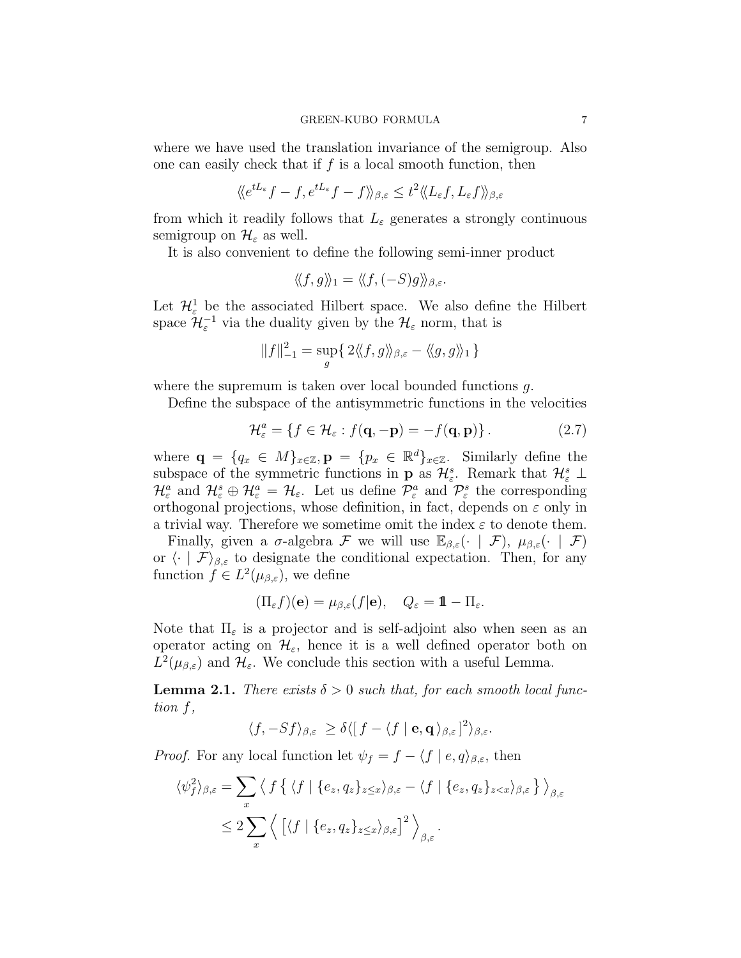where we have used the translation invariance of the semigroup. Also one can easily check that if  $f$  is a local smooth function, then

$$
\langle e^{tL_{\varepsilon}}f - f, e^{tL_{\varepsilon}}f - f \rangle \rangle_{\beta,\varepsilon} \leq t^2 \langle \langle L_{\varepsilon}f, L_{\varepsilon}f \rangle \rangle_{\beta,\varepsilon}
$$

from which it readily follows that  $L_{\varepsilon}$  generates a strongly continuous semigroup on  $\mathcal{H}_{\varepsilon}$  as well.

It is also convenient to define the following semi-inner product

$$
\langle\!\langle f,g\rangle\!\rangle_1 = \langle\!\langle f, (-S)g\rangle\!\rangle_{\beta,\varepsilon}.
$$

Let  $\mathcal{H}^1_{\varepsilon}$  be the associated Hilbert space. We also define the Hilbert space  $\mathcal{H}_{\varepsilon}^{-1}$  via the duality given by the  $\mathcal{H}_{\varepsilon}$  norm, that is

$$
||f||_{-1}^{2} = \sup_{g} \{ 2\langle\langle f, g \rangle\rangle_{\beta,\varepsilon} - \langle\langle g, g \rangle\rangle_{1} \}
$$

where the supremum is taken over local bounded functions  $q$ .

Define the subspace of the antisymmetric functions in the velocities

$$
\mathcal{H}_{\varepsilon}^{a} = \{ f \in \mathcal{H}_{\varepsilon} : f(\mathbf{q}, -\mathbf{p}) = -f(\mathbf{q}, \mathbf{p}) \}.
$$
 (2.7)

where  $\mathbf{q} = \{q_x \in M\}_{x \in \mathbb{Z}}, \mathbf{p} = \{p_x \in \mathbb{R}^d\}_{x \in \mathbb{Z}}$ . Similarly define the subspace of the symmetric functions in **p** as  $\mathcal{H}_{\varepsilon}^s$ . Remark that  $\mathcal{H}_{\varepsilon}^s \perp$  $\mathcal{H}_{\varepsilon}^a$  and  $\mathcal{H}_{\varepsilon}^s \oplus \mathcal{H}_{\varepsilon}^a = \mathcal{H}_{\varepsilon}$ . Let us define  $\mathcal{P}_{\varepsilon}^a$  and  $\mathcal{P}_{\varepsilon}^s$  the corresponding orthogonal projections, whose definition, in fact, depends on  $\varepsilon$  only in a trivial way. Therefore we sometime omit the index  $\varepsilon$  to denote them.

Finally, given a  $\sigma$ -algebra F we will use  $\mathbb{E}_{\beta,\varepsilon}(\cdot \mid \mathcal{F})$ ,  $\mu_{\beta,\varepsilon}(\cdot \mid \mathcal{F})$ or  $\langle \cdot | \mathcal{F} \rangle_{\beta,\varepsilon}$  to designate the conditional expectation. Then, for any function  $f \in L^2(\mu_{\beta,\varepsilon})$ , we define

$$
(\Pi_{\varepsilon}f)(\mathbf{e})=\mu_{\beta,\varepsilon}(f|\mathbf{e}),\quad Q_{\varepsilon}=\mathbb{1}-\Pi_{\varepsilon}.
$$

Note that  $\Pi_{\varepsilon}$  is a projector and is self-adjoint also when seen as an operator acting on  $\mathcal{H}_{\varepsilon}$ , hence it is a well defined operator both on  $L^2(\mu_{\beta,\varepsilon})$  and  $\mathcal{H}_{\varepsilon}$ . We conclude this section with a useful Lemma.

<span id="page-6-0"></span>**Lemma 2.1.** There exists  $\delta > 0$  such that, for each smooth local function f,

$$
\langle f, -Sf \rangle_{\beta, \varepsilon} \ge \delta \langle [f - \langle f | \mathbf{e}, \mathbf{q} \rangle_{\beta, \varepsilon}]^2 \rangle_{\beta, \varepsilon}.
$$

*Proof.* For any local function let  $\psi_f = f - \langle f | e, q \rangle_{\beta,\varepsilon}$ , then

$$
\langle \psi_f^2 \rangle_{\beta, \varepsilon} = \sum_x \left\langle f \left\{ \left\langle f \mid \{e_z, q_z\}_{z \le x} \right\rangle_{\beta, \varepsilon} - \left\langle f \mid \{e_z, q_z\}_{z < x} \right\rangle_{\beta, \varepsilon} \right\} \right\rangle_{\beta, \varepsilon}
$$
\n
$$
\le 2 \sum_x \left\langle \left[ \left\langle f \mid \{e_z, q_z\}_{z \le x} \right\rangle_{\beta, \varepsilon} \right]^2 \right\rangle_{\beta, \varepsilon}.
$$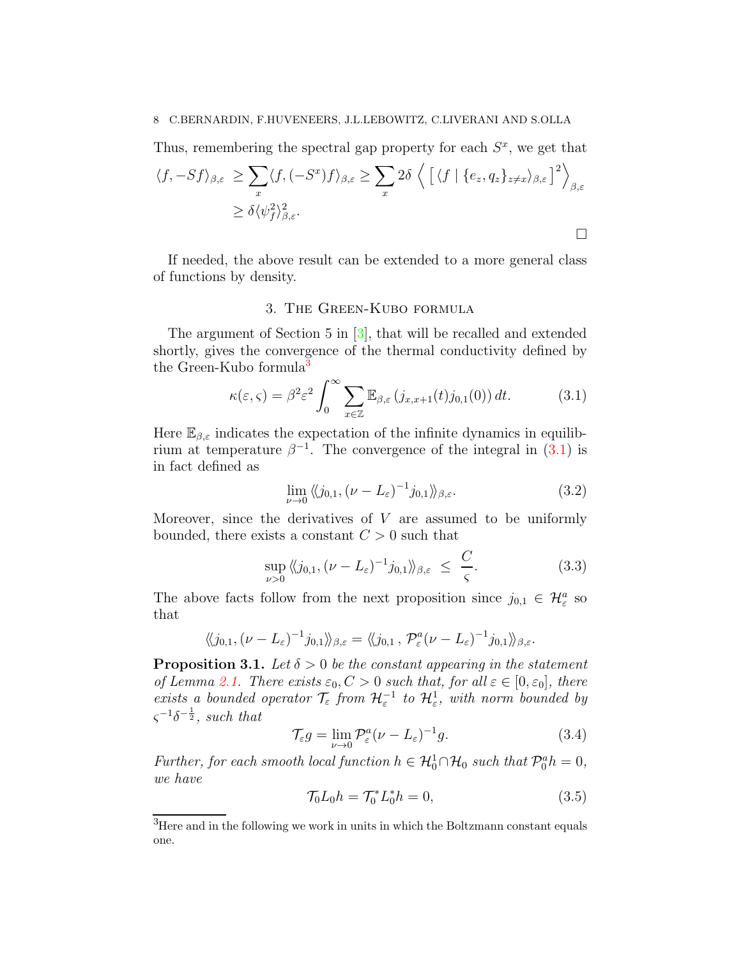# 8 C.BERNARDIN, F.HUVENEERS, J.L.LEBOWITZ, C.LIVERANI AND S.OLLA

Thus, remembering the spectral gap property for each  $S<sup>x</sup>$ , we get that

$$
\langle f, -Sf \rangle_{\beta, \varepsilon} \ge \sum_{x} \langle f, (-S^x)f \rangle_{\beta, \varepsilon} \ge \sum_{x} 2\delta \left\langle \left[ \langle f | \{e_z, q_z\}_{z \neq x} \rangle_{\beta, \varepsilon} \right]^2 \right\rangle_{\beta, \varepsilon}
$$
  
 
$$
\ge \delta \langle \psi_f^2 \rangle_{\beta, \varepsilon}^2.
$$

<span id="page-7-1"></span>If needed, the above result can be extended to a more general class of functions by density.

# 3. The Green-Kubo formula

The argument of Section 5 in [\[3\]](#page-40-1), that will be recalled and extended shortly, gives the convergence of the thermal conductivity defined by the Green-Kubo formula<sup>3</sup>

<span id="page-7-0"></span>
$$
\kappa(\varepsilon,\varsigma) = \beta^2 \varepsilon^2 \int_0^\infty \sum_{x \in \mathbb{Z}} \mathbb{E}_{\beta,\varepsilon} (j_{x,x+1}(t) j_{0,1}(0)) dt.
$$
 (3.1)

Here  $\mathbb{E}_{\beta,\varepsilon}$  indicates the expectation of the infinite dynamics in equilibrium at temperature  $\beta^{-1}$ . The convergence of the integral in [\(3.1\)](#page-7-0) is in fact defined as

<span id="page-7-4"></span>
$$
\lim_{\nu \to 0} \langle \langle j_{0,1}, (\nu - L_{\varepsilon})^{-1} j_{0,1} \rangle \rangle_{\beta, \varepsilon}.
$$
\n(3.2)

Moreover, since the derivatives of  $V$  are assumed to be uniformly bounded, there exists a constant  $C > 0$  such that

<span id="page-7-3"></span>
$$
\sup_{\nu>0} \langle \langle j_{0,1}, (\nu - L_{\varepsilon})^{-1} j_{0,1} \rangle \rangle_{\beta, \varepsilon} \le \frac{C}{\varsigma}.
$$
\n(3.3)

The above facts follow from the next proposition since  $j_{0,1} \in \mathcal{H}_{\varepsilon}^a$  so that

$$
\langle\!\langle j_{0,1},(\nu-L_{\varepsilon})^{-1}j_{0,1}\rangle\!\rangle_{\beta,\varepsilon}=\langle\!\langle j_{0,1},\mathcal{P}_{\varepsilon}^a(\nu-L_{\varepsilon})^{-1}j_{0,1}\rangle\!\rangle_{\beta,\varepsilon}.
$$

<span id="page-7-5"></span>**Proposition 3.1.** Let  $\delta > 0$  be the constant appearing in the statement of Lemma [2.1.](#page-6-0) There exists  $\varepsilon_0$ ,  $C > 0$  such that, for all  $\varepsilon \in [0, \varepsilon_0]$ , there exists a bounded operator  $\mathcal{T}_{\varepsilon}$  from  $\mathcal{H}_{\varepsilon}^{-1}$  to  $\mathcal{H}_{\varepsilon}^{1}$ , with norm bounded by  $\varsigma^{-1}\delta^{-\frac{1}{2}}$ , such that

<span id="page-7-6"></span>
$$
\mathcal{T}_{\varepsilon}g = \lim_{\nu \to 0} \mathcal{P}_{\varepsilon}^{a} (\nu - L_{\varepsilon})^{-1} g.
$$
 (3.4)

Further, for each smooth local function  $h \in \mathcal{H}_0^1 \cap \mathcal{H}_0$  such that  $\mathcal{P}_0^a h = 0$ , we have

<span id="page-7-2"></span>
$$
\mathcal{T}_0 L_0 h = \mathcal{T}_0^* L_0^* h = 0,\tag{3.5}
$$

<sup>&</sup>lt;sup>3</sup>Here and in the following we work in units in which the Boltzmann constant equals one.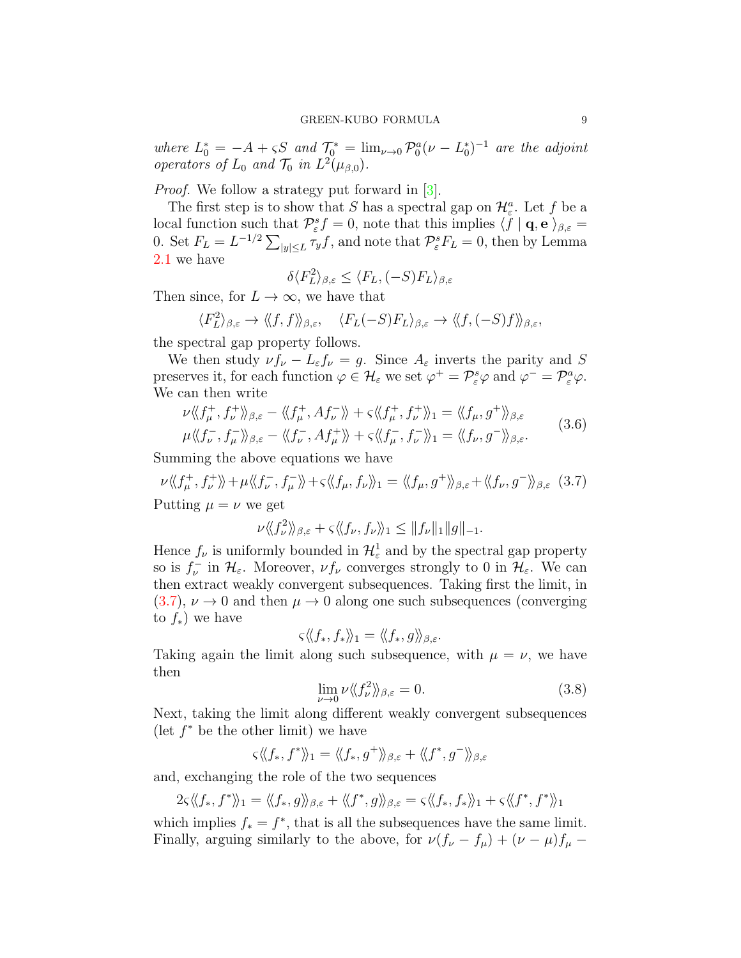where  $L_0^* = -A + \varsigma S$  and  $\mathcal{T}_0^* = \lim_{\nu \to 0} \mathcal{P}_0^a (\nu - L_0^*)^{-1}$  are the adjoint operators of  $L_0$  and  $\mathcal{T}_0$  in  $L^2(\mu_{\beta,0})$ .

*Proof.* We follow a strategy put forward in [\[3\]](#page-40-1).

The first step is to show that S has a spectral gap on  $\mathcal{H}_{\varepsilon}^{a}$ . Let f be a local function such that  $\mathcal{P}_{\varepsilon}^{s}f=0$ , note that this implies  $\langle f | \mathbf{q}, \mathbf{e} \rangle_{\beta, \varepsilon} =$ 0. Set  $F_L = L^{-1/2} \sum_{|y| \le L} \tau_y f$ , and note that  $\mathcal{P}_{\varepsilon}^s F_L = 0$ , then by Lemma [2.1](#page-6-0) we have

$$
\delta \langle F_L^2 \rangle_{\beta,\varepsilon} \le \langle F_L, (-S) F_L \rangle_{\beta,\varepsilon}
$$

Then since, for  $L \to \infty$ , we have that

$$
\langle F_L^2 \rangle_{\beta,\varepsilon} \to \langle \langle f, f \rangle \rangle_{\beta,\varepsilon}, \quad \langle F_L(-S) F_L \rangle_{\beta,\varepsilon} \to \langle \langle f, (-S) f \rangle \rangle_{\beta,\varepsilon},
$$

the spectral gap property follows.

We then study  $\nu f_{\nu} - L_{\varepsilon} f_{\nu} = g$ . Since  $A_{\varepsilon}$  inverts the parity and S preserves it, for each function  $\varphi \in \mathcal{H}_{\varepsilon}$  we set  $\varphi^+ = \mathcal{P}_{\varepsilon}^s \varphi$  and  $\varphi^- = \mathcal{P}_{\varepsilon}^a \varphi$ . We can then write

$$
\nu \langle \langle f_{\mu}^{+}, f_{\nu}^{+} \rangle \rangle_{\beta, \varepsilon} - \langle \langle f_{\mu}^{+}, Af_{\nu}^{-} \rangle \rangle + \varsigma \langle \langle f_{\mu}^{+}, f_{\nu}^{+} \rangle \rangle_{1} = \langle \langle f_{\mu}, g^{+} \rangle \rangle_{\beta, \varepsilon}
$$
  

$$
\mu \langle \langle f_{\nu}^{-}, f_{\mu}^{-} \rangle \rangle_{\beta, \varepsilon} - \langle \langle f_{\nu}^{-}, Af_{\mu}^{+} \rangle \rangle + \varsigma \langle \langle f_{\mu}^{-}, f_{\nu}^{-} \rangle \rangle_{1} = \langle \langle f_{\nu}, g^{-} \rangle \rangle_{\beta, \varepsilon}.
$$
 (3.6)

Summing the above equations we have

<span id="page-8-0"></span>
$$
\nu \langle \langle f_{\mu}^{+}, f_{\nu}^{+} \rangle \rangle + \mu \langle \langle f_{\nu}^{-}, f_{\mu}^{-} \rangle \rangle + \varsigma \langle \langle f_{\mu}, f_{\nu} \rangle \rangle_{1} = \langle \langle f_{\mu}, g^{+} \rangle \rangle_{\beta, \varepsilon} + \langle \langle f_{\nu}, g^{-} \rangle \rangle_{\beta, \varepsilon} \quad (3.7)
$$

Putting  $\mu = \nu$  we get

$$
\nu \langle \langle f_{\nu}^{2} \rangle \rangle_{\beta,\varepsilon} + \varsigma \langle \langle f_{\nu}, f_{\nu} \rangle \rangle_{1} \leq ||f_{\nu}||_{1} ||g||_{-1}.
$$

Hence  $f_{\nu}$  is uniformly bounded in  $\mathcal{H}_{\varepsilon}^1$  and by the spectral gap property so is  $f_{\nu}^-$  in  $\mathcal{H}_{\varepsilon}$ . Moreover,  $\nu f_{\nu}$  converges strongly to 0 in  $\mathcal{H}_{\varepsilon}$ . We can then extract weakly convergent subsequences. Taking first the limit, in  $(3.7), \nu \rightarrow 0$  $(3.7), \nu \rightarrow 0$  and then  $\mu \rightarrow 0$  along one such subsequences (converging to  $f_$ <sup>\*</sup>) we have

$$
\varsigma \langle\!\langle f_*, f_* \rangle\!\rangle_1 = \langle\!\langle f_*, g \rangle\!\rangle_{\beta, \varepsilon}.
$$

Taking again the limit along such subsequence, with  $\mu = \nu$ , we have then

<span id="page-8-1"></span>
$$
\lim_{\nu \to 0} \nu \langle \langle f_{\nu}^{2} \rangle \rangle_{\beta, \varepsilon} = 0. \tag{3.8}
$$

Next, taking the limit along different weakly convergent subsequences (let  $f^*$  be the other limit) we have

$$
\varsigma \langle \langle f_*, f^* \rangle \rangle_1 = \langle \langle f_*, g^+ \rangle \rangle_{\beta, \varepsilon} + \langle \langle f^*, g^- \rangle \rangle_{\beta, \varepsilon}
$$

and, exchanging the role of the two sequences

$$
2\varsigma\langle\langle f_*,f^*\rangle\rangle_1=\langle\langle f_*,g\rangle\rangle_{\beta,\varepsilon}+\langle\langle f^*,g\rangle\rangle_{\beta,\varepsilon}=\varsigma\langle\langle f_*,f_*\rangle\rangle_1+\varsigma\langle\langle f^*,f^*\rangle\rangle_1
$$

which implies  $f_* = f^*$ , that is all the subsequences have the same limit. Finally, arguing similarly to the above, for  $\nu(f_{\nu} - f_{\mu}) + (\nu - \mu)f_{\mu}$  –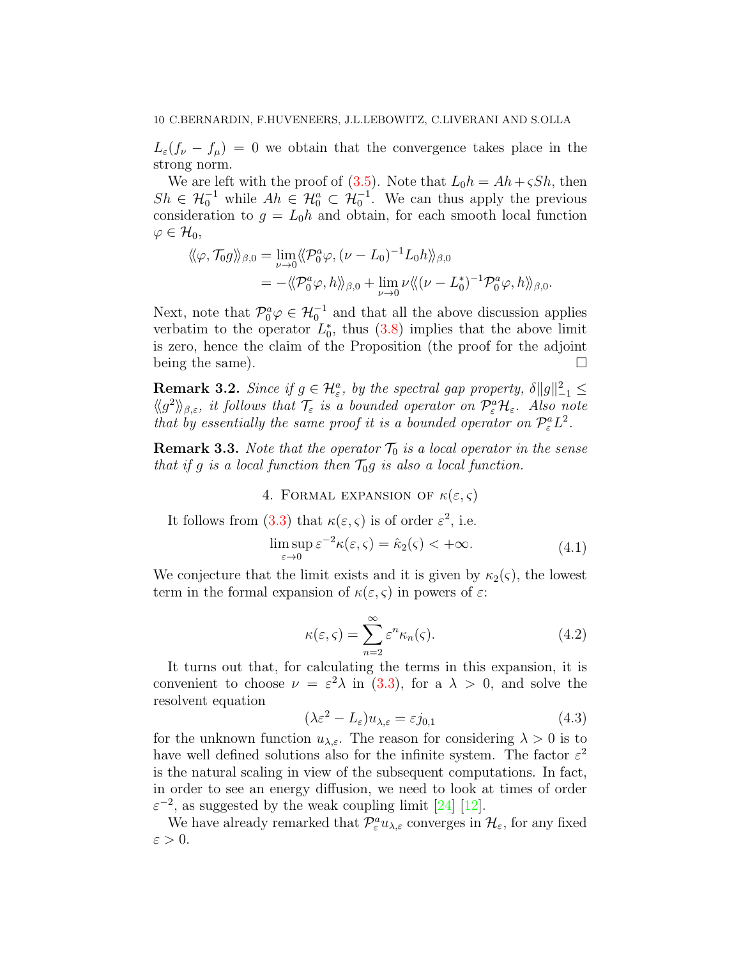$L_{\varepsilon}(f_{\nu} - f_{\mu}) = 0$  we obtain that the convergence takes place in the strong norm.

We are left with the proof of  $(3.5)$ . Note that  $L_0h = Ah + \varsigma Sh$ , then  $Sh \in \mathcal{H}_0^{-1}$  while  $Ah \in \mathcal{H}_0^a \subset \mathcal{H}_0^{-1}$ . We can thus apply the previous consideration to  $g = L_0 h$  and obtain, for each smooth local function  $\varphi\in\mathcal{H}_0,$ 

$$
\langle \langle \varphi, \mathcal{T}_0 g \rangle \rangle_{\beta,0} = \lim_{\nu \to 0} \langle \langle \mathcal{P}_0^a \varphi, (\nu - L_0)^{-1} L_0 h \rangle \rangle_{\beta,0}
$$
  
= -\langle \langle \mathcal{P}\_0^a \varphi, h \rangle \rangle\_{\beta,0} + \lim\_{\nu \to 0} \nu \langle \langle (\nu - L\_0^\*)^{-1} \mathcal{P}\_0^a \varphi, h \rangle \rangle\_{\beta,0}.

Next, note that  $\mathcal{P}_0^a \varphi \in \mathcal{H}_0^{-1}$  and that all the above discussion applies verbatim to the operator  $L_0^*$ , thus [\(3.8\)](#page-8-1) implies that the above limit is zero, hence the claim of the Proposition (the proof for the adjoint being the same).  $\Box$ 

<span id="page-9-4"></span>**Remark 3.2.** Since if  $g \in \mathcal{H}_{\varepsilon}^a$ , by the spectral gap property,  $\delta ||g||_{-1}^2 \leq$  $\langle \langle g^2 \rangle \rangle_{\beta,\varepsilon}$ , it follows that  $\mathcal{T}_{\varepsilon}$  is a bounded operator on  $\mathcal{P}_{\varepsilon}^a \mathcal{H}_{\varepsilon}$ . Also note that by essentially the same proof it is a bounded operator on  $\mathcal{P}_{\varepsilon}^{a}L^{2}$ .

<span id="page-9-0"></span>**Remark 3.3.** Note that the operator  $\mathcal{T}_0$  is a local operator in the sense that if g is a local function then  $\mathcal{T}_0 g$  is also a local function.

4. FORMAL EXPANSION OF  $\kappa(\varepsilon,\varsigma)$ 

It follows from [\(3.3\)](#page-7-3) that  $\kappa(\varepsilon,\varsigma)$  is of order  $\varepsilon^2$ , i.e.

$$
\limsup_{\varepsilon \to 0} \varepsilon^{-2} \kappa(\varepsilon, \varsigma) = \hat{\kappa}_2(\varsigma) < +\infty. \tag{4.1}
$$

<span id="page-9-3"></span>We conjecture that the limit exists and it is given by  $\kappa_2(\varsigma)$ , the lowest term in the formal expansion of  $\kappa(\varepsilon, \varsigma)$  in powers of  $\varepsilon$ :

<span id="page-9-2"></span>
$$
\kappa(\varepsilon, \varsigma) = \sum_{n=2}^{\infty} \varepsilon^n \kappa_n(\varsigma). \tag{4.2}
$$

It turns out that, for calculating the terms in this expansion, it is convenient to choose  $\nu = \varepsilon^2 \lambda$  in [\(3.3\)](#page-7-3), for a  $\lambda > 0$ , and solve the resolvent equation

<span id="page-9-1"></span>
$$
(\lambda \varepsilon^2 - L_{\varepsilon}) u_{\lambda, \varepsilon} = \varepsilon j_{0,1} \tag{4.3}
$$

for the unknown function  $u_{\lambda,\varepsilon}$ . The reason for considering  $\lambda > 0$  is to have well defined solutions also for the infinite system. The factor  $\varepsilon^2$ is the natural scaling in view of the subsequent computations. In fact, in order to see an energy diffusion, we need to look at times of order  $\varepsilon^{-2}$ , as suggested by the weak coupling limit [\[24\]](#page-41-0) [\[12\]](#page-41-1).

We have already remarked that  $\mathcal{P}^a_{\varepsilon}u_{\lambda,\varepsilon}$  converges in  $\mathcal{H}_{\varepsilon}$ , for any fixed  $\varepsilon > 0$ .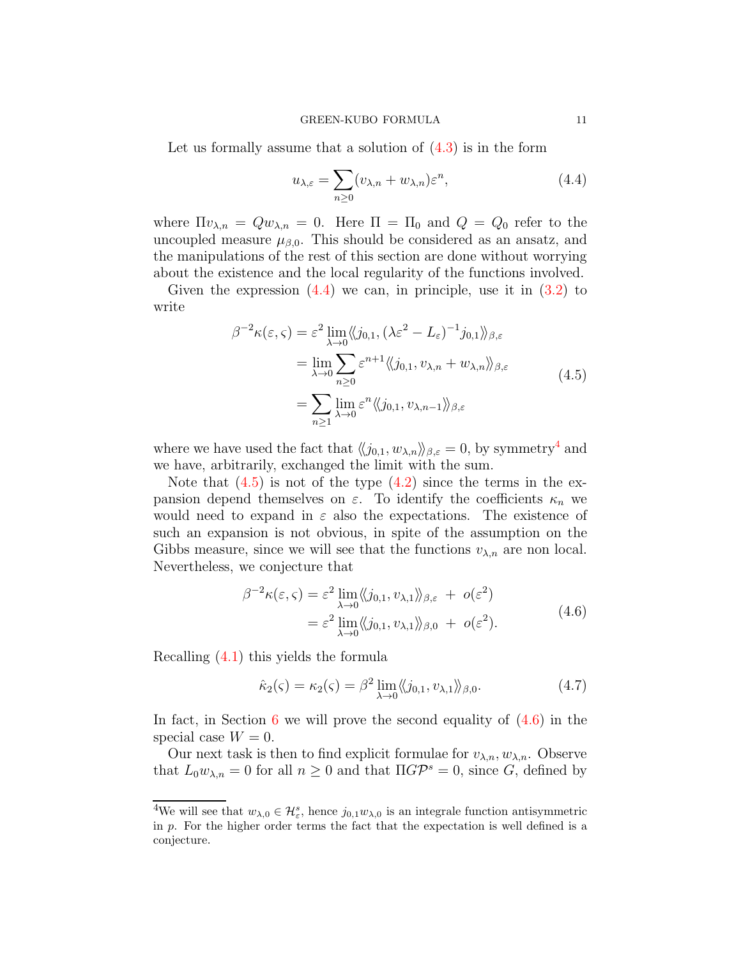Let us formally assume that a solution of  $(4.3)$  is in the form

<span id="page-10-0"></span>
$$
u_{\lambda,\varepsilon} = \sum_{n\geq 0} (v_{\lambda,n} + w_{\lambda,n})\varepsilon^n,\tag{4.4}
$$

where  $\Pi v_{\lambda,n} = Q w_{\lambda,n} = 0$ . Here  $\Pi = \Pi_0$  and  $Q = Q_0$  refer to the uncoupled measure  $\mu_{\beta,0}$ . This should be considered as an ansatz, and the manipulations of the rest of this section are done without worrying about the existence and the local regularity of the functions involved.

Given the expression  $(4.4)$  we can, in principle, use it in  $(3.2)$  to write

$$
\beta^{-2}\kappa(\varepsilon,\varsigma) = \varepsilon^{2} \lim_{\lambda \to 0} \langle\!\langle j_{0,1}, (\lambda \varepsilon^{2} - L_{\varepsilon})^{-1} j_{0,1} \rangle\!\rangle_{\beta,\varepsilon}
$$
  
\n
$$
= \lim_{\lambda \to 0} \sum_{n \ge 0} \varepsilon^{n+1} \langle\!\langle j_{0,1}, v_{\lambda,n} + w_{\lambda,n} \rangle\!\rangle_{\beta,\varepsilon}
$$
  
\n
$$
= \sum_{n \ge 1} \lim_{\lambda \to 0} \varepsilon^{n} \langle\!\langle j_{0,1}, v_{\lambda,n-1} \rangle\!\rangle_{\beta,\varepsilon}
$$
(4.5)

<span id="page-10-1"></span>where we have used the fact that  $\langle\langle j_{0,1}, w_{\lambda,n} \rangle\rangle_{\beta,\varepsilon} = 0$ , by symmetry<sup>4</sup> and we have, arbitrarily, exchanged the limit with the sum.

Note that  $(4.5)$  is not of the type  $(4.2)$  since the terms in the expansion depend themselves on  $\varepsilon$ . To identify the coefficients  $\kappa_n$  we would need to expand in  $\varepsilon$  also the expectations. The existence of such an expansion is not obvious, in spite of the assumption on the Gibbs measure, since we will see that the functions  $v_{\lambda,n}$  are non local. Nevertheless, we conjecture that

$$
\beta^{-2}\kappa(\varepsilon,\varsigma) = \varepsilon^2 \lim_{\lambda \to 0} \langle\langle j_{0,1}, v_{\lambda,1} \rangle\rangle_{\beta,\varepsilon} + o(\varepsilon^2)
$$
  
=  $\varepsilon^2 \lim_{\lambda \to 0} \langle\langle j_{0,1}, v_{\lambda,1} \rangle\rangle_{\beta,0} + o(\varepsilon^2).$  (4.6)

<span id="page-10-2"></span>Recalling [\(4.1\)](#page-9-3) this yields the formula

<span id="page-10-3"></span>
$$
\hat{\kappa}_2(\varsigma) = \kappa_2(\varsigma) = \beta^2 \lim_{\lambda \to 0} \langle \langle j_{0,1}, v_{\lambda,1} \rangle \rangle_{\beta,0}.
$$
\n(4.7)

In fact, in Section [6](#page-15-0) we will prove the second equality of  $(4.6)$  in the special case  $W = 0$ .

Our next task is then to find explicit formulae for  $v_{\lambda,n}$ ,  $w_{\lambda,n}$ . Observe that  $L_0 w_{\lambda,n} = 0$  for all  $n \ge 0$  and that  $\Pi G \mathcal{P}^s = 0$ , since G, defined by

<sup>&</sup>lt;sup>4</sup>We will see that  $w_{\lambda,0} \in \mathcal{H}_{\varepsilon}^s$ , hence  $j_{0,1}w_{\lambda,0}$  is an integrale function antisymmetric in p. For the higher order terms the fact that the expectation is well defined is a conjecture.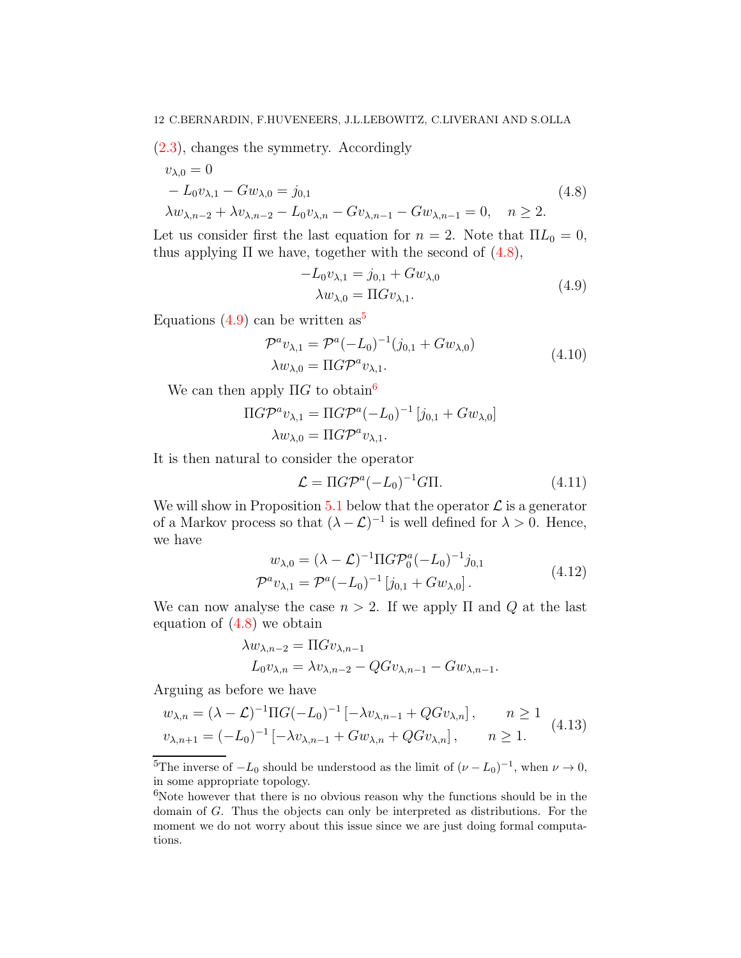[\(2.3\)](#page-4-0), changes the symmetry. Accordingly

<span id="page-11-0"></span>
$$
v_{\lambda,0} = 0
$$
  
-  $L_0 v_{\lambda,1} - G w_{\lambda,0} = j_{0,1}$   

$$
\lambda w_{\lambda,n-2} + \lambda v_{\lambda,n-2} - L_0 v_{\lambda,n} - G v_{\lambda,n-1} - G w_{\lambda,n-1} = 0, \quad n \ge 2.
$$
 (4.8)

Let us consider first the last equation for  $n = 2$ . Note that  $\Pi L_0 = 0$ , thus applying  $\Pi$  we have, together with the second of  $(4.8)$ ,

$$
-L_0 v_{\lambda,1} = j_{0,1} + G w_{\lambda,0}
$$
  
\n
$$
\lambda w_{\lambda,0} = \Pi G v_{\lambda,1}.
$$
\n(4.9)

<span id="page-11-4"></span><span id="page-11-1"></span>Equations [\(4.9\)](#page-11-1) can be written as<sup>5</sup>

$$
\mathcal{P}^{a} v_{\lambda,1} = \mathcal{P}^{a} (-L_0)^{-1} (j_{0,1} + G w_{\lambda,0})
$$
  
\n
$$
\lambda w_{\lambda,0} = \Pi G \mathcal{P}^{a} v_{\lambda,1}.
$$
\n(4.10)

We can then apply  $\Pi G$  to obtain<sup>6</sup>

$$
\Pi G \mathcal{P}^a v_{\lambda,1} = \Pi G \mathcal{P}^a (-L_0)^{-1} [j_{0,1} + G w_{\lambda,0}]
$$

$$
\lambda w_{\lambda,0} = \Pi G \mathcal{P}^a v_{\lambda,1}.
$$

It is then natural to consider the operator

<span id="page-11-2"></span>
$$
\mathcal{L} = \Pi G \mathcal{P}^a (-L_0)^{-1} G \Pi. \tag{4.11}
$$

We will show in Proposition [5.1](#page-13-0) below that the operator  $\mathcal L$  is a generator of a Markov process so that  $(\lambda - \mathcal{L})^{-1}$  is well defined for  $\lambda > 0$ . Hence, we have

$$
w_{\lambda,0} = (\lambda - \mathcal{L})^{-1} \Pi G \mathcal{P}_0^a (-L_0)^{-1} j_{0,1}
$$
  

$$
\mathcal{P}^a v_{\lambda,1} = \mathcal{P}^a (-L_0)^{-1} [j_{0,1} + G w_{\lambda,0}].
$$
 (4.12)

<span id="page-11-3"></span>We can now analyse the case  $n > 2$ . If we apply  $\Pi$  and  $Q$  at the last equation of  $(4.8)$  we obtain

$$
\lambda w_{\lambda,n-2} = \Pi G v_{\lambda,n-1}
$$
  

$$
L_0 v_{\lambda,n} = \lambda v_{\lambda,n-2} - Q G v_{\lambda,n-1} - G w_{\lambda,n-1}.
$$

Arguing as before we have

$$
w_{\lambda,n} = (\lambda - \mathcal{L})^{-1} \Pi G(-L_0)^{-1} \left[ -\lambda v_{\lambda,n-1} + Q G v_{\lambda,n} \right], \qquad n \ge 1
$$
  

$$
v_{\lambda,n+1} = (-L_0)^{-1} \left[ -\lambda v_{\lambda,n-1} + G w_{\lambda,n} + Q G v_{\lambda,n} \right], \qquad n \ge 1.
$$
 (4.13)

<sup>5</sup>The inverse of  $-L_0$  should be understood as the limit of  $(\nu - L_0)^{-1}$ , when  $\nu \to 0$ , in some appropriate topology.

 $6$ Note however that there is no obvious reason why the functions should be in the domain of G. Thus the objects can only be interpreted as distributions. For the moment we do not worry about this issue since we are just doing formal computations.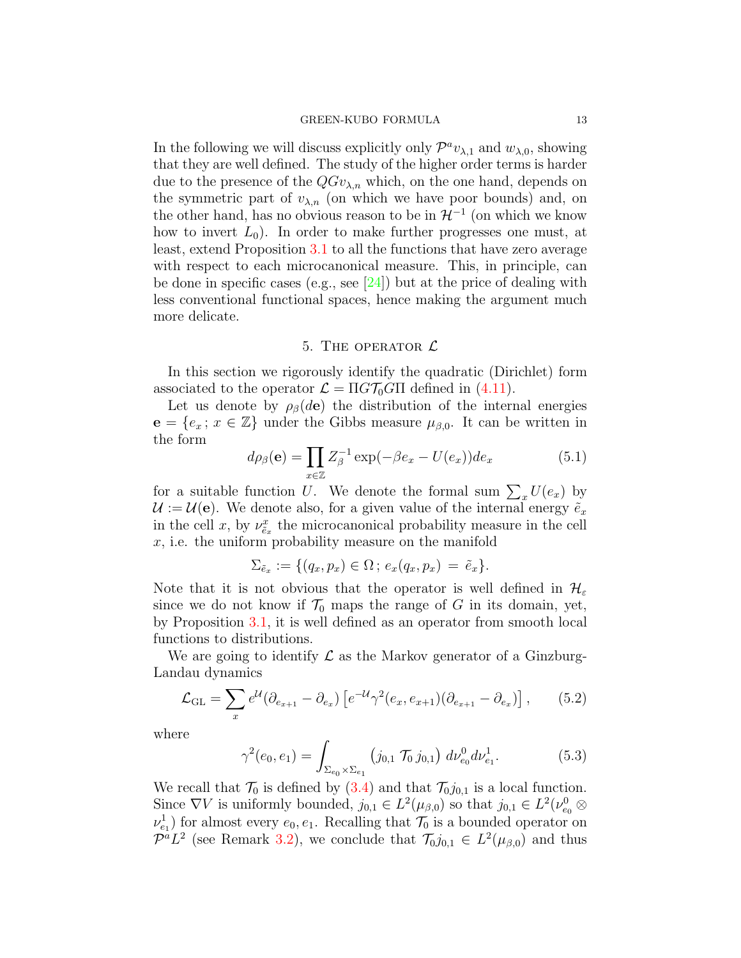In the following we will discuss explicitly only  $\mathcal{P}^a v_{\lambda,1}$  and  $w_{\lambda,0}$ , showing that they are well defined. The study of the higher order terms is harder due to the presence of the  $QGv_{\lambda,n}$  which, on the one hand, depends on the symmetric part of  $v_{\lambda,n}$  (on which we have poor bounds) and, on the other hand, has no obvious reason to be in  $\mathcal{H}^{-1}$  (on which we know how to invert  $L_0$ ). In order to make further progresses one must, at least, extend Proposition [3.1](#page-7-5) to all the functions that have zero average with respect to each microcanonical measure. This, in principle, can be done in specific cases (e.g., see [\[24\]](#page-41-0)) but at the price of dealing with less conventional functional spaces, hence making the argument much more delicate.

### 5. THE OPERATOR  $\mathcal L$

<span id="page-12-0"></span>In this section we rigorously identify the quadratic (Dirichlet) form associated to the operator  $\mathcal{L} = \Pi G \mathcal{T}_0 G \Pi$  defined in [\(4.11\)](#page-11-2).

Let us denote by  $\rho_{\beta}(d\mathbf{e})$  the distribution of the internal energies  $e = \{e_x; x \in \mathbb{Z}\}\$  under the Gibbs measure  $\mu_{\beta,0}$ . It can be written in the form

<span id="page-12-3"></span>
$$
d\rho_{\beta}(\mathbf{e}) = \prod_{x \in \mathbb{Z}} Z_{\beta}^{-1} \exp(-\beta e_x - U(e_x)) de_x \tag{5.1}
$$

for a suitable function U. We denote the formal sum  $\sum_x U(e_x)$  by  $\mathcal{U} := \mathcal{U}(\mathbf{e})$ . We denote also, for a given value of the internal energy  $\tilde{e}_x$ in the cell x, by  $\nu_{\tilde{e}_x}^x$  the microcanonical probability measure in the cell x, i.e. the uniform probability measure on the manifold

$$
\Sigma_{\tilde{e}_x} := \{ (q_x, p_x) \in \Omega \, ; \, e_x(q_x, p_x) = \tilde{e}_x \}.
$$

Note that it is not obvious that the operator is well defined in  $\mathcal{H}_{\varepsilon}$ since we do not know if  $\mathcal{T}_0$  maps the range of G in its domain, yet, by Proposition [3.1,](#page-7-5) it is well defined as an operator from smooth local functions to distributions.

We are going to identify  $\mathcal L$  as the Markov generator of a Ginzburg-Landau dynamics

<span id="page-12-2"></span>
$$
\mathcal{L}_{\text{GL}} = \sum_{x} e^{\mathcal{U}} (\partial_{e_{x+1}} - \partial_{e_x}) \left[ e^{-\mathcal{U}} \gamma^2 (e_x, e_{x+1}) (\partial_{e_{x+1}} - \partial_{e_x}) \right], \qquad (5.2)
$$

where

<span id="page-12-1"></span>
$$
\gamma^{2}(e_{0}, e_{1}) = \int_{\Sigma_{e_{0}} \times \Sigma_{e_{1}}} (j_{0,1} \mathcal{T}_{0} j_{0,1}) d\nu_{e_{0}}^{0} d\nu_{e_{1}}^{1}.
$$
 (5.3)

We recall that  $\mathcal{T}_0$  is defined by  $(3.4)$  and that  $\mathcal{T}_0j_{0,1}$  is a local function. Since  $\nabla V$  is uniformly bounded,  $j_{0,1} \in L^2(\mu_{\beta,0})$  so that  $j_{0,1} \in L^2(\nu_{e_0}^0 \otimes$  $\nu_{e_1}^1$  for almost every  $e_0, e_1$ . Recalling that  $\mathcal{T}_0$  is a bounded operator on  $\mathcal{P}^a L^2$  (see Remark [3.2\)](#page-9-4), we conclude that  $\mathcal{T}_0 j_{0,1} \in L^2(\mu_{\beta,0})$  and thus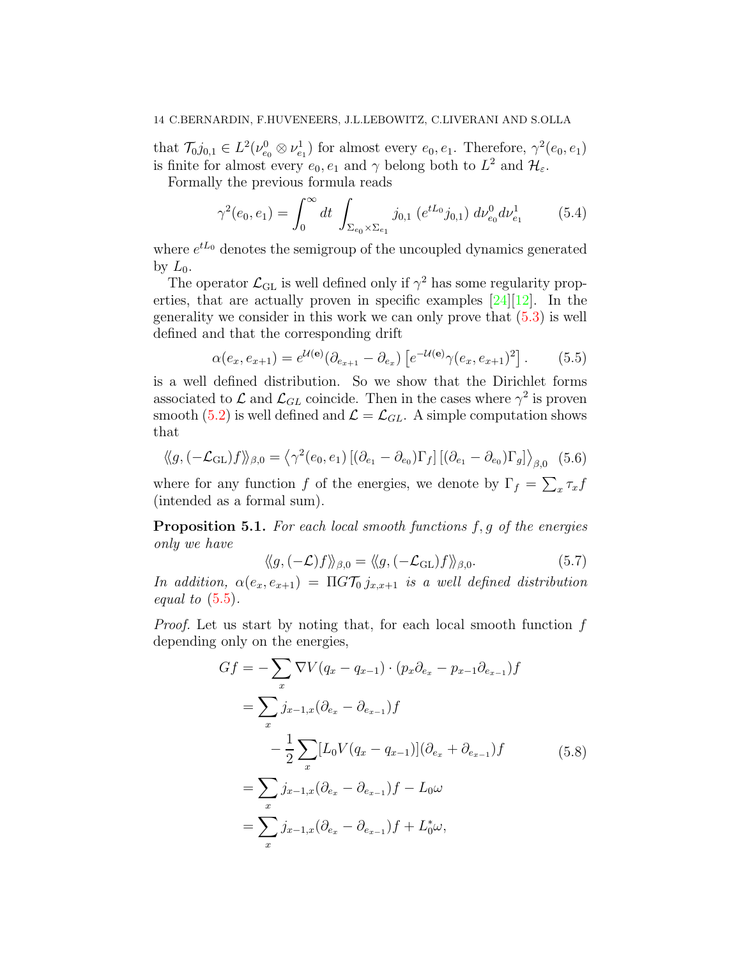that  $\mathcal{T}_0 j_{0,1} \in L^2(\nu_{e_0}^0 \otimes \nu_{e_1}^1)$  for almost every  $e_0, e_1$ . Therefore,  $\gamma^2(e_0, e_1)$ is finite for almost every  $e_0, e_1$  and  $\gamma$  belong both to  $L^2$  and  $\mathcal{H}_{\varepsilon}$ .

Formally the previous formula reads

$$
\gamma^2(e_0, e_1) = \int_0^\infty dt \int_{\Sigma_{e_0} \times \Sigma_{e_1}} j_{0,1} \left( e^{tL_0} j_{0,1} \right) d\nu_{e_0}^0 d\nu_{e_1}^1 \tag{5.4}
$$

where  $e^{tL_0}$  denotes the semigroup of the uncoupled dynamics generated by  $L_0$ .

The operator  $\mathcal{L}_{\text{GL}}$  is well defined only if  $\gamma^2$  has some regularity properties, that are actually proven in specific examples  $[24][12]$  $[24][12]$ . In the generality we consider in this work we can only prove that [\(5.3\)](#page-12-1) is well defined and that the corresponding drift

<span id="page-13-1"></span>
$$
\alpha(e_x, e_{x+1}) = e^{\mathcal{U}(\mathbf{e})} (\partial_{e_{x+1}} - \partial_{e_x}) \left[ e^{-\mathcal{U}(\mathbf{e})} \gamma(e_x, e_{x+1})^2 \right]. \tag{5.5}
$$

is a well defined distribution. So we show that the Dirichlet forms associated to  $\mathcal{L}$  and  $\mathcal{L}_{GL}$  coincide. Then in the cases where  $\gamma^2$  is proven smooth [\(5.2\)](#page-12-2) is well defined and  $\mathcal{L} = \mathcal{L}_{GL}$ . A simple computation shows that

<span id="page-13-3"></span>
$$
\langle g, (-\mathcal{L}_{\text{GL}}) f \rangle \rangle_{\beta,0} = \langle \gamma^2(e_0, e_1) \left[ (\partial_{e_1} - \partial_{e_0}) \Gamma_f \right] \left[ (\partial_{e_1} - \partial_{e_0}) \Gamma_g \right] \rangle_{\beta,0} (5.6)
$$

where for any function f of the energies, we denote by  $\Gamma_f = \sum_x \tau_x f$ (intended as a formal sum).

<span id="page-13-0"></span>**Proposition 5.1.** For each local smooth functions  $f, g$  of the energies only we have

$$
\langle g, (-\mathcal{L})f \rangle \rangle_{\beta,0} = \langle g, (-\mathcal{L}_{\mathrm{GL}})f \rangle \rangle_{\beta,0}.
$$
 (5.7)

In addition,  $\alpha(e_x, e_{x+1}) = \Pi G \mathcal{T}_0 j_{x,x+1}$  is a well defined distribution equal to  $(5.5)$ .

Proof. Let us start by noting that, for each local smooth function f depending only on the energies,

<span id="page-13-2"></span>
$$
Gf = -\sum_{x} \nabla V(q_x - q_{x-1}) \cdot (p_x \partial_{e_x} - p_{x-1} \partial_{e_{x-1}}) f
$$
  
=  $\sum_{x} j_{x-1,x} (\partial_{e_x} - \partial_{e_{x-1}}) f$   
 $- \frac{1}{2} \sum_{x} [L_0 V(q_x - q_{x-1})] (\partial_{e_x} + \partial_{e_{x-1}}) f$  (5.8)  
=  $\sum_{x} j_{x-1,x} (\partial_{e_x} - \partial_{e_{x-1}}) f - L_0 \omega$   
=  $\sum_{x} j_{x-1,x} (\partial_{e_x} - \partial_{e_{x-1}}) f + L_0^* \omega$ ,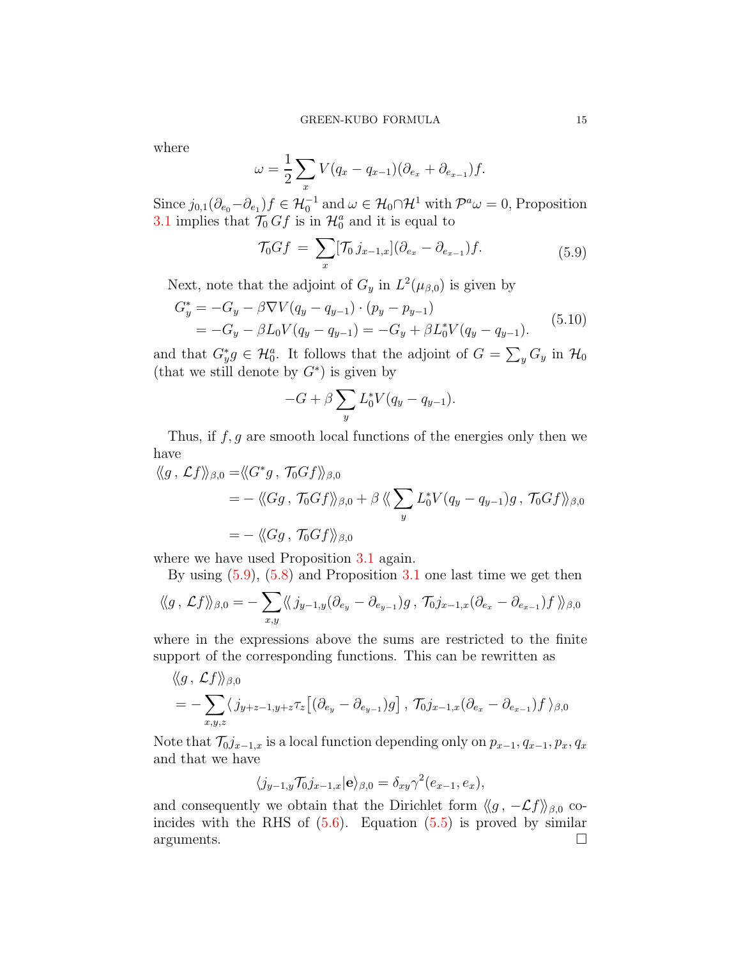where

$$
\omega = \frac{1}{2} \sum_x V(q_x - q_{x-1})(\partial_{e_x} + \partial_{e_{x-1}})f.
$$

Since  $j_{0,1}(\partial_{e_0}-\partial_{e_1})f \in \mathcal{H}_0^{-1}$  and  $\omega \in \mathcal{H}_0 \cap \mathcal{H}^1$  with  $\mathcal{P}^a \omega = 0$ , Proposition [3.1](#page-7-5) implies that  $\mathcal{T}_0 Gf$  is in  $\mathcal{H}_0^a$  and it is equal to

$$
\mathcal{T}_0 G f = \sum_x [\mathcal{T}_0 j_{x-1,x}] (\partial_{e_x} - \partial_{e_{x-1}}) f. \tag{5.9}
$$

<span id="page-14-0"></span>Next, note that the adjoint of  $G_y$  in  $L^2(\mu_{\beta,0})$  is given by

$$
G_y^* = -G_y - \beta \nabla V (q_y - q_{y-1}) \cdot (p_y - p_{y-1})
$$
  
= -G\_y - \beta L\_0 V (q\_y - q\_{y-1}) = -G\_y + \beta L\_0^\* V (q\_y - q\_{y-1}). (5.10)

and that  $G^*_y g \in \mathcal{H}_0^a$ . It follows that the adjoint of  $G = \sum_y G_y$  in  $\mathcal{H}_0$ (that we still denote by  $G^*$ ) is given by

$$
-G + \beta \sum_{y} L_0^* V(q_y - q_{y-1}).
$$

Thus, if  $f, g$  are smooth local functions of the energies only then we have

$$
\langle g, \mathcal{L}f \rangle_{\beta,0} = \langle G^*g, \mathcal{T}_0Gf \rangle_{\beta,0}
$$
  
= - \langle \langle Gg, \mathcal{T}\_0Gf \rangle\_{\beta,0} + \beta \langle \langle \sum\_y L\_0^\* V(q\_y - q\_{y-1})g, \mathcal{T}\_0Gf \rangle\_{\beta,0}  
= - \langle \langle Gg, \mathcal{T}\_0Gf \rangle\_{\beta,0}

where we have used Proposition [3.1](#page-7-5) again.

By using [\(5.9\)](#page-14-0), [\(5.8\)](#page-13-2) and Proposition [3.1](#page-7-5) one last time we get then

$$
\langle g, \mathcal{L}f \rangle_{\beta,0} = -\sum_{x,y} \langle \langle j_{y-1,y}(\partial_{e_y} - \partial_{e_{y-1}})g, \mathcal{T}_0 j_{x-1,x}(\partial_{e_x} - \partial_{e_{x-1}})f \rangle_{\beta,0}
$$

where in the expressions above the sums are restricted to the finite support of the corresponding functions. This can be rewritten as

$$
\langle g, \mathcal{L}f \rangle \rangle_{\beta,0}
$$
  
=  $-\sum_{x,y,z} \langle j_{y+z-1,y+z} \tau_z [(\partial_{e_y} - \partial_{e_{y-1}})g], \mathcal{T}_0 j_{x-1,x} (\partial_{e_x} - \partial_{e_{x-1}})f \rangle_{\beta,0}$ 

Note that  $\mathcal{T}_0j_{x-1,x}$  is a local function depending only on  $p_{x-1}, q_{x-1}, p_x, q_x$ and that we have

$$
\langle j_{y-1,y}\mathcal{T}_0 j_{x-1,x} | \mathbf{e} \rangle_{\beta,0} = \delta_{xy} \gamma^2 (e_{x-1}, e_x),
$$

and consequently we obtain that the Dirichlet form  $\langle g, -\mathcal{L}f \rangle_{\beta,0}$  coincides with the RHS of  $(5.6)$ . Equation  $(5.5)$  is proved by similar  $arguments.$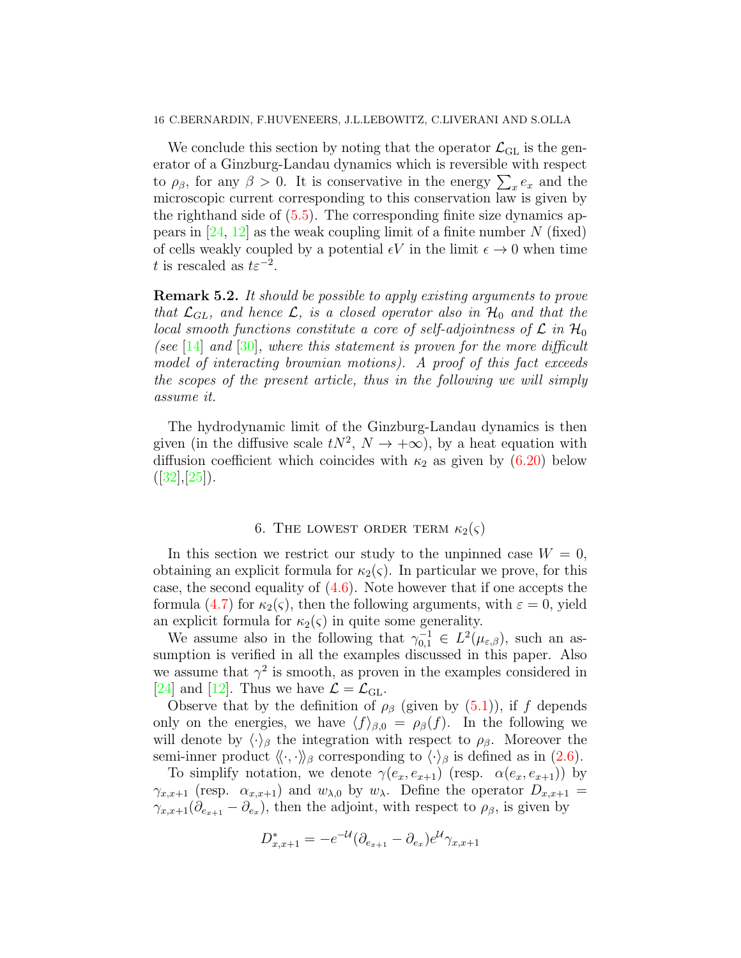We conclude this section by noting that the operator  $\mathcal{L}_{\text{GL}}$  is the generator of a Ginzburg-Landau dynamics which is reversible with respect to  $\rho_{\beta}$ , for any  $\beta > 0$ . It is conservative in the energy  $\sum_{x} e_x$  and the microscopic current corresponding to this conservation law is given by the righthand side of  $(5.5)$ . The corresponding finite size dynamics appears in  $[24, 12]$  $[24, 12]$  as the weak coupling limit of a finite number N (fixed) of cells weakly coupled by a potential  $\epsilon V$  in the limit  $\epsilon \to 0$  when time t is rescaled as  $t\varepsilon^{-2}$ .

<span id="page-15-1"></span>Remark 5.2. It should be possible to apply existing arguments to prove that  $\mathcal{L}_{GL}$ , and hence  $\mathcal{L}$ , is a closed operator also in  $\mathcal{H}_0$  and that the local smooth functions constitute a core of self-adjointness of  $\mathcal L$  in  $\mathcal H_0$ (see [\[14\]](#page-41-14) and  $[30]$ , where this statement is proven for the more difficult model of interacting brownian motions). A proof of this fact exceeds the scopes of the present article, thus in the following we will simply assume it.

The hydrodynamic limit of the Ginzburg-Landau dynamics is then given (in the diffusive scale  $tN^2$ ,  $N \to +\infty$ ), by a heat equation with diffusion coefficient which coincides with  $\kappa_2$  as given by [\(6.20\)](#page-20-0) below  $([32],[25]).$  $([32],[25]).$  $([32],[25]).$  $([32],[25]).$  $([32],[25]).$ 

# 6. THE LOWEST ORDER TERM  $\kappa_2(\varsigma)$

<span id="page-15-0"></span>In this section we restrict our study to the unpinned case  $W = 0$ , obtaining an explicit formula for  $\kappa_2(\varsigma)$ . In particular we prove, for this case, the second equality of [\(4.6\)](#page-10-2). Note however that if one accepts the formula [\(4.7\)](#page-10-3) for  $\kappa_2(\varsigma)$ , then the following arguments, with  $\varepsilon = 0$ , yield an explicit formula for  $\kappa_2(\varsigma)$  in quite some generality.

We assume also in the following that  $\gamma_{0,1}^{-1} \in L^2(\mu_{\varepsilon,\beta})$ , such an assumption is verified in all the examples discussed in this paper. Also we assume that  $\gamma^2$  is smooth, as proven in the examples considered in [\[24\]](#page-41-0) and [\[12\]](#page-41-1). Thus we have  $\mathcal{L} = \mathcal{L}_{\text{GL}}$ .

Observe that by the definition of  $\rho_\beta$  (given by [\(5.1\)](#page-12-3)), if f depends only on the energies, we have  $\langle f \rangle_{\beta,0} = \rho_{\beta}(f)$ . In the following we will denote by  $\langle \cdot \rangle_{\beta}$  the integration with respect to  $\rho_{\beta}$ . Moreover the semi-inner product  $\langle \langle \cdot, \cdot \rangle \rangle_{\beta}$  corresponding to  $\langle \cdot \rangle_{\beta}$  is defined as in [\(2.6\)](#page-5-0).

To simplify notation, we denote  $\gamma(e_x, e_{x+1})$  (resp.  $\alpha(e_x, e_{x+1})$ ) by  $\gamma_{x,x+1}$  (resp.  $\alpha_{x,x+1}$ ) and  $w_{\lambda,0}$  by  $w_{\lambda}$ . Define the operator  $D_{x,x+1}$  =  $\gamma_{x,x+1}(\partial_{e_{x+1}} - \partial_{e_x}),$  then the adjoint, with respect to  $\rho_{\beta}$ , is given by

$$
D_{x,x+1}^{*} = -e^{-\mathcal{U}}(\partial_{e_{x+1}} - \partial_{e_x})e^{\mathcal{U}}\gamma_{x,x+1}
$$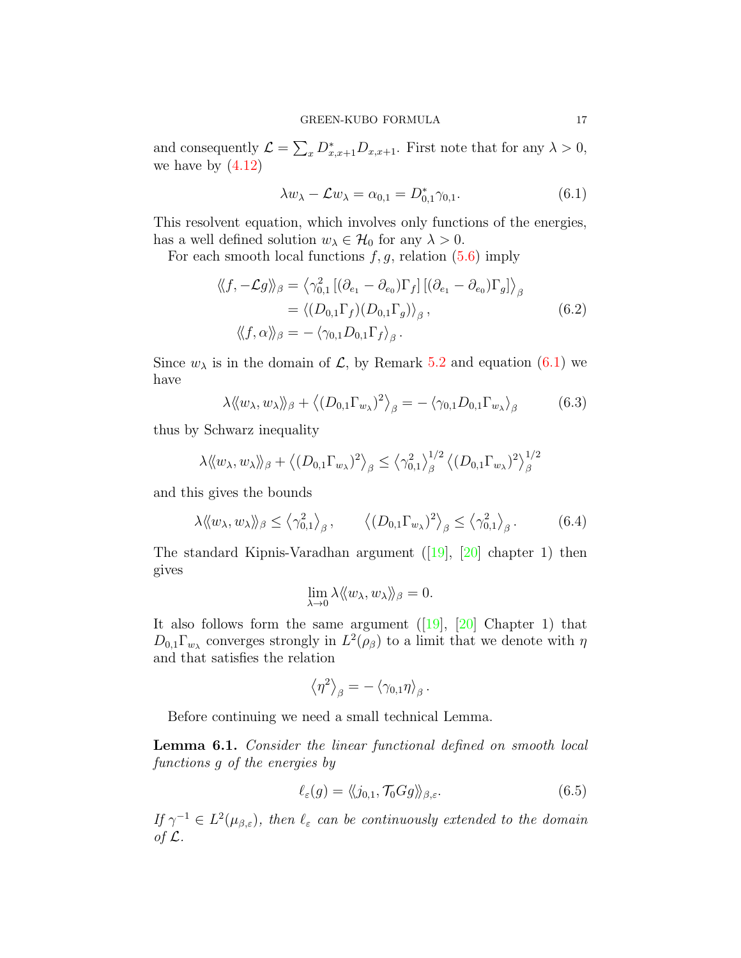and consequently  $\mathcal{L} = \sum_{x} D_{x,x+1}^* D_{x,x+1}$ . First note that for any  $\lambda > 0$ , we have by  $(4.12)$ 

<span id="page-16-0"></span>
$$
\lambda w_{\lambda} - \mathcal{L}w_{\lambda} = \alpha_{0,1} = D_{0,1}^{*} \gamma_{0,1}.
$$
\n
$$
(6.1)
$$

This resolvent equation, which involves only functions of the energies, has a well defined solution  $w_{\lambda} \in \mathcal{H}_0$  for any  $\lambda > 0$ .

For each smooth local functions  $f, g$ , relation [\(5.6\)](#page-13-3) imply

$$
\langle\langle f, -\mathcal{L}g \rangle\rangle_{\beta} = \langle \gamma_{0,1}^{2} \left[ (\partial_{e_1} - \partial_{e_0}) \Gamma_f \right] \left[ (\partial_{e_1} - \partial_{e_0}) \Gamma_g \right] \rangle_{\beta}
$$
  
=  $\langle (D_{0,1} \Gamma_f) (D_{0,1} \Gamma_g) \rangle_{\beta}$ ,  $\langle\langle f, \alpha \rangle\rangle_{\beta} = -\langle \gamma_{0,1} D_{0,1} \Gamma_f \rangle_{\beta}$ . (6.2)

Since  $w_{\lambda}$  is in the domain of  $\mathcal{L}$ , by Remark [5.2](#page-15-1) and equation [\(6.1\)](#page-16-0) we have

$$
\lambda \langle \langle w_{\lambda}, w_{\lambda} \rangle \rangle_{\beta} + \langle (D_{0,1} \Gamma_{w_{\lambda}})^2 \rangle_{\beta} = - \langle \gamma_{0,1} D_{0,1} \Gamma_{w_{\lambda}} \rangle_{\beta} \tag{6.3}
$$

thus by Schwarz inequality

$$
\lambda \langle \langle w_{\lambda}, w_{\lambda} \rangle \rangle_{\beta} + \langle (D_{0,1} \Gamma_{w_{\lambda}})^2 \rangle_{\beta} \leq \langle \gamma_{0,1}^2 \rangle_{\beta}^{1/2} \langle (D_{0,1} \Gamma_{w_{\lambda}})^2 \rangle_{\beta}^{1/2}
$$

and this gives the bounds

$$
\lambda \langle\langle w_{\lambda}, w_{\lambda} \rangle\rangle_{\beta} \leq \langle \gamma_{0,1}^2 \rangle_{\beta}, \qquad \langle (D_{0,1} \Gamma_{w_{\lambda}})^2 \rangle_{\beta} \leq \langle \gamma_{0,1}^2 \rangle_{\beta}. \qquad (6.4)
$$

The standard Kipnis-Varadhan argument([\[19\]](#page-41-16), [\[20\]](#page-41-17) chapter 1) then gives

$$
\lim_{\lambda \to 0} \lambda \langle\!\langle w_\lambda, w_\lambda \rangle\!\rangle_\beta = 0.
$$

Italso follows form the same argument  $([19], [20]$  $([19], [20]$  $([19], [20]$  $([19], [20]$  Chapter 1) that  $D_{0,1}\Gamma_{w_{\lambda}}$  converges strongly in  $L^2(\rho_{\beta})$  to a limit that we denote with  $\eta$ and that satisfies the relation

$$
\left\langle \eta^2\right\rangle_{\beta} = - \left\langle \gamma_{0,1} \eta \right\rangle_{\beta}.
$$

Before continuing we need a small technical Lemma.

<span id="page-16-1"></span>Lemma 6.1. Consider the linear functional defined on smooth local functions g of the energies by

$$
\ell_{\varepsilon}(g) = \langle\!\langle j_{0,1}, \mathcal{T}_0 G g \rangle\!\rangle_{\beta, \varepsilon}.\tag{6.5}
$$

 $I f \gamma^{-1} \in L^2(\mu_{\beta,\varepsilon})$ , then  $\ell_{\varepsilon}$  can be continuously extended to the domain of  $\mathcal{L}$ .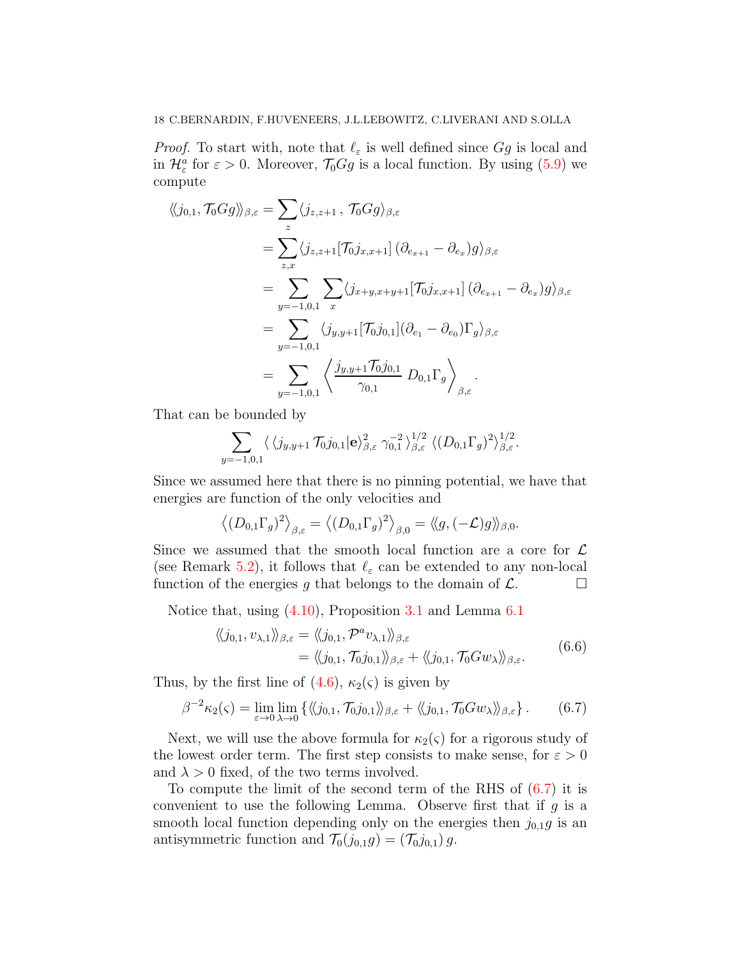*Proof.* To start with, note that  $\ell_{\varepsilon}$  is well defined since  $Gg$  is local and in  $\mathcal{H}_{\varepsilon}^{a}$  for  $\varepsilon > 0$ . Moreover,  $\mathcal{T}_{0}Gg$  is a local function. By using  $(5.9)$  we compute

$$
\langle\langle j_{0,1}, \mathcal{T}_0 G g \rangle\rangle_{\beta, \varepsilon} = \sum_z \langle j_{z, z+1}, \mathcal{T}_0 G g \rangle_{\beta, \varepsilon}
$$
  
\n
$$
= \sum_{z, x} \langle j_{z, z+1} [\mathcal{T}_0 j_{x, x+1}] (\partial_{e_{x+1}} - \partial_{e_x}) g \rangle_{\beta, \varepsilon}
$$
  
\n
$$
= \sum_{y=-1,0,1} \sum_x \langle j_{x+y, x+y+1} [\mathcal{T}_0 j_{x, x+1}] (\partial_{e_{x+1}} - \partial_{e_x}) g \rangle_{\beta, \varepsilon}
$$
  
\n
$$
= \sum_{y=-1,0,1} \langle j_{y,y+1} [\mathcal{T}_0 j_{0,1}] (\partial_{e_1} - \partial_{e_0}) \Gamma_g \rangle_{\beta, \varepsilon}
$$
  
\n
$$
= \sum_{y=-1,0,1} \langle j_{y,y+1} \mathcal{T}_0 j_{0,1} \ D_{0,1} \Gamma_g \rangle_{\beta, \varepsilon}.
$$

That can be bounded by

$$
\sum_{y=-1,0,1} \langle \langle j_{y,y+1} \mathcal{T}_0 j_{0,1} | \mathbf{e} \rangle_{\beta,\varepsilon}^2 \gamma_{0,1}^{-2} \rangle_{\beta,\varepsilon}^{1/2} \langle (D_{0,1} \Gamma_g)^2 \rangle_{\beta,\varepsilon}^{1/2}.
$$

Since we assumed here that there is no pinning potential, we have that energies are function of the only velocities and

$$
\left\langle (D_{0,1}\Gamma_g)^2 \right\rangle_{\beta,\varepsilon} = \left\langle (D_{0,1}\Gamma_g)^2 \right\rangle_{\beta,0} = \left\langle g, (-\mathcal{L})g \right\rangle_{\beta,0}.
$$

Since we assumed that the smooth local function are a core for  $\mathcal L$ (see Remark [5.2\)](#page-15-1), it follows that  $\ell_{\varepsilon}$  can be extended to any non-local function of the energies g that belongs to the domain of  $\mathcal{L}$ .

Notice that, using [\(4.10\)](#page-11-4), Proposition [3.1](#page-7-5) and Lemma [6.1](#page-16-1)

$$
\langle\langle j_{0,1}, v_{\lambda,1} \rangle\rangle_{\beta,\varepsilon} = \langle\langle j_{0,1}, \mathcal{P}^a v_{\lambda,1} \rangle\rangle_{\beta,\varepsilon} \n= \langle\langle j_{0,1}, \mathcal{T}_0 j_{0,1} \rangle\rangle_{\beta,\varepsilon} + \langle\langle j_{0,1}, \mathcal{T}_0 G w_\lambda \rangle\rangle_{\beta,\varepsilon}.
$$
\n(6.6)

Thus, by the first line of  $(4.6)$ ,  $\kappa_2(\varsigma)$  is given by

<span id="page-17-0"></span>
$$
\beta^{-2}\kappa_2(\varsigma) = \lim_{\varepsilon \to 0} \lim_{\lambda \to 0} \left\{ \langle\langle j_{0,1}, \mathcal{T}_0 j_{0,1} \rangle\rangle_{\beta,\varepsilon} + \langle\langle j_{0,1}, \mathcal{T}_0 G w_\lambda \rangle\rangle_{\beta,\varepsilon} \right\}.
$$
 (6.7)

Next, we will use the above formula for  $\kappa_2(\varsigma)$  for a rigorous study of the lowest order term. The first step consists to make sense, for  $\varepsilon > 0$ and  $\lambda > 0$  fixed, of the two terms involved.

To compute the limit of the second term of the RHS of [\(6.7\)](#page-17-0) it is convenient to use the following Lemma. Observe first that if  $g$  is a smooth local function depending only on the energies then  $j_{0,1}g$  is an antisymmetric function and  $\mathcal{T}_0(j_{0,1}g) = (\mathcal{T}_0j_{0,1})g$ .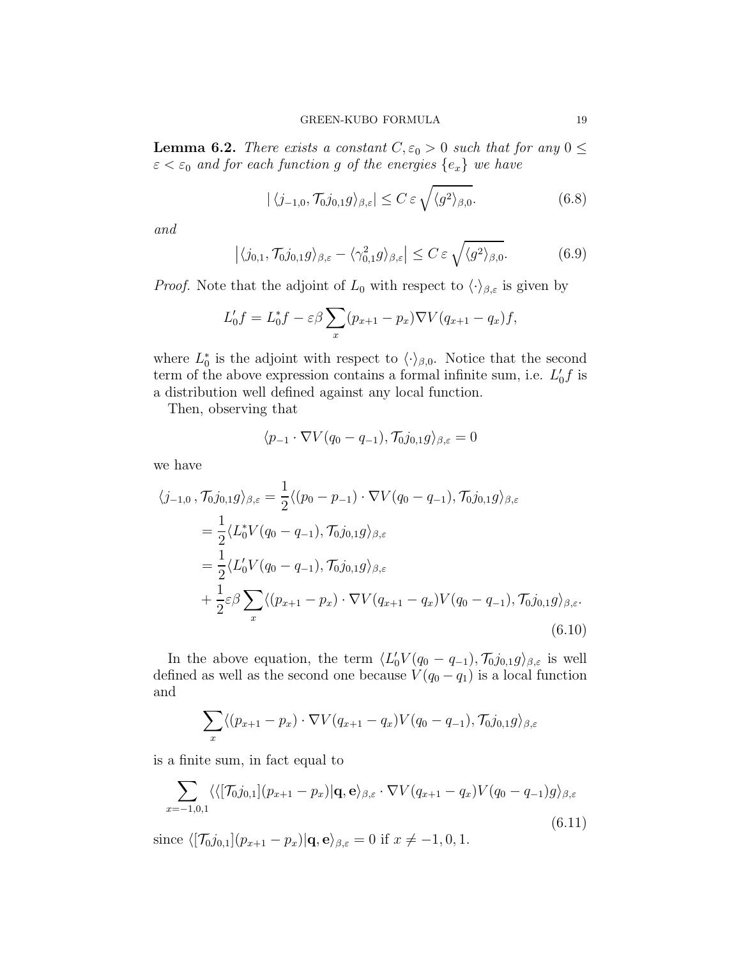<span id="page-18-4"></span>**Lemma 6.2.** There exists a constant  $C, \varepsilon_0 > 0$  such that for any  $0 \leq$  $\varepsilon < \varepsilon_0$  and for each function g of the energies  $\{e_x\}$  we have

<span id="page-18-2"></span>
$$
|\langle j_{-1,0}, \mathcal{T}_0 j_{0,1} g \rangle_{\beta,\varepsilon}| \le C \varepsilon \sqrt{\langle g^2 \rangle_{\beta,0}}.
$$
 (6.8)

and

<span id="page-18-3"></span>
$$
\left| \langle j_{0,1}, \mathcal{T}_0 j_{0,1} g \rangle_{\beta,\varepsilon} - \langle \gamma_{0,1}^2 g \rangle_{\beta,\varepsilon} \right| \le C \varepsilon \sqrt{\langle g^2 \rangle_{\beta,0}}.
$$
 (6.9)

*Proof.* Note that the adjoint of  $L_0$  with respect to  $\langle \cdot \rangle_{\beta,\varepsilon}$  is given by

$$
L'_0 f = L_0^* f - \varepsilon \beta \sum_x (p_{x+1} - p_x) \nabla V (q_{x+1} - q_x) f,
$$

where  $L_0^*$  is the adjoint with respect to  $\langle \cdot \rangle_{\beta,0}$ . Notice that the second term of the above expression contains a formal infinite sum, i.e.  $L'_0 f$  is a distribution well defined against any local function.

Then, observing that

$$
\langle p_{-1} \cdot \nabla V(q_0 - q_{-1}), \mathcal{T}_0 j_{0,1} g \rangle_{\beta, \varepsilon} = 0
$$

we have

<span id="page-18-0"></span>
$$
\langle j_{-1,0}, \mathcal{T}_0 j_{0,1} g \rangle_{\beta,\varepsilon} = \frac{1}{2} \langle (p_0 - p_{-1}) \cdot \nabla V(q_0 - q_{-1}), \mathcal{T}_0 j_{0,1} g \rangle_{\beta,\varepsilon}
$$
  
\n
$$
= \frac{1}{2} \langle L_0^* V(q_0 - q_{-1}), \mathcal{T}_0 j_{0,1} g \rangle_{\beta,\varepsilon}
$$
  
\n
$$
= \frac{1}{2} \langle L_0^* V(q_0 - q_{-1}), \mathcal{T}_0 j_{0,1} g \rangle_{\beta,\varepsilon}
$$
  
\n
$$
+ \frac{1}{2} \varepsilon \beta \sum_x \langle (p_{x+1} - p_x) \cdot \nabla V(q_{x+1} - q_x) V(q_0 - q_{-1}), \mathcal{T}_0 j_{0,1} g \rangle_{\beta,\varepsilon}.
$$
  
\n(6.10)

In the above equation, the term  $\langle L'_0 V(q_0 - q_{-1}), \mathcal{T}_0 j_{0,1}g \rangle_{\beta,\varepsilon}$  is well defined as well as the second one because  $V(q_0 - q_1)$  is a local function and

$$
\sum_{x} \langle (p_{x+1} - p_x) \cdot \nabla V(q_{x+1} - q_x) V(q_0 - q_{-1}), \mathcal{T}_0 j_{0,1} g \rangle_{\beta,\varepsilon}
$$

is a finite sum, in fact equal to

<span id="page-18-1"></span>
$$
\sum_{x=-1,0,1} \langle \langle [\mathcal{T}_{0}j_{0,1}](p_{x+1}-p_x)|\mathbf{q}, \mathbf{e} \rangle_{\beta,\varepsilon} \cdot \nabla V(q_{x+1}-q_x) V(q_0-q_{-1})g \rangle_{\beta,\varepsilon}
$$
\n(6.11)

since  $\langle [\mathcal{T}_{0}j_{0,1}](p_{x+1} - p_x)|\mathbf{q}, \mathbf{e} \rangle_{\beta,\varepsilon} = 0$  if  $x \neq -1, 0, 1$ .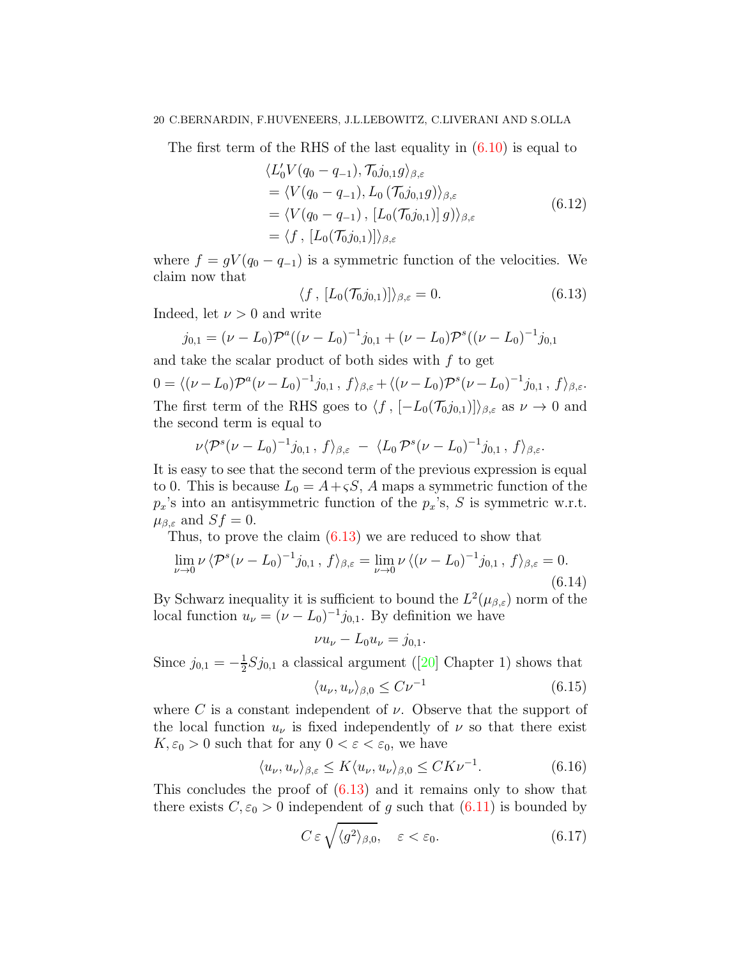The first term of the RHS of the last equality in  $(6.10)$  is equal to

$$
\langle L'_0 V(q_0 - q_{-1}), \mathcal{T}_0 j_{0,1} g \rangle_{\beta, \varepsilon}
$$
  
=  $\langle V(q_0 - q_{-1}), L_0 (\mathcal{T}_0 j_{0,1} g) \rangle_{\beta, \varepsilon}$   
=  $\langle V(q_0 - q_{-1}), [L_0(\mathcal{T}_0 j_{0,1})] g \rangle_{\beta, \varepsilon}$   
=  $\langle f, [L_0(\mathcal{T}_0 j_{0,1})] \rangle_{\beta, \varepsilon}$  (6.12)

where  $f = gV(q_0 - q_{-1})$  is a symmetric function of the velocities. We claim now that

<span id="page-19-0"></span>
$$
\langle f, [L_0(\mathcal{T}_0 j_{0,1})] \rangle_{\beta,\varepsilon} = 0. \tag{6.13}
$$

Indeed, let  $\nu > 0$  and write

$$
j_{0,1} = (\nu - L_0)\mathcal{P}^a((\nu - L_0)^{-1}j_{0,1} + (\nu - L_0)\mathcal{P}^s((\nu - L_0)^{-1}j_{0,1})
$$
  
and take the scalar product of both sides with f to get

 $0 = \langle (\nu - L_0) \mathcal{P}^a (\nu - L_0)^{-1} j_{0,1} , f \rangle_{\beta, \varepsilon} + \langle (\nu - L_0) \mathcal{P}^s (\nu - L_0)^{-1} j_{0,1} , f \rangle_{\beta, \varepsilon}.$ The first term of the RHS goes to  $\langle f, [-L_0(\mathcal{T}_0, j_{0,1})]\rangle_{\beta,\varepsilon}$  as  $\nu \to 0$  and the second term is equal to

$$
\nu \langle \mathcal{P}^s(\nu - L_0)^{-1} j_{0,1} , f \rangle_{\beta, \varepsilon} - \langle L_0 \mathcal{P}^s(\nu - L_0)^{-1} j_{0,1} , f \rangle_{\beta, \varepsilon}.
$$

It is easy to see that the second term of the previous expression is equal to 0. This is because  $L_0 = A + \varsigma S$ , A maps a symmetric function of the  $p_x$ 's into an antisymmetric function of the  $p_x$ 's, S is symmetric w.r.t.  $\mu_{\beta,\varepsilon}$  and  $Sf=0$ .

Thus, to prove the claim [\(6.13\)](#page-19-0) we are reduced to show that

$$
\lim_{\nu \to 0} \nu \langle \mathcal{P}^s(\nu - L_0)^{-1} j_{0,1} , f \rangle_{\beta, \varepsilon} = \lim_{\nu \to 0} \nu \langle (\nu - L_0)^{-1} j_{0,1} , f \rangle_{\beta, \varepsilon} = 0.
$$
\n(6.14)

By Schwarz inequality it is sufficient to bound the  $L^2(\mu_{\beta,\varepsilon})$  norm of the local function  $u_{\nu} = (\nu - L_0)^{-1} j_{0,1}$ . By definition we have

 $\nu u_{\nu} - L_0 u_{\nu} = j_{0,1}.$ 

Since 
$$
j_{0,1} = -\frac{1}{2} S j_{0,1}
$$
 a classical argument ([20] Chapter 1) shows that  

$$
\langle u_{\nu}, u_{\nu} \rangle_{\beta,0} \leq C \nu^{-1}
$$
(6.15)

where C is a constant independent of  $\nu$ . Observe that the support of the local function  $u_{\nu}$  is fixed independently of  $\nu$  so that there exist  $K, \varepsilon_0 > 0$  such that for any  $0 < \varepsilon < \varepsilon_0$ , we have

$$
\langle u_{\nu}, u_{\nu} \rangle_{\beta, \varepsilon} \le K \langle u_{\nu}, u_{\nu} \rangle_{\beta, 0} \le C K \nu^{-1}.
$$
 (6.16)

This concludes the proof of [\(6.13\)](#page-19-0) and it remains only to show that there exists  $C, \varepsilon_0 > 0$  independent of g such that  $(6.11)$  is bounded by

$$
C \,\varepsilon \,\sqrt{\langle g^2 \rangle_{\beta,0}}, \quad \varepsilon < \varepsilon_0. \tag{6.17}
$$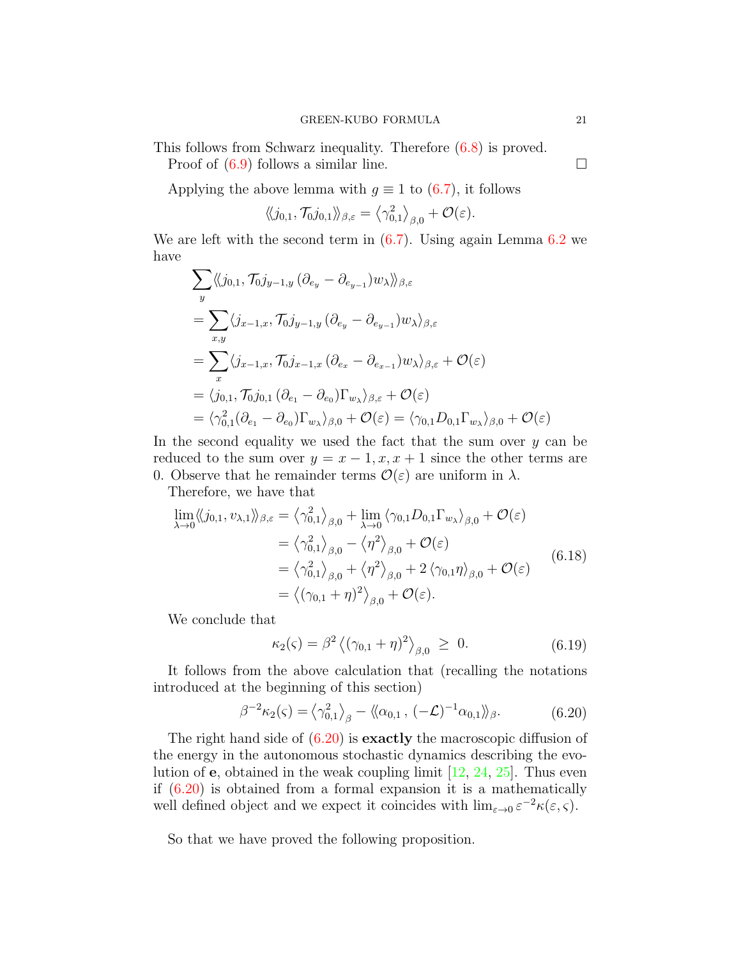This follows from Schwarz inequality. Therefore [\(6.8\)](#page-18-2) is proved.

Proof of  $(6.9)$  follows a similar line.

Applying the above lemma with  $q \equiv 1$  to [\(6.7\)](#page-17-0), it follows

$$
\langle\!\langle j_{0,1},\mathcal{T}_0 j_{0,1} \rangle\!\rangle_{\beta,\varepsilon} = \langle \gamma_{0,1}^2 \rangle_{\beta,0} + \mathcal{O}(\varepsilon).
$$

We are left with the second term in  $(6.7)$ . Using again Lemma  $6.2$  we have

$$
\sum_{y} \langle \langle j_{0,1}, \mathcal{T}_0 j_{y-1,y} (\partial_{e_y} - \partial_{e_{y-1}}) w_\lambda \rangle \rangle_{\beta, \varepsilon}
$$
\n
$$
= \sum_{x,y} \langle j_{x-1,x}, \mathcal{T}_0 j_{y-1,y} (\partial_{e_y} - \partial_{e_{y-1}}) w_\lambda \rangle_{\beta, \varepsilon}
$$
\n
$$
= \sum_{x} \langle j_{x-1,x}, \mathcal{T}_0 j_{x-1,x} (\partial_{e_x} - \partial_{e_{x-1}}) w_\lambda \rangle_{\beta, \varepsilon} + \mathcal{O}(\varepsilon)
$$
\n
$$
= \langle j_{0,1}, \mathcal{T}_0 j_{0,1} (\partial_{e_1} - \partial_{e_0}) \Gamma_{w_\lambda} \rangle_{\beta, \varepsilon} + \mathcal{O}(\varepsilon)
$$
\n
$$
= \langle \gamma_{0,1}^2 (\partial_{e_1} - \partial_{e_0}) \Gamma_{w_\lambda} \rangle_{\beta, 0} + \mathcal{O}(\varepsilon) = \langle \gamma_{0,1} D_{0,1} \Gamma_{w_\lambda} \rangle_{\beta, 0} + \mathcal{O}(\varepsilon)
$$

In the second equality we used the fact that the sum over  $y$  can be reduced to the sum over  $y = x - 1, x, x + 1$  since the other terms are 0. Observe that he remainder terms  $\mathcal{O}(\varepsilon)$  are uniform in  $\lambda$ .

Therefore, we have that

$$
\lim_{\lambda \to 0} \langle\langle j_{0,1}, v_{\lambda,1} \rangle\rangle_{\beta,\varepsilon} = \langle \gamma_{0,1}^2 \rangle_{\beta,0} + \lim_{\lambda \to 0} \langle \gamma_{0,1} D_{0,1} \Gamma_{w_{\lambda}} \rangle_{\beta,0} + \mathcal{O}(\varepsilon)
$$
  
\n
$$
= \langle \gamma_{0,1}^2 \rangle_{\beta,0} - \langle \eta^2 \rangle_{\beta,0} + \mathcal{O}(\varepsilon)
$$
  
\n
$$
= \langle \gamma_{0,1}^2 \rangle_{\beta,0} + \langle \eta^2 \rangle_{\beta,0} + 2 \langle \gamma_{0,1} \eta \rangle_{\beta,0} + \mathcal{O}(\varepsilon)
$$
  
\n
$$
= \langle (\gamma_{0,1} + \eta)^2 \rangle_{\beta,0} + \mathcal{O}(\varepsilon).
$$
 (6.18)

We conclude that

$$
\kappa_2(\varsigma) = \beta^2 \left\langle (\gamma_{0,1} + \eta)^2 \right\rangle_{\beta,0} \ge 0. \tag{6.19}
$$

<span id="page-20-1"></span>It follows from the above calculation that (recalling the notations introduced at the beginning of this section)

$$
\beta^{-2}\kappa_2(\varsigma) = \left\langle \gamma_{0,1}^2 \right\rangle_{\beta} - \left\langle \alpha_{0,1}, \left( -\mathcal{L} \right)^{-1} \alpha_{0,1} \right\rangle_{\beta}.
$$
 (6.20)

<span id="page-20-0"></span>The right hand side of  $(6.20)$  is **exactly** the macroscopic diffusion of the energy in the autonomous stochastic dynamics describing the evolution of e, obtained in the weak coupling limit [\[12,](#page-41-1) [24,](#page-41-0) [25\]](#page-41-4). Thus even if [\(6.20\)](#page-20-0) is obtained from a formal expansion it is a mathematically well defined object and we expect it coincides with  $\lim_{\varepsilon \to 0} \varepsilon^{-2} \kappa(\varepsilon, \varsigma)$ .

So that we have proved the following proposition.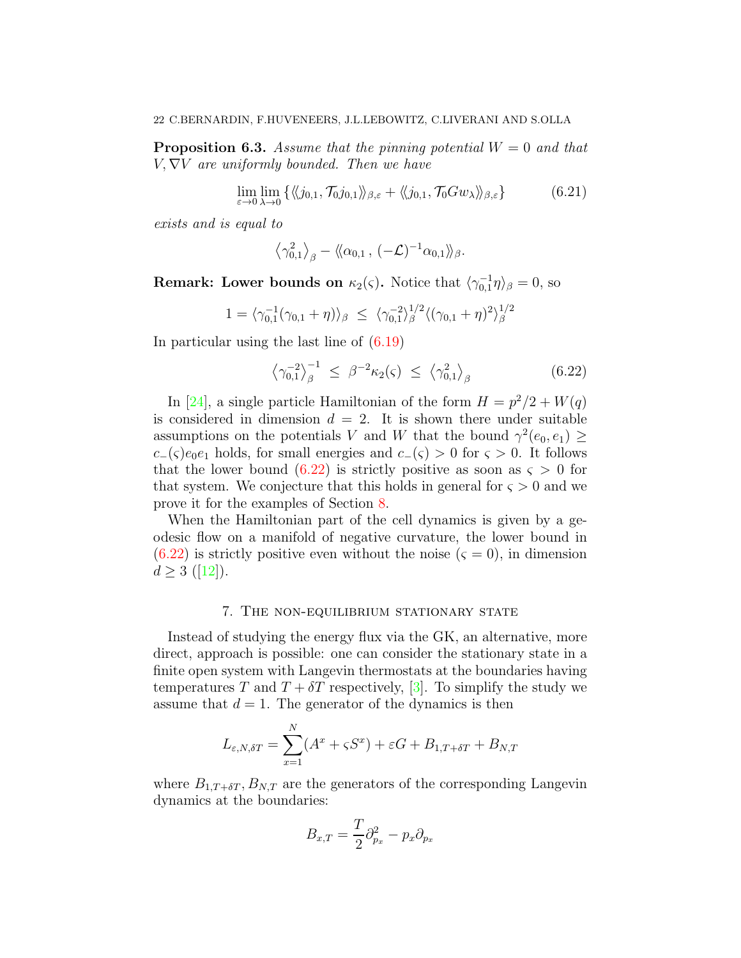**Proposition 6.3.** Assume that the pinning potential  $W = 0$  and that  $V, \nabla V$  are uniformly bounded. Then we have

$$
\lim_{\varepsilon \to 0} \lim_{\lambda \to 0} \{ \langle \langle j_{0,1}, \mathcal{T}_0 j_{0,1} \rangle \rangle_{\beta,\varepsilon} + \langle \langle j_{0,1}, \mathcal{T}_0 G w_\lambda \rangle \rangle_{\beta,\varepsilon} \}
$$
(6.21)

exists and is equal to

$$
\left\langle \gamma_{0,1}^2 \right\rangle_{\beta} - \left\langle \left(\alpha_{0,1} , \, (-\mathcal{L})^{-1} \alpha_{0,1} \right\rangle \right)_{\beta}.
$$

**Remark:** Lower bounds on  $\kappa_2(\varsigma)$ . Notice that  $\langle \gamma_{0,1}^{-1} \eta \rangle_{\beta} = 0$ , so

$$
1 = \langle \gamma_{0,1}^{-1}(\gamma_{0,1} + \eta) \rangle_{\beta} \le \langle \gamma_{0,1}^{-2} \rangle_{\beta}^{1/2} \langle (\gamma_{0,1} + \eta)^2 \rangle_{\beta}^{1/2}
$$

In particular using the last line of [\(6.19\)](#page-20-1)

<span id="page-21-1"></span>
$$
\left\langle \gamma_{0,1}^{-2} \right\rangle_{\beta}^{-1} \leq \beta^{-2} \kappa_2(\varsigma) \leq \left\langle \gamma_{0,1}^2 \right\rangle_{\beta} \tag{6.22}
$$

In [\[24\]](#page-41-0), a single particle Hamiltonian of the form  $H = p^2/2 + W(q)$ is considered in dimension  $d = 2$ . It is shown there under suitable assumptions on the potentials V and W that the bound  $\gamma^2(e_0, e_1) \ge$  $c_-(\varsigma)e_0e_1$  holds, for small energies and  $c_-(\varsigma) > 0$  for  $\varsigma > 0$ . It follows that the lower bound  $(6.22)$  is strictly positive as soon as  $\varsigma > 0$  for that system. We conjecture that this holds in general for  $\varsigma > 0$  and we prove it for the examples of Section [8.](#page-26-0)

When the Hamiltonian part of the cell dynamics is given by a geodesic flow on a manifold of negative curvature, the lower bound in  $(6.22)$  is strictly positive even without the noise  $(5, 0)$ , in dimension  $d > 3$  $d > 3$  $d > 3$  ([\[12\]](#page-41-1)).

### 7. The non-equilibrium stationary state

<span id="page-21-0"></span>Instead of studying the energy flux via the GK, an alternative, more direct, approach is possible: one can consider the stationary state in a finite open system with Langevin thermostats at the boundaries having temperatures T and  $T + \delta T$  respectively, [\[3\]](#page-40-1). To simplify the study we assume that  $d = 1$ . The generator of the dynamics is then

$$
L_{\varepsilon, N, \delta T} = \sum_{x=1}^{N} (A^x + \varsigma S^x) + \varepsilon G + B_{1, T + \delta T} + B_{N, T}
$$

where  $B_{1,T+\delta T}$ ,  $B_{N,T}$  are the generators of the corresponding Langevin dynamics at the boundaries:

$$
B_{x,T} = \frac{T}{2}\partial_{p_x}^2 - p_x \partial_{p_x}
$$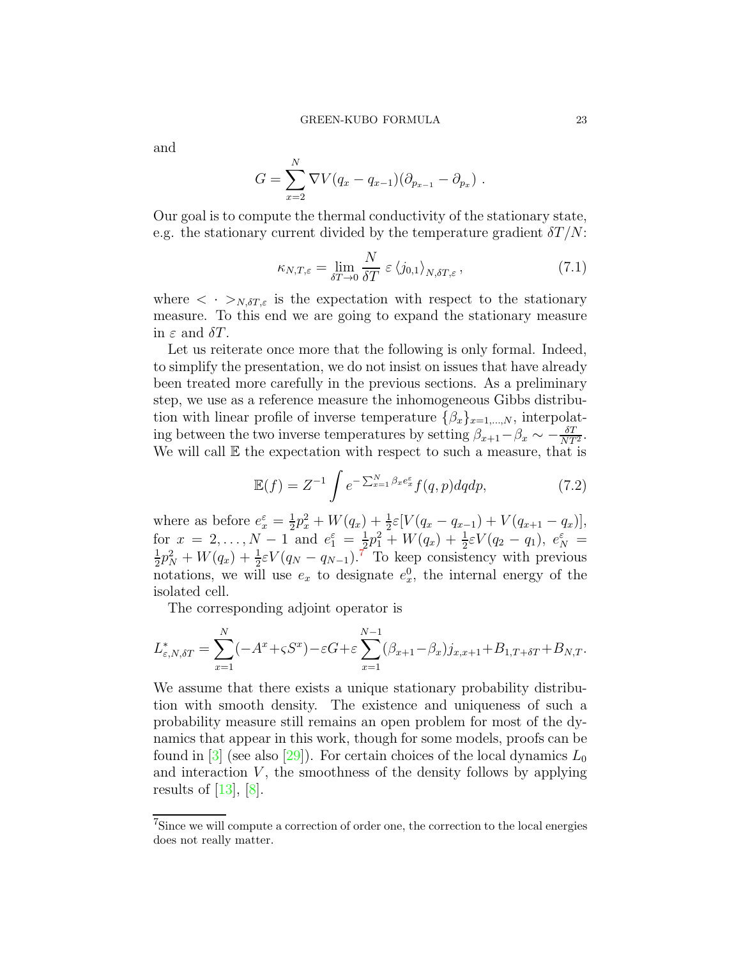and

$$
G = \sum_{x=2}^{N} \nabla V(q_x - q_{x-1})(\partial_{p_{x-1}} - \partial_{p_x}).
$$

Our goal is to compute the thermal conductivity of the stationary state, e.g. the stationary current divided by the temperature gradient  $\delta T/N$ :

<span id="page-22-1"></span>
$$
\kappa_{N,T,\varepsilon} = \lim_{\delta T \to 0} \frac{N}{\delta T} \varepsilon \left\langle j_{0,1} \right\rangle_{N,\delta T,\varepsilon},\tag{7.1}
$$

where  $\langle \cdot \rangle_{N,\delta T,\varepsilon}$  is the expectation with respect to the stationary measure. To this end we are going to expand the stationary measure in  $\varepsilon$  and  $\delta T$ .

Let us reiterate once more that the following is only formal. Indeed, to simplify the presentation, we do not insist on issues that have already been treated more carefully in the previous sections. As a preliminary step, we use as a reference measure the inhomogeneous Gibbs distribution with linear profile of inverse temperature  $\{\beta_x\}_{x=1,\dots,N}$ , interpolating between the two inverse temperatures by setting  $\beta_{x+1} - \beta_x \sim -\frac{\delta T}{NT^2}$ . We will call  $E$  the expectation with respect to such a measure, that is

<span id="page-22-0"></span>
$$
\mathbb{E}(f) = Z^{-1} \int e^{-\sum_{x=1}^{N} \beta_x e_x^{\varepsilon}} f(q, p) dq dp, \qquad (7.2)
$$

where as before  $e_x^{\varepsilon} = \frac{1}{2}$  $\frac{1}{2}p_x^2 + W(q_x) + \frac{1}{2}\varepsilon[V(q_x - q_{x-1}) + V(q_{x+1} - q_x)],$ for  $x = 2,..., N - 1$  and  $e_1^{\varepsilon} = \frac{1}{2}$ for  $x = 2,..., N-1$  and  $e_1^{\varepsilon} = \frac{1}{2}p_1^2 + W(q_x) + \frac{1}{2}\varepsilon V(q_2 - q_1), e_N^{\varepsilon} = \frac{1}{2}p_1^2 + W(q_x) + \frac{1}{2}\varepsilon V(q_2 - q_1), e_N^{\varepsilon} =$  $\frac{1}{2}p_N^2 + W(q_x) + \frac{1}{2}\varepsilon V(q_N - q_{N-1})$ .<sup>7</sup> To keep consistency with previous notations, we will use  $e_x$  to designate  $e_x^0$ , the internal energy of the isolated cell.

The corresponding adjoint operator is

$$
L_{\varepsilon, N, \delta T}^* = \sum_{x=1}^N (-A^x + \varsigma S^x) - \varepsilon G + \varepsilon \sum_{x=1}^{N-1} (\beta_{x+1} - \beta_x) j_{x, x+1} + B_{1, T + \delta T} + B_{N, T}.
$$

We assume that there exists a unique stationary probability distribution with smooth density. The existence and uniqueness of such a probability measure still remains an open problem for most of the dynamics that appear in this work, though for some models, proofs can be found in [\[3\]](#page-40-1) (see also [\[29\]](#page-41-18)). For certain choices of the local dynamics  $L_0$ and interaction  $V$ , the smoothness of the density follows by applying results of  $|13|, |8|$ .

<sup>7</sup>Since we will compute a correction of order one, the correction to the local energies does not really matter.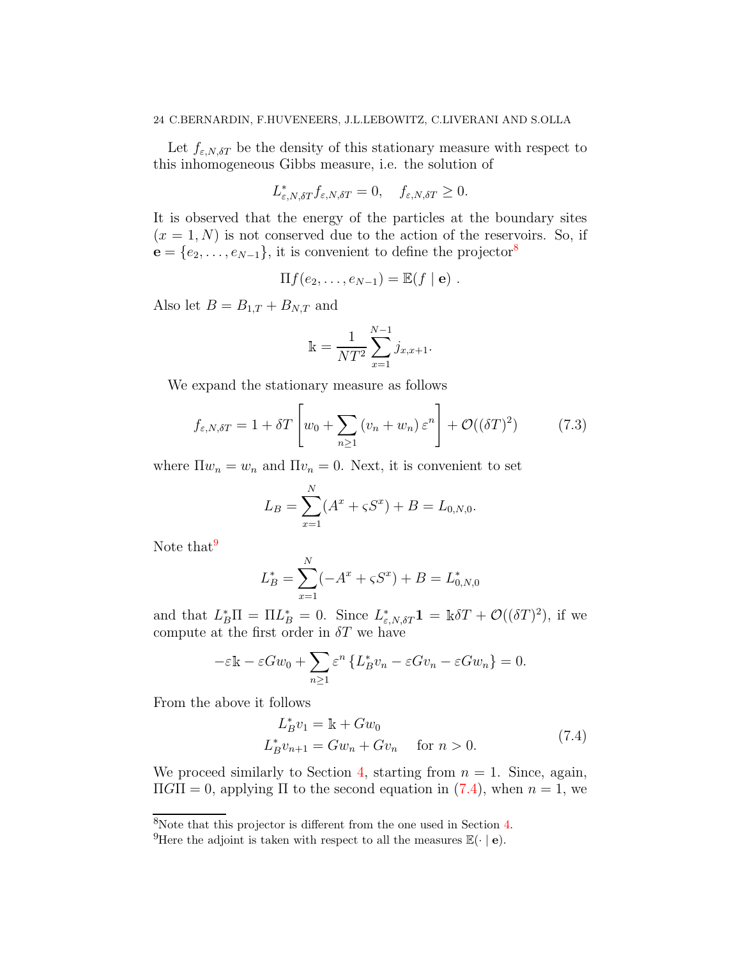Let  $f_{\varepsilon, N, \delta T}$  be the density of this stationary measure with respect to this inhomogeneous Gibbs measure, i.e. the solution of

$$
L_{\varepsilon,N,\delta T}^* f_{\varepsilon,N,\delta T} = 0, \quad f_{\varepsilon,N,\delta T} \ge 0.
$$

It is observed that the energy of the particles at the boundary sites  $(x = 1, N)$  is not conserved due to the action of the reservoirs. So, if  $e = \{e_2, \ldots, e_{N-1}\}\$ , it is convenient to define the projector<sup>8</sup>

$$
\Pi f(e_2,\ldots,e_{N-1})=\mathbb{E}(f\mid \mathbf{e})\ .
$$

Also let  $B = B_{1,T} + B_{N,T}$  and

$$
\mathbb{k} = \frac{1}{NT^2} \sum_{x=1}^{N-1} j_{x,x+1}.
$$

We expand the stationary measure as follows

$$
f_{\varepsilon,N,\delta T} = 1 + \delta T \left[ w_0 + \sum_{n \ge 1} \left( v_n + w_n \right) \varepsilon^n \right] + \mathcal{O}((\delta T)^2) \tag{7.3}
$$

where  $\Pi w_n = w_n$  and  $\Pi v_n = 0$ . Next, it is convenient to set

$$
L_B = \sum_{x=1}^{N} (A^x + \varsigma S^x) + B = L_{0,N,0}.
$$

Note that<sup>9</sup>

$$
L_B^* = \sum_{x=1}^N (-A^x + \varsigma S^x) + B = L_{0,N,0}^*
$$

and that  $L_B^* \Pi = \Pi L_B^* = 0$ . Since  $L_{\varepsilon, N, \delta T}^* \mathbf{1} = \mathbb{k} \delta T + \mathcal{O}((\delta T)^2)$ , if we compute at the first order in  $\delta T$  we have

$$
-\varepsilon \mathbb{k} - \varepsilon G w_0 + \sum_{n \ge 1} \varepsilon^n \left\{ L_B^* v_n - \varepsilon G v_n - \varepsilon G w_n \right\} = 0.
$$

<span id="page-23-0"></span>From the above it follows

$$
L_B^* v_1 = \mathbb{k} + G w_0
$$
  
\n
$$
L_B^* v_{n+1} = G w_n + G v_n \quad \text{for } n > 0.
$$
\n(7.4)

We proceed similarly to Section [4,](#page-9-0) starting from  $n = 1$ . Since, again,  $\Pi$ GII = 0, applying  $\Pi$  to the second equation in [\(7.4\)](#page-23-0), when  $n = 1$ , we

<sup>8</sup>Note that this projector is different from the one used in Section [4.](#page-9-0)

<sup>&</sup>lt;sup>9</sup>Here the adjoint is taken with respect to all the measures  $\mathbb{E}(\cdot | \mathbf{e})$ .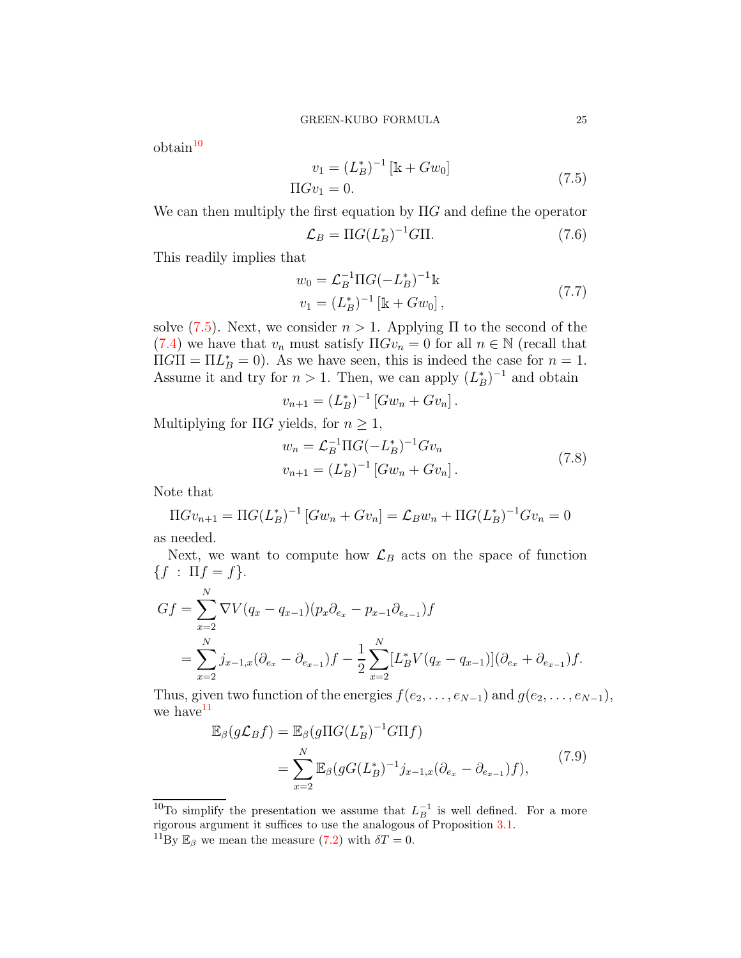<span id="page-24-0"></span> $obtain<sup>10</sup>$ 

$$
v_1 = (L_B^*)^{-1} [\mathbb{k} + Gw_0]
$$
  
\n
$$
\Pi G v_1 = 0.
$$
\n(7.5)

We can then multiply the first equation by  $\Pi G$  and define the operator

$$
\mathcal{L}_B = \Pi G (L_B^*)^{-1} G \Pi. \tag{7.6}
$$

This readily implies that

$$
w_0 = \mathcal{L}_B^{-1} \Pi G(-L_B^*)^{-1} \mathbb{k}
$$
  

$$
v_1 = (L_B^*)^{-1} \left[ \mathbb{k} + G w_0 \right],
$$
 (7.7)

solve [\(7.5\)](#page-24-0). Next, we consider  $n > 1$ . Applying  $\Pi$  to the second of the [\(7.4\)](#page-23-0) we have that  $v_n$  must satisfy  $\Pi Gv_n = 0$  for all  $n \in \mathbb{N}$  (recall that  $\Pi G \Pi = \Pi L_B^* = 0$ . As we have seen, this is indeed the case for  $n = 1$ . Assume it and try for  $n > 1$ . Then, we can apply  $(L_B^*)^{-1}$  and obtain

$$
v_{n+1} = (L_B^*)^{-1} [Gw_n + Gv_n].
$$

Multiplying for  $\Pi G$  yields, for  $n \geq 1$ ,

$$
w_n = \mathcal{L}_B^{-1} \Pi G(-L_B^*)^{-1} G v_n
$$
  

$$
v_{n+1} = (L_B^*)^{-1} [G w_n + G v_n].
$$
 (7.8)

Note that

$$
\Pi G v_{n+1} = \Pi G (L_B^*)^{-1} \left[ G w_n + G v_n \right] = \mathcal{L}_B w_n + \Pi G (L_B^*)^{-1} G v_n = 0
$$

as needed.

Next, we want to compute how  $\mathcal{L}_B$  acts on the space of function  ${f : \Pi f = f}.$ 

$$
Gf = \sum_{x=2}^{N} \nabla V(q_x - q_{x-1})(p_x \partial_{e_x} - p_{x-1} \partial_{e_{x-1}}) f
$$
  
= 
$$
\sum_{x=2}^{N} j_{x-1,x} (\partial_{e_x} - \partial_{e_{x-1}}) f - \frac{1}{2} \sum_{x=2}^{N} [L_B^* V(q_x - q_{x-1})](\partial_{e_x} + \partial_{e_{x-1}}) f.
$$

Thus, given two function of the energies  $f(e_2, \ldots, e_{N-1})$  and  $g(e_2, \ldots, e_{N-1})$ , we have  $11$ 

$$
\mathbb{E}_{\beta}(g\mathcal{L}_B f) = \mathbb{E}_{\beta}(g\Pi G(L_B^*)^{-1} G\Pi f)
$$
  
= 
$$
\sum_{x=2}^N \mathbb{E}_{\beta}(gG(L_B^*)^{-1} j_{x-1,x} (\partial_{e_x} - \partial_{e_{x-1}}) f),
$$
 (7.9)

<span id="page-24-1"></span><sup>10</sup>To simplify the presentation we assume that  $L_B^{-1}$  is well defined. For a more rigorous argument it suffices to use the analogous of Proposition [3.1.](#page-7-5)

<sup>&</sup>lt;sup>11</sup>By  $\mathbb{E}_{\beta}$  we mean the measure [\(7.2\)](#page-22-0) with  $\delta T = 0$ .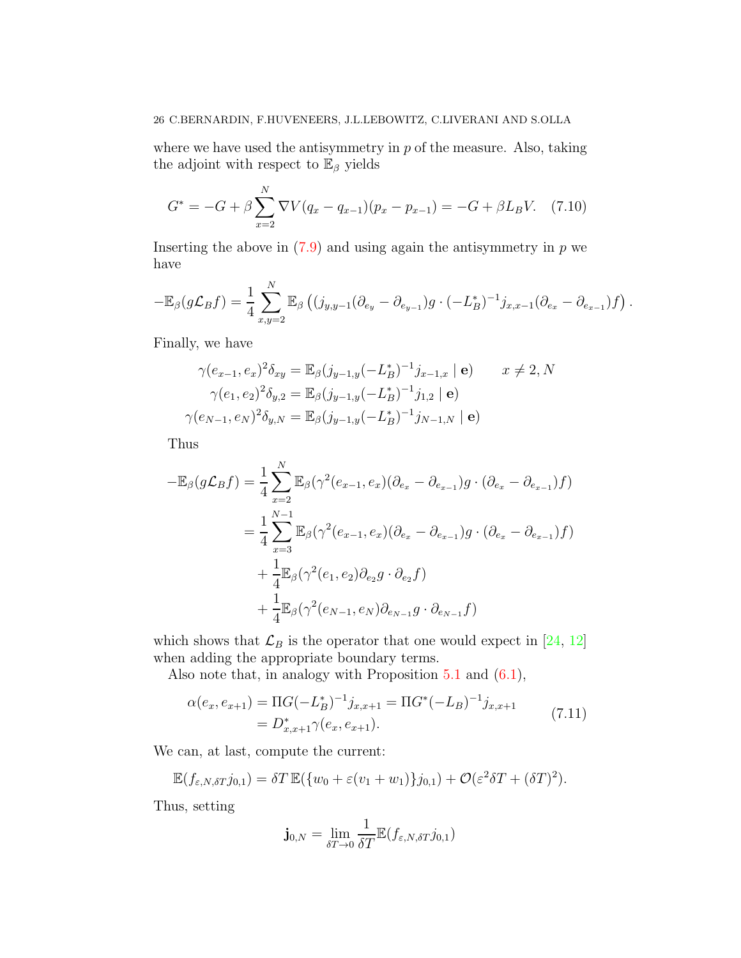where we have used the antisymmetry in  $p$  of the measure. Also, taking the adjoint with respect to  $\mathbb{E}_{\beta}$  yields

$$
G^* = -G + \beta \sum_{x=2}^{N} \nabla V (q_x - q_{x-1})(p_x - p_{x-1}) = -G + \beta L_B V. \tag{7.10}
$$

Inserting the above in  $(7.9)$  and using again the antisymmetry in p we have

$$
-\mathbb{E}_{\beta}(g\mathcal{L}_B f) = \frac{1}{4} \sum_{x,y=2}^N \mathbb{E}_{\beta}\left((j_{y,y-1}(\partial_{e_y} - \partial_{e_{y-1}})g \cdot (-L_B^*)^{-1}j_{x,x-1}(\partial_{e_x} - \partial_{e_{x-1}})f\right).
$$

Finally, we have

$$
\gamma(e_{x-1}, e_x)^2 \delta_{xy} = \mathbb{E}_{\beta}(j_{y-1,y}(-L_B^*)^{-1}j_{x-1,x} | \mathbf{e}) \qquad x \neq 2, N
$$

$$
\gamma(e_1, e_2)^2 \delta_{y,2} = \mathbb{E}_{\beta}(j_{y-1,y}(-L_B^*)^{-1}j_{1,2} | \mathbf{e})
$$

$$
\gamma(e_{N-1}, e_N)^2 \delta_{y,N} = \mathbb{E}_{\beta}(j_{y-1,y}(-L_B^*)^{-1}j_{N-1,N} | \mathbf{e})
$$

Thus

$$
-\mathbb{E}_{\beta}(g\mathcal{L}_{B}f) = \frac{1}{4} \sum_{x=2}^{N} \mathbb{E}_{\beta}(\gamma^{2}(e_{x-1}, e_{x})(\partial_{e_{x}} - \partial_{e_{x-1}})g \cdot (\partial_{e_{x}} - \partial_{e_{x-1}})f)
$$
  

$$
= \frac{1}{4} \sum_{x=3}^{N-1} \mathbb{E}_{\beta}(\gamma^{2}(e_{x-1}, e_{x})(\partial_{e_{x}} - \partial_{e_{x-1}})g \cdot (\partial_{e_{x}} - \partial_{e_{x-1}})f)
$$
  

$$
+ \frac{1}{4} \mathbb{E}_{\beta}(\gamma^{2}(e_{1}, e_{2})\partial_{e_{2}}g \cdot \partial_{e_{2}}f)
$$
  

$$
+ \frac{1}{4} \mathbb{E}_{\beta}(\gamma^{2}(e_{N-1}, e_{N})\partial_{e_{N-1}}g \cdot \partial_{e_{N-1}}f)
$$

which shows that  $\mathcal{L}_B$  is the operator that one would expect in [\[24,](#page-41-0) [12\]](#page-41-1) when adding the appropriate boundary terms.

Also note that, in analogy with Proposition [5.1](#page-13-0) and [\(6.1\)](#page-16-0),

$$
\alpha(e_x, e_{x+1}) = \Pi G(-L_B^*)^{-1} j_{x,x+1} = \Pi G^*(-L_B)^{-1} j_{x,x+1}
$$
  
=  $D_{x,x+1}^* \gamma(e_x, e_{x+1}).$  (7.11)

We can, at last, compute the current:

$$
\mathbb{E}(f_{\varepsilon,N,\delta T}j_{0,1}) = \delta T \mathbb{E}(\{w_0 + \varepsilon(v_1 + w_1)\}j_{0,1}) + \mathcal{O}(\varepsilon^2 \delta T + (\delta T)^2).
$$

Thus, setting

$$
\mathbf{j}_{0,N} = \lim_{\delta T \to 0} \frac{1}{\delta T} \mathbb{E}(f_{\varepsilon,N,\delta T} j_{0,1})
$$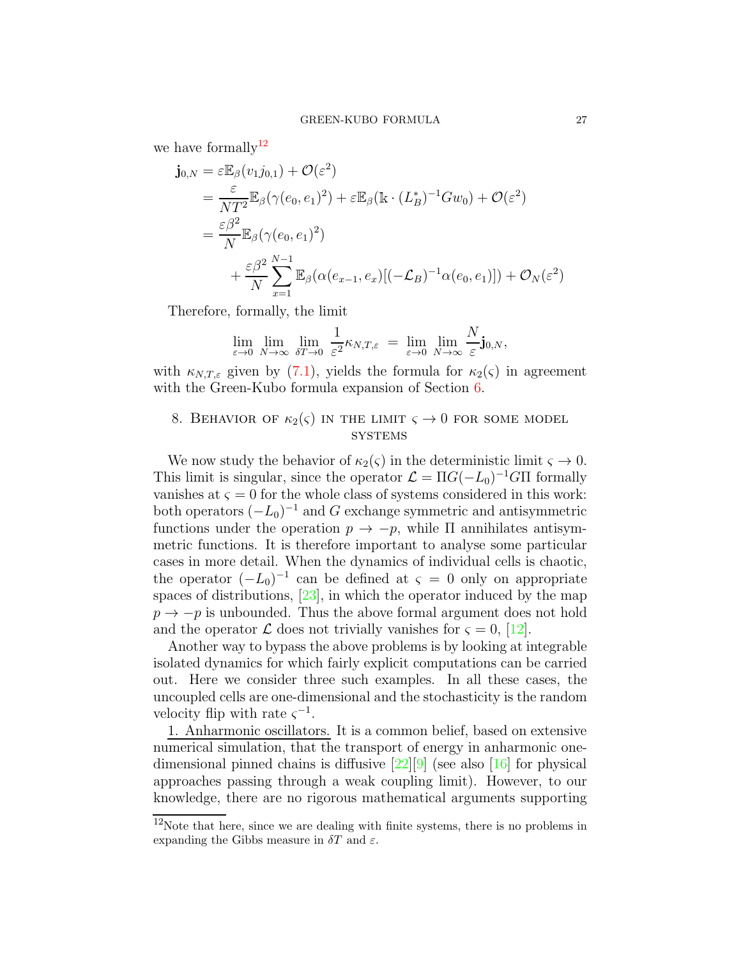we have formally  $12$ 

$$
\begin{split} \mathbf{j}_{0,N} &= \varepsilon \mathbb{E}_{\beta}(v_1 j_{0,1}) + \mathcal{O}(\varepsilon^2) \\ &= \frac{\varepsilon}{NT^2} \mathbb{E}_{\beta}(\gamma(e_0, e_1)^2) + \varepsilon \mathbb{E}_{\beta}(\mathbb{k} \cdot (L_B^*)^{-1} G w_0) + \mathcal{O}(\varepsilon^2) \\ &= \frac{\varepsilon \beta^2}{N} \mathbb{E}_{\beta}(\gamma(e_0, e_1)^2) \\ &+ \frac{\varepsilon \beta^2}{N} \sum_{x=1}^{N-1} \mathbb{E}_{\beta}(\alpha(e_{x-1}, e_x)[(-\mathcal{L}_B)^{-1} \alpha(e_0, e_1)]) + \mathcal{O}_N(\varepsilon^2) \end{split}
$$

Therefore, formally, the limit

$$
\lim_{\varepsilon \to 0} \lim_{N \to \infty} \lim_{\delta T \to 0} \frac{1}{\varepsilon^2} \kappa_{N,T,\varepsilon} = \lim_{\varepsilon \to 0} \lim_{N \to \infty} \frac{N}{\varepsilon} \mathbf{j}_{0,N},
$$

with  $\kappa_{N,T,\varepsilon}$  given by [\(7.1\)](#page-22-1), yields the formula for  $\kappa_2(\varsigma)$  in agreement with the Green-Kubo formula expansion of Section [6.](#page-15-0)

# <span id="page-26-0"></span>8. BEHAVIOR OF  $\kappa_2(\varsigma)$  in the limit  $\varsigma \to 0$  for some model **SYSTEMS**

We now study the behavior of  $\kappa_2(\varsigma)$  in the deterministic limit  $\varsigma \to 0$ . This limit is singular, since the operator  $\mathcal{L} = \Pi G(-L_0)^{-1}G\Pi$  formally vanishes at  $\varsigma = 0$  for the whole class of systems considered in this work: both operators  $(-L_0)^{-1}$  and G exchange symmetric and antisymmetric functions under the operation  $p \to -p$ , while  $\Pi$  annihilates antisymmetric functions. It is therefore important to analyse some particular cases in more detail. When the dynamics of individual cells is chaotic, the operator  $(-L_0)^{-1}$  can be defined at  $\varsigma = 0$  only on appropriate spaces of distributions, [\[23\]](#page-41-20), in which the operator induced by the map  $p \rightarrow -p$  is unbounded. Thus the above formal argument does not hold and the operator  $\mathcal L$  does not trivially vanishes for  $\zeta = 0$ , [\[12\]](#page-41-1).

Another way to bypass the above problems is by looking at integrable isolated dynamics for which fairly explicit computations can be carried out. Here we consider three such examples. In all these cases, the uncoupled cells are one-dimensional and the stochasticity is the random velocity flip with rate  $\varsigma^{-1}$ .

1. Anharmonic oscillators. It is a common belief, based on extensive numerical simulation, that the transport of energy in anharmonic onedimensional pinned chains is diffusive  $[22][9]$  $[22][9]$  (see also [\[16\]](#page-41-21) for physical approaches passing through a weak coupling limit). However, to our knowledge, there are no rigorous mathematical arguments supporting

<sup>12</sup>Note that here, since we are dealing with finite systems, there is no problems in expanding the Gibbs measure in  $\delta T$  and  $\varepsilon$ .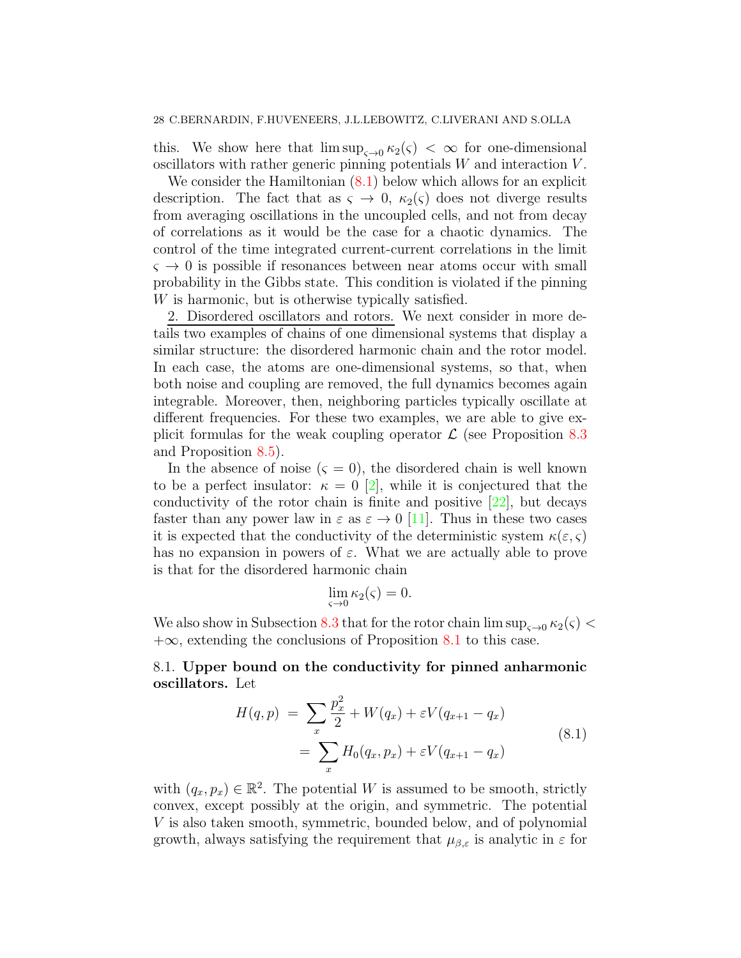this. We show here that  $\limsup_{\zeta\to 0} \kappa_2(\zeta) < \infty$  for one-dimensional oscillators with rather generic pinning potentials  $W$  and interaction  $V$ .

We consider the Hamiltonian  $(8.1)$  below which allows for an explicit description. The fact that as  $\varsigma \to 0$ ,  $\kappa_2(\varsigma)$  does not diverge results from averaging oscillations in the uncoupled cells, and not from decay of correlations as it would be the case for a chaotic dynamics. The control of the time integrated current-current correlations in the limit  $\varsigma \rightarrow 0$  is possible if resonances between near atoms occur with small probability in the Gibbs state. This condition is violated if the pinning W is harmonic, but is otherwise typically satisfied.

2. Disordered oscillators and rotors. We next consider in more details two examples of chains of one dimensional systems that display a similar structure: the disordered harmonic chain and the rotor model. In each case, the atoms are one-dimensional systems, so that, when both noise and coupling are removed, the full dynamics becomes again integrable. Moreover, then, neighboring particles typically oscillate at different frequencies. For these two examples, we are able to give explicit formulas for the weak coupling operator  $\mathcal L$  (see Proposition [8.3](#page-29-0)) and Proposition [8.5\)](#page-30-0).

In the absence of noise  $(\varsigma = 0)$ , the disordered chain is well known to be a perfect insulator:  $\kappa = 0$  [\[2\]](#page-40-2), while it is conjectured that the conductivity of the rotor chain is finite and positive  $[22]$ , but decays faster than any power law in  $\varepsilon$  as  $\varepsilon \to 0$  [\[11\]](#page-41-22). Thus in these two cases it is expected that the conductivity of the deterministic system  $\kappa(\varepsilon, \varsigma)$ has no expansion in powers of  $\varepsilon$ . What we are actually able to prove is that for the disordered harmonic chain

$$
\lim_{\varsigma \to 0} \kappa_2(\varsigma) = 0.
$$

We also show in Subsection [8.3](#page-30-1) that for the rotor chain  $\limsup_{s\to 0} \kappa_2(s)$  $+\infty$ , extending the conclusions of Proposition [8.1](#page-28-0) to this case.

# 8.1. Upper bound on the conductivity for pinned anharmonic oscillators. Let

$$
H(q, p) = \sum_{x} \frac{p_x^2}{2} + W(q_x) + \varepsilon V(q_{x+1} - q_x)
$$
  
= 
$$
\sum_{x} H_0(q_x, p_x) + \varepsilon V(q_{x+1} - q_x)
$$
 (8.1)

<span id="page-27-0"></span>with  $(q_x, p_x) \in \mathbb{R}^2$ . The potential W is assumed to be smooth, strictly convex, except possibly at the origin, and symmetric. The potential V is also taken smooth, symmetric, bounded below, and of polynomial growth, always satisfying the requirement that  $\mu_{\beta,\varepsilon}$  is analytic in  $\varepsilon$  for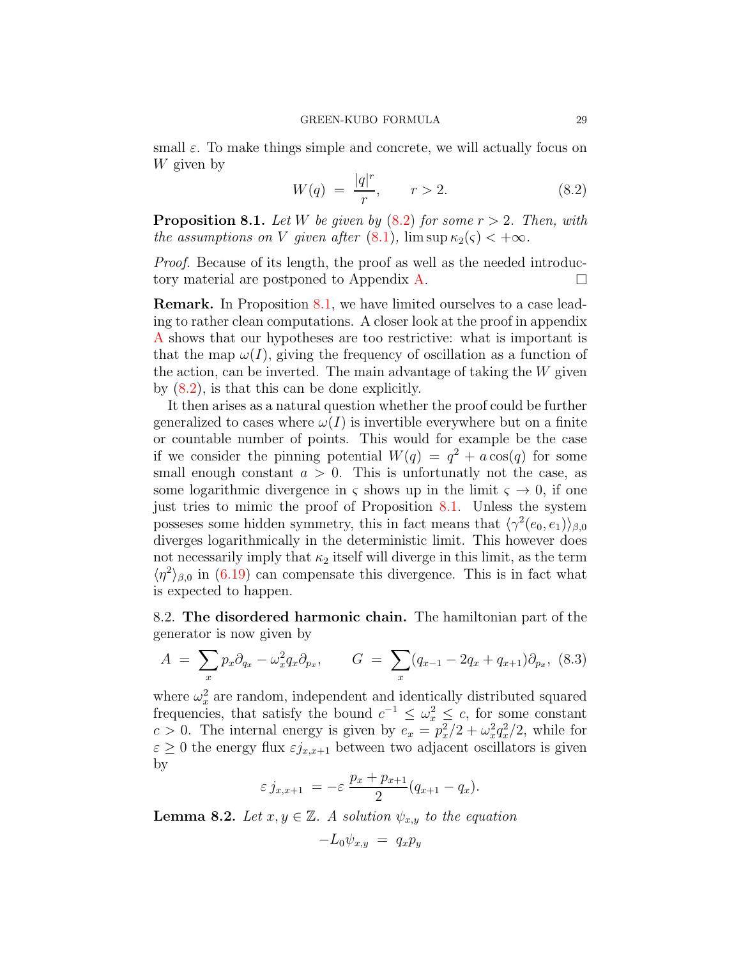small  $\varepsilon$ . To make things simple and concrete, we will actually focus on W given by

<span id="page-28-1"></span>
$$
W(q) = \frac{|q|^r}{r}, \qquad r > 2. \tag{8.2}
$$

<span id="page-28-0"></span>**Proposition 8.1.** Let W be given by  $(8.2)$  for some  $r > 2$ . Then, with the assumptions on V given after  $(8.1)$ ,  $\limsup \kappa_2(\varsigma) < +\infty$ .

Proof. Because of its length, the proof as well as the needed introduc-tory material are postponed to Appendix [A.](#page-32-0)  $\Box$ 

Remark. In Proposition [8.1,](#page-28-0) we have limited ourselves to a case leading to rather clean computations. A closer look at the proof in appendix [A](#page-32-0) shows that our hypotheses are too restrictive: what is important is that the map  $\omega(I)$ , giving the frequency of oscillation as a function of the action, can be inverted. The main advantage of taking the  $W$  given by [\(8.2\)](#page-28-1), is that this can be done explicitly.

It then arises as a natural question whether the proof could be further generalized to cases where  $\omega(I)$  is invertible everywhere but on a finite or countable number of points. This would for example be the case if we consider the pinning potential  $W(q) = q^2 + a \cos(q)$  for some small enough constant  $a > 0$ . This is unfortunatly not the case, as some logarithmic divergence in  $\varsigma$  shows up in the limit  $\varsigma \to 0$ , if one just tries to mimic the proof of Proposition [8.1.](#page-28-0) Unless the system posseses some hidden symmetry, this in fact means that  $\langle \gamma^2(e_0, e_1) \rangle_{\beta,0}$ diverges logarithmically in the deterministic limit. This however does not necessarily imply that  $\kappa_2$  itself will diverge in this limit, as the term  $\langle \eta^2 \rangle_{\beta,0}$  in [\(6.19\)](#page-20-1) can compensate this divergence. This is in fact what is expected to happen.

8.2. The disordered harmonic chain. The hamiltonian part of the generator is now given by

$$
A = \sum_{x} p_x \partial_{q_x} - \omega_x^2 q_x \partial_{p_x}, \qquad G = \sum_{x} (q_{x-1} - 2q_x + q_{x+1}) \partial_{p_x}, \quad (8.3)
$$

where  $\omega_x^2$  are random, independent and identically distributed squared frequencies, that satisfy the bound  $c^{-1} \leq \omega_x^2 \leq c$ , for some constant  $c > 0$ . The internal energy is given by  $e_x = p_x^2/2 + \omega_x^2 q_x^2/2$ , while for  $\varepsilon \geq 0$  the energy flux  $\varepsilon j_{x,x+1}$  between two adjacent oscillators is given by

$$
\varepsilon j_{x,x+1} = -\varepsilon \frac{p_x + p_{x+1}}{2} (q_{x+1} - q_x).
$$

**Lemma 8.2.** Let  $x, y \in \mathbb{Z}$ . A solution  $\psi_{x,y}$  to the equation

$$
-L_0\psi_{x,y} = q_x p_y
$$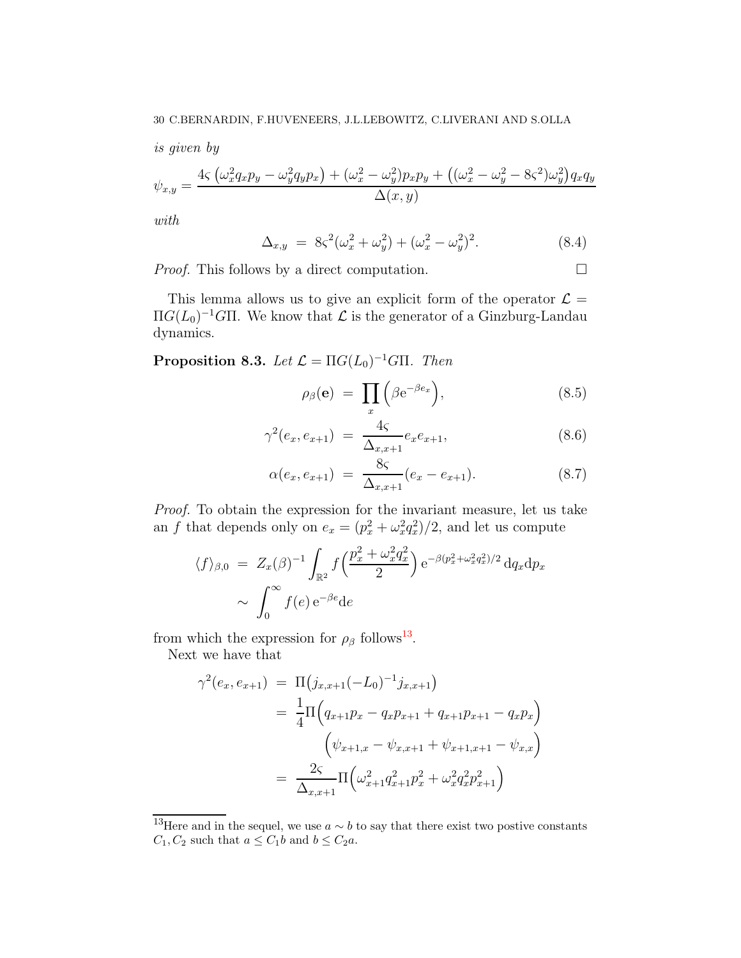is given by

$$
\psi_{x,y} = \frac{4\varsigma \left(\omega_x^2 q_x p_y - \omega_y^2 q_y p_x\right) + (\omega_x^2 - \omega_y^2) p_x p_y + \left((\omega_x^2 - \omega_y^2 - 8\varsigma^2)\omega_y^2\right) q_x q_y}{\Delta(x,y)}
$$

with

<span id="page-29-1"></span>
$$
\Delta_{x,y} = 8\varsigma^2(\omega_x^2 + \omega_y^2) + (\omega_x^2 - \omega_y^2)^2.
$$
 (8.4)

*Proof.* This follows by a direct computation.  $\Box$ 

This lemma allows us to give an explicit form of the operator  $\mathcal{L} =$  $\Pi G(L_0)^{-1}G\Pi$ . We know that  $\mathcal L$  is the generator of a Ginzburg-Landau dynamics.

<span id="page-29-0"></span>**Proposition 8.3.** Let  $\mathcal{L} = \Pi G(L_0)^{-1} G \Pi$ . Then

$$
\rho_{\beta}(\mathbf{e}) = \prod_{x} \left( \beta e^{-\beta e_x} \right), \tag{8.5}
$$

$$
\gamma^{2}(e_{x}, e_{x+1}) = \frac{4\varsigma}{\Delta_{x,x+1}} e_{x} e_{x+1}, \tag{8.6}
$$

$$
\alpha(e_x, e_{x+1}) = \frac{8\varsigma}{\Delta_{x,x+1}}(e_x - e_{x+1}). \tag{8.7}
$$

Proof. To obtain the expression for the invariant measure, let us take an f that depends only on  $e_x = (p_x^2 + \omega_x^2 q_x^2)/2$ , and let us compute

$$
\langle f \rangle_{\beta,0} = Z_x(\beta)^{-1} \int_{\mathbb{R}^2} f\left(\frac{p_x^2 + \omega_x^2 q_x^2}{2}\right) e^{-\beta(p_x^2 + \omega_x^2 q_x^2)/2} dq_x dp_x
$$

$$
\sim \int_0^\infty f(e) e^{-\beta e} de
$$

from which the expression for  $\rho_\beta$  follows<sup>13</sup>.

Next we have that

$$
\gamma^{2}(e_{x}, e_{x+1}) = \Pi(j_{x,x+1}(-L_{0})^{-1}j_{x,x+1})
$$
  
=  $\frac{1}{4}\Pi(q_{x+1}p_{x} - q_{x}p_{x+1} + q_{x+1}p_{x+1} - q_{x}p_{x})$   

$$
(\psi_{x+1,x} - \psi_{x,x+1} + \psi_{x+1,x+1} - \psi_{x,x})
$$
  
=  $\frac{2\varsigma}{\Delta_{x,x+1}}\Pi(\omega_{x+1}^{2}q_{x+1}^{2}p_{x}^{2} + \omega_{x}^{2}q_{x}^{2}p_{x+1}^{2})$ 

<sup>&</sup>lt;sup>13</sup>Here and in the sequel, we use  $a ∼ b$  to say that there exist two postive constants  $C_1, C_2$  such that  $a \leq C_1b$  and  $b \leq C_2a$ .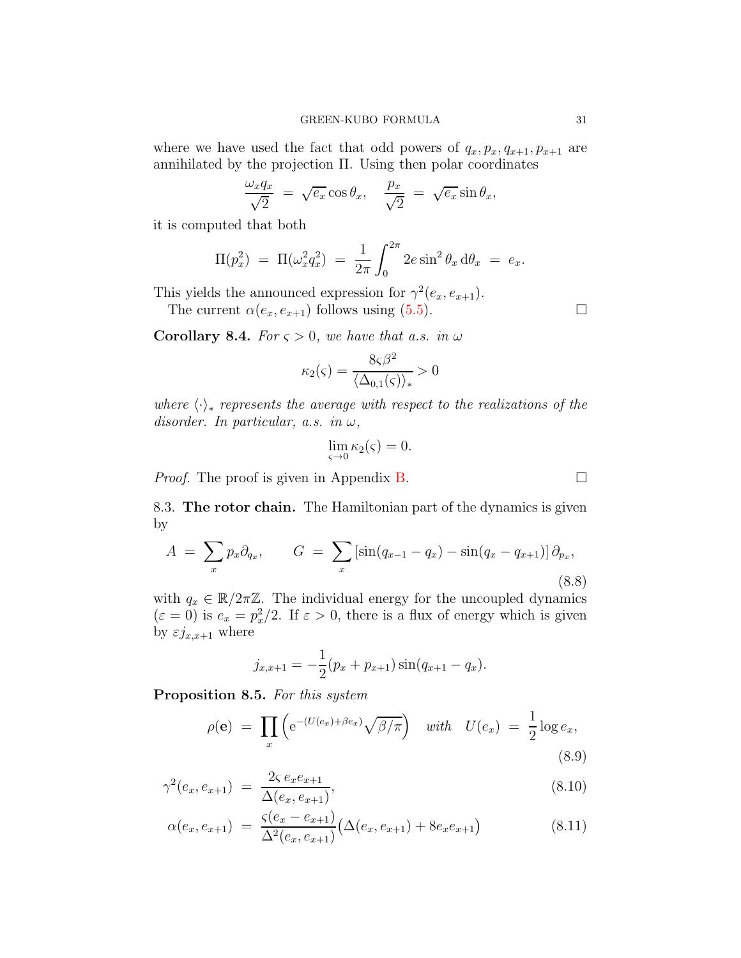where we have used the fact that odd powers of  $q_x, p_x, q_{x+1}, p_{x+1}$  are annihilated by the projection Π. Using then polar coordinates

$$
\frac{\omega_x q_x}{\sqrt{2}} = \sqrt{e_x} \cos \theta_x, \quad \frac{p_x}{\sqrt{2}} = \sqrt{e_x} \sin \theta_x,
$$

it is computed that both

$$
\Pi(p_x^2) = \Pi(\omega_x^2 q_x^2) = \frac{1}{2\pi} \int_0^{2\pi} 2e \sin^2 \theta_x \, d\theta_x = e_x.
$$

This yields the announced expression for  $\gamma^2(e_x, e_{x+1})$ .

The current  $\alpha(e_x, e_{x+1})$  follows using [\(5.5\)](#page-13-1).

<span id="page-30-2"></span>**Corollary 8.4.** For  $\varsigma > 0$ , we have that a.s. in  $\omega$ 

$$
\kappa_2(\varsigma) = \frac{8\varsigma\beta^2}{\langle \Delta_{0,1}(\varsigma) \rangle_*} > 0
$$

where  $\langle \cdot \rangle_*$  represents the average with respect to the realizations of the disorder. In particular, a.s. in  $\omega$ ,

$$
\lim_{\varsigma \to 0} \kappa_2(\varsigma) = 0.
$$

<span id="page-30-1"></span>*Proof.* The proof is given in Appendix [B.](#page-38-0)

8.3. The rotor chain. The Hamiltonian part of the dynamics is given by

$$
A = \sum_{x} p_x \partial_{q_x}, \qquad G = \sum_{x} \left[ \sin(q_{x-1} - q_x) - \sin(q_x - q_{x+1}) \right] \partial_{p_x}, \tag{8.8}
$$

with  $q_x \in \mathbb{R}/2\pi\mathbb{Z}$ . The individual energy for the uncoupled dynamics  $(\varepsilon = 0)$  is  $e_x = p_x^2/2$ . If  $\varepsilon > 0$ , there is a flux of energy which is given by  $\varepsilon j_{x,x+1}$  where

<span id="page-30-5"></span>
$$
j_{x,x+1} = -\frac{1}{2}(p_x + p_{x+1})\sin(q_{x+1} - q_x).
$$

<span id="page-30-0"></span>Proposition 8.5. For this system

$$
\rho(\mathbf{e}) = \prod_{x} \left( e^{-(U(e_x) + \beta e_x)} \sqrt{\beta/\pi} \right) \quad with \quad U(e_x) = \frac{1}{2} \log e_x,
$$
\n(8.9)

$$
\gamma^{2}(e_{x}, e_{x+1}) = \frac{2\varsigma e_{x}e_{x+1}}{\Delta(e_{x}, e_{x+1})},\tag{8.10}
$$

$$
\alpha(e_x, e_{x+1}) = \frac{\varsigma(e_x - e_{x+1})}{\Delta^2(e_x, e_{x+1})} \left(\Delta(e_x, e_{x+1}) + 8e_x e_{x+1}\right) \tag{8.11}
$$

<span id="page-30-4"></span><span id="page-30-3"></span>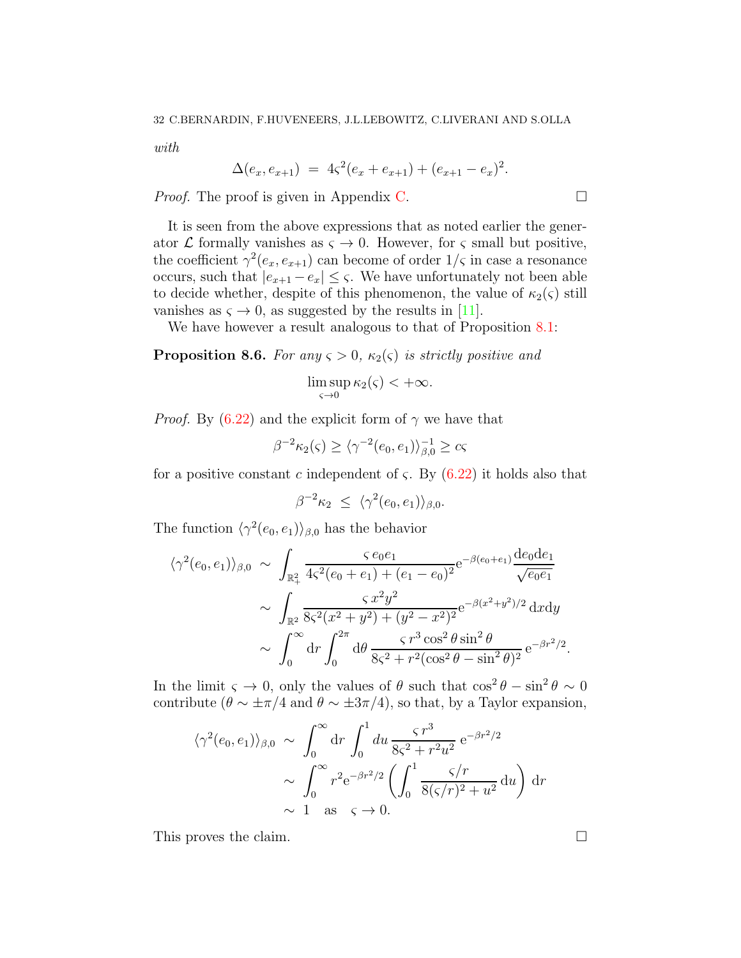with

$$
\Delta(e_x, e_{x+1}) = 4\varsigma^2(e_x + e_{x+1}) + (e_{x+1} - e_x)^2.
$$

*Proof.* The proof is given in Appendix [C.](#page-39-0)  $\Box$ 

It is seen from the above expressions that as noted earlier the generator  $\mathcal L$  formally vanishes as  $\varsigma \to 0$ . However, for  $\varsigma$  small but positive, the coefficient  $\gamma^2(e_x, e_{x+1})$  can become of order  $1/\varsigma$  in case a resonance occurs, such that  $|e_{x+1} - e_x| \leq \varsigma$ . We have unfortunately not been able to decide whether, despite of this phenomenon, the value of  $\kappa_2(\varsigma)$  still vanishes as  $\varsigma \to 0$ , as suggested by the results in [\[11\]](#page-41-22).

We have however a result analogous to that of Proposition [8.1:](#page-28-0)

# **Proposition 8.6.** For any  $\varsigma > 0$ ,  $\kappa_2(\varsigma)$  is strictly positive and

$$
\limsup_{\varsigma \to 0} \kappa_2(\varsigma) < +\infty.
$$

*Proof.* By [\(6.22\)](#page-21-1) and the explicit form of  $\gamma$  we have that

$$
\beta^{-2}\kappa_2(\varsigma) \ge \langle \gamma^{-2}(e_0, e_1) \rangle_{\beta,0}^{-1} \ge c\varsigma
$$

for a positive constant c independent of  $\zeta$ . By [\(6.22\)](#page-21-1) it holds also that

$$
\beta^{-2}\kappa_2 \leq \langle \gamma^2(e_0, e_1) \rangle_{\beta,0}.
$$

The function  $\langle \gamma^2(e_0, e_1) \rangle_{\beta,0}$  has the behavior

$$
\langle \gamma^2(e_0, e_1) \rangle_{\beta,0} \sim \int_{\mathbb{R}^2_+} \frac{\varsigma e_0 e_1}{4\varsigma^2(e_0 + e_1) + (e_1 - e_0)^2} e^{-\beta(e_0 + e_1)} \frac{de_0 d e_1}{\sqrt{e_0 e_1}} \\
\sim \int_{\mathbb{R}^2} \frac{\varsigma x^2 y^2}{8\varsigma^2(x^2 + y^2) + (y^2 - x^2)^2} e^{-\beta(x^2 + y^2)/2} dxdy \\
\sim \int_0^\infty dr \int_0^{2\pi} d\theta \frac{\varsigma r^3 \cos^2 \theta \sin^2 \theta}{8\varsigma^2 + r^2(\cos^2 \theta - \sin^2 \theta)^2} e^{-\beta r^2/2}
$$

In the limit  $\varsigma \to 0$ , only the values of  $\theta$  such that  $\cos^2 \theta - \sin^2 \theta \sim 0$ contribute ( $\theta \sim \pm \pi/4$  and  $\theta \sim \pm 3\pi/4$ ), so that, by a Taylor expansion,

$$
\langle \gamma^2(e_0, e_1) \rangle_{\beta,0} \sim \int_0^\infty dr \int_0^1 du \frac{\varsigma r^3}{8\varsigma^2 + r^2 u^2} e^{-\beta r^2/2}
$$

$$
\sim \int_0^\infty r^2 e^{-\beta r^2/2} \left( \int_0^1 \frac{\varsigma/r}{8(\varsigma/r)^2 + u^2} du \right) dr
$$

$$
\sim 1 \text{ as } \varsigma \to 0.
$$

This proves the claim.

.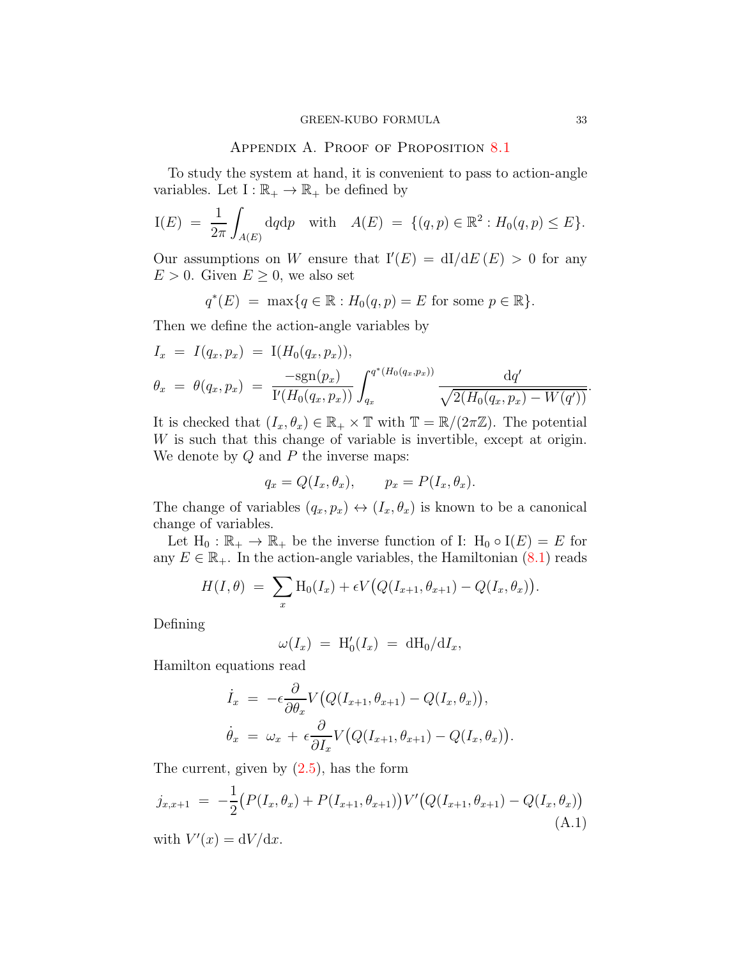# APPENDIX A. PROOF OF PROPOSITION [8.1](#page-28-0)

<span id="page-32-0"></span>To study the system at hand, it is convenient to pass to action-angle variables. Let  $I: \mathbb{R}_+ \to \mathbb{R}_+$  be defined by

$$
I(E) = \frac{1}{2\pi} \int_{A(E)} dqdp \text{ with } A(E) = \{(q, p) \in \mathbb{R}^2 : H_0(q, p) \le E\}.
$$

Our assumptions on W ensure that  $I'(E) = dI/dE(E) > 0$  for any  $E > 0$ . Given  $E \geq 0$ , we also set

$$
q^*(E) = \max\{q \in \mathbb{R} : H_0(q, p) = E \text{ for some } p \in \mathbb{R}\}.
$$

Then we define the action-angle variables by

$$
I_x = I(q_x, p_x) = I(H_0(q_x, p_x)),
$$
  
\n
$$
\theta_x = \theta(q_x, p_x) = \frac{-sgn(p_x)}{I'(H_0(q_x, p_x))} \int_{q_x}^{q^*(H_0(q_x, p_x))} \frac{dq'}{\sqrt{2(H_0(q_x, p_x) - W(q'))}}
$$

It is checked that  $(I_x, \theta_x) \in \mathbb{R}_+ \times \mathbb{T}$  with  $\mathbb{T} = \mathbb{R}/(2\pi\mathbb{Z})$ . The potential W is such that this change of variable is invertible, except at origin. We denote by  $Q$  and  $P$  the inverse maps:

$$
q_x = Q(I_x, \theta_x), \qquad p_x = P(I_x, \theta_x).
$$

The change of variables  $(q_x, p_x) \leftrightarrow (I_x, \theta_x)$  is known to be a canonical change of variables.

Let  $H_0 : \mathbb{R}_+ \to \mathbb{R}_+$  be the inverse function of I:  $H_0 \circ I(E) = E$  for any  $E \in \mathbb{R}_+$ . In the action-angle variables, the Hamiltonian  $(8.1)$  reads

$$
H(I, \theta) = \sum_{x} \text{H}_{0}(I_{x}) + \epsilon V \big(Q(I_{x+1}, \theta_{x+1}) - Q(I_{x}, \theta_{x})\big).
$$

Defining

$$
\omega(I_x) = \mathrm{H}'_0(I_x) = \mathrm{dH}_0/\mathrm{d}I_x,
$$

Hamilton equations read

$$
\dot{I}_x = -\epsilon \frac{\partial}{\partial \theta_x} V\big(Q(I_{x+1}, \theta_{x+1}) - Q(I_x, \theta_x)\big),
$$
  

$$
\dot{\theta}_x = \omega_x + \epsilon \frac{\partial}{\partial I_x} V\big(Q(I_{x+1}, \theta_{x+1}) - Q(I_x, \theta_x)\big).
$$

The current, given by  $(2.5)$ , has the form

<span id="page-32-1"></span>
$$
j_{x,x+1} = -\frac{1}{2} \left( P(I_x, \theta_x) + P(I_{x+1}, \theta_{x+1}) \right) V' \left( Q(I_{x+1}, \theta_{x+1}) - Q(I_x, \theta_x) \right)
$$
\n(A.1)

with  $V'(x) = dV/dx$ .

.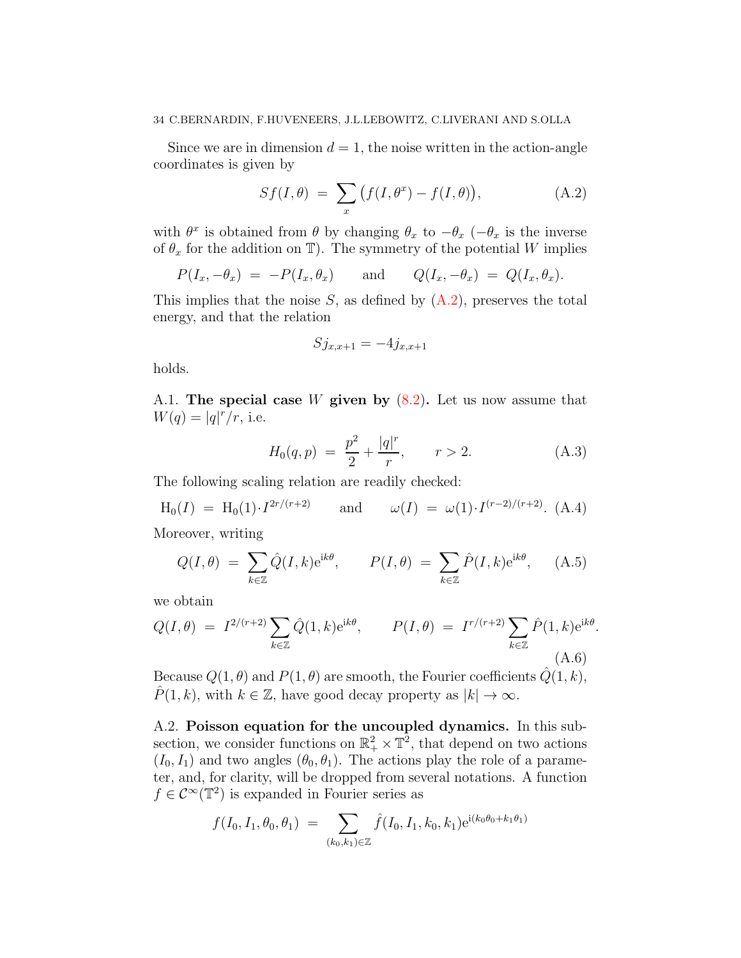### 34 C.BERNARDIN, F.HUVENEERS, J.L.LEBOWITZ, C.LIVERANI AND S.OLLA

Since we are in dimension  $d = 1$ , the noise written in the action-angle coordinates is given by

<span id="page-33-0"></span>
$$
Sf(I,\theta) = \sum_{x} (f(I,\theta^x) - f(I,\theta)), \qquad (A.2)
$$

with  $\theta^x$  is obtained from  $\theta$  by changing  $\theta_x$  to  $-\theta_x$  ( $-\theta_x$  is the inverse of  $\theta_x$  for the addition on T). The symmetry of the potential W implies

$$
P(I_x, -\theta_x) = -P(I_x, \theta_x)
$$
 and  $Q(I_x, -\theta_x) = Q(I_x, \theta_x)$ .

This implies that the noise S, as defined by  $(A.2)$ , preserves the total energy, and that the relation

$$
Sj_{x,x+1} = -4j_{x,x+1}
$$

holds.

A.1. The special case W given by  $(8.2)$ . Let us now assume that  $W(q) = |q|^r/r$ , i.e.

$$
H_0(q, p) = \frac{p^2}{2} + \frac{|q|^r}{r}, \qquad r > 2.
$$
 (A.3)

The following scaling relation are readily checked:

<span id="page-33-1"></span>
$$
H_0(I) = H_0(1) \cdot I^{2r/(r+2)}
$$
 and  $\omega(I) = \omega(1) \cdot I^{(r-2)/(r+2)}$ . (A.4)

Moreover, writing

<span id="page-33-3"></span>
$$
Q(I,\theta) = \sum_{k \in \mathbb{Z}} \hat{Q}(I,k) e^{ik\theta}, \qquad P(I,\theta) = \sum_{k \in \mathbb{Z}} \hat{P}(I,k) e^{ik\theta}, \qquad (A.5)
$$

we obtain

<span id="page-33-2"></span>
$$
Q(I,\theta) = I^{2/(r+2)} \sum_{k \in \mathbb{Z}} \hat{Q}(1,k) e^{ik\theta}, \qquad P(I,\theta) = I^{r/(r+2)} \sum_{k \in \mathbb{Z}} \hat{P}(1,k) e^{ik\theta}.
$$
\n(A.6)

Because  $Q(1, \theta)$  and  $P(1, \theta)$  are smooth, the Fourier coefficients  $\hat{Q}(1, k)$ ,  $\hat{P}(1, k)$ , with  $k \in \mathbb{Z}$ , have good decay property as  $|k| \to \infty$ .

A.2. Poisson equation for the uncoupled dynamics. In this subsection, we consider functions on  $\mathbb{R}^2_+ \times \mathbb{T}^2$ , that depend on two actions  $(I_0, I_1)$  and two angles  $(\theta_0, \theta_1)$ . The actions play the role of a parameter, and, for clarity, will be dropped from several notations. A function  $f \in C^{\infty}(\mathbb{T}^2)$  is expanded in Fourier series as

$$
f(I_0, I_1, \theta_0, \theta_1) = \sum_{(k_0, k_1) \in \mathbb{Z}} \hat{f}(I_0, I_1, k_0, k_1) e^{i(k_0 \theta_0 + k_1 \theta_1)}
$$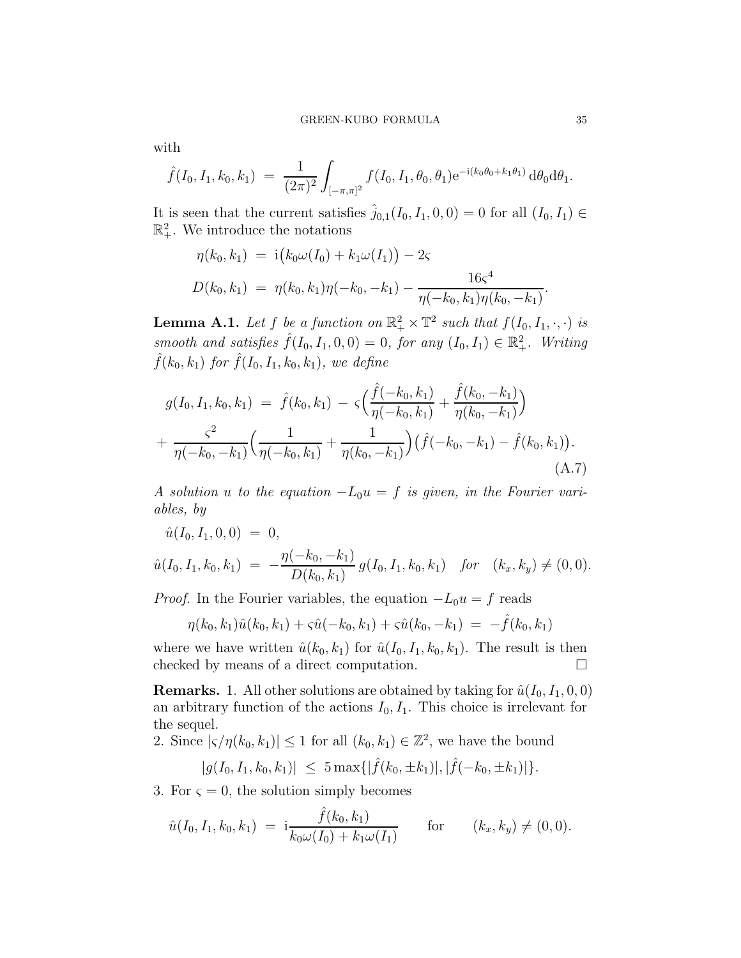with

$$
\hat{f}(I_0, I_1, k_0, k_1) = \frac{1}{(2\pi)^2} \int_{[-\pi,\pi]^2} f(I_0, I_1, \theta_0, \theta_1) e^{-i(k_0\theta_0 + k_1\theta_1)} d\theta_0 d\theta_1.
$$

It is seen that the current satisfies  $\hat{j}_{0,1}(I_0, I_1, 0, 0) = 0$  for all  $(I_0, I_1) \in$  $\mathbb{R}^2_+$ . We introduce the notations

$$
\eta(k_0, k_1) = \mathbf{i}(k_0 \omega(I_0) + k_1 \omega(I_1)) - 2\varsigma
$$
  

$$
D(k_0, k_1) = \eta(k_0, k_1)\eta(-k_0, -k_1) - \frac{16\varsigma^4}{\eta(-k_0, k_1)\eta(k_0, -k_1)}.
$$

<span id="page-34-1"></span>**Lemma A.1.** Let f be a function on  $\mathbb{R}^2_+ \times \mathbb{T}^2$  such that  $f(I_0, I_1, \cdot, \cdot)$  is smooth and satisfies  $\hat{f}(I_0, I_1, 0, 0) = 0$ , for any  $(I_0, I_1) \in \mathbb{R}^2_+$ . Writing  $\hat{f}(k_0, k_1)$  for  $\hat{f}(I_0, I_1, k_0, k_1)$ , we define

$$
g(I_0, I_1, k_0, k_1) = \hat{f}(k_0, k_1) - \varsigma \Big( \frac{\hat{f}(-k_0, k_1)}{\eta(-k_0, k_1)} + \frac{\hat{f}(k_0, -k_1)}{\eta(k_0, -k_1)} \Big) + \frac{\varsigma^2}{\eta(-k_0, -k_1)} \Big( \frac{1}{\eta(-k_0, k_1)} + \frac{1}{\eta(k_0, -k_1)} \Big) \big( \hat{f}(-k_0, -k_1) - \hat{f}(k_0, k_1) \big).
$$
\n(A.7)

A solution u to the equation  $-L_0u = f$  is given, in the Fourier variables, by

$$
\hat{u}(I_0, I_1, 0, 0) = 0,
$$
  

$$
\hat{u}(I_0, I_1, k_0, k_1) = -\frac{\eta(-k_0, -k_1)}{D(k_0, k_1)} g(I_0, I_1, k_0, k_1) \text{ for } (k_x, k_y) \neq (0, 0).
$$

*Proof.* In the Fourier variables, the equation  $-L_0u = f$  reads

<span id="page-34-0"></span>
$$
\eta(k_0,k_1)\hat{u}(k_0,k_1) + \varsigma \hat{u}(-k_0,k_1) + \varsigma \hat{u}(k_0,-k_1) = -\hat{f}(k_0,k_1)
$$

where we have written  $\hat{u}(k_0, k_1)$  for  $\hat{u}(I_0, I_1, k_0, k_1)$ . The result is then checked by means of a direct computation.

**Remarks.** 1. All other solutions are obtained by taking for  $\hat{u}(I_0, I_1, 0, 0)$ an arbitrary function of the actions  $I_0, I_1$ . This choice is irrelevant for the sequel.

2. Since  $|\varsigma/\eta(k_0, k_1)| \leq 1$  for all  $(k_0, k_1) \in \mathbb{Z}^2$ , we have the bound

$$
|g(I_0, I_1, k_0, k_1)| \leq 5 \max\{|\hat{f}(k_0, \pm k_1)|, |\hat{f}(-k_0, \pm k_1)|\}.
$$

3. For  $\varsigma = 0$ , the solution simply becomes

$$
\hat{u}(I_0, I_1, k_0, k_1) = \mathbf{i} \frac{\hat{f}(k_0, k_1)}{k_0 \omega(I_0) + k_1 \omega(I_1)} \quad \text{for} \quad (k_x, k_y) \neq (0, 0).
$$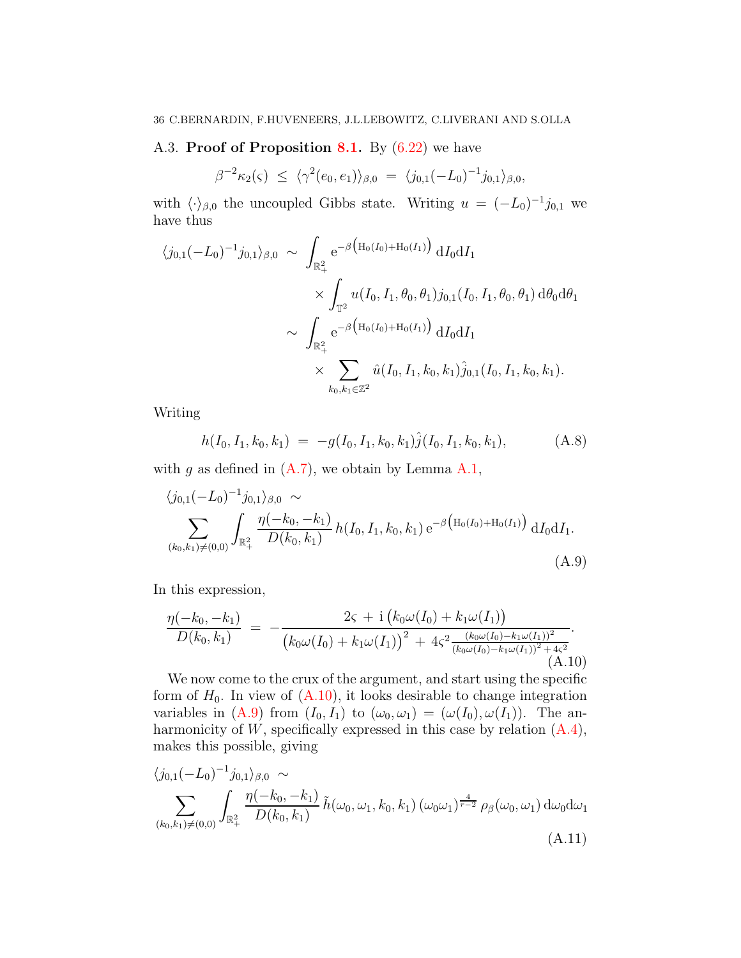# A.3. Proof of Proposition [8.1.](#page-28-0) By  $(6.22)$  we have

$$
\beta^{-2}\kappa_2(\varsigma) \leq \langle \gamma^2(e_0, e_1) \rangle_{\beta,0} = \langle j_{0,1}(-L_0)^{-1} j_{0,1} \rangle_{\beta,0},
$$

with  $\langle \cdot \rangle_{\beta,0}$  the uncoupled Gibbs state. Writing  $u = (-L_0)^{-1} j_{0,1}$  we have thus

$$
\langle j_{0,1}(-L_0)^{-1}j_{0,1}\rangle_{\beta,0} \sim \int_{\mathbb{R}^2_+} e^{-\beta \left(H_0(I_0) + H_0(I_1)\right)} dI_0 dI_1
$$
  

$$
\times \int_{\mathbb{T}^2} u(I_0, I_1, \theta_0, \theta_1) j_{0,1}(I_0, I_1, \theta_0, \theta_1) d\theta_0 d\theta_1
$$
  

$$
\sim \int_{\mathbb{R}^2_+} e^{-\beta \left(H_0(I_0) + H_0(I_1)\right)} dI_0 dI_1
$$
  

$$
\times \sum_{k_0, k_1 \in \mathbb{Z}^2} \hat{u}(I_0, I_1, k_0, k_1) \hat{j}_{0,1}(I_0, I_1, k_0, k_1).
$$

Writing

<span id="page-35-2"></span>
$$
h(I_0, I_1, k_0, k_1) = -g(I_0, I_1, k_0, k_1)\hat{j}(I_0, I_1, k_0, k_1), \qquad (A.8)
$$

with g as defined in  $(A.7)$ , we obtain by Lemma [A.1,](#page-34-1)

<span id="page-35-1"></span>
$$
\langle j_{0,1}(-L_0)^{-1}j_{0,1}\rangle_{\beta,0} \sim
$$
\n
$$
\sum_{(k_0,k_1)\neq(0,0)} \int_{\mathbb{R}_+^2} \frac{\eta(-k_0,-k_1)}{D(k_0,k_1)} h(I_0,I_1,k_0,k_1) e^{-\beta \left(H_0(I_0) + H_0(I_1)\right)} dI_0 dI_1.
$$
\n(A.9)

In this expression,

<span id="page-35-0"></span>
$$
\frac{\eta(-k_0, -k_1)}{D(k_0, k_1)} = -\frac{2\varsigma + i (k_0\omega(I_0) + k_1\omega(I_1))}{(k_0\omega(I_0) + k_1\omega(I_1))^2 + 4\varsigma^2 \frac{(k_0\omega(I_0) - k_1\omega(I_1))^2}{(k_0\omega(I_0) - k_1\omega(I_1))^2 + 4\varsigma^2}}.
$$
\n(A.10)

We now come to the crux of the argument, and start using the specific form of  $H_0$ . In view of  $(A.10)$ , it looks desirable to change integration variables in [\(A.9\)](#page-35-1) from  $(I_0, I_1)$  to  $(\omega_0, \omega_1) = (\omega(I_0), \omega(I_1))$ . The anharmonicity of  $W$ , specifically expressed in this case by relation  $(A.4)$ , makes this possible, giving

<span id="page-35-3"></span>
$$
\langle j_{0,1}(-L_0)^{-1} j_{0,1} \rangle_{\beta,0} \sim
$$
\n
$$
\sum_{(k_0,k_1)\neq(0,0)} \int_{\mathbb{R}_+^2} \frac{\eta(-k_0,-k_1)}{D(k_0,k_1)} \tilde{h}(\omega_0,\omega_1,k_0,k_1) (\omega_0\omega_1)^{\frac{4}{r-2}} \rho_\beta(\omega_0,\omega_1) d\omega_0 d\omega_1
$$
\n(A.11)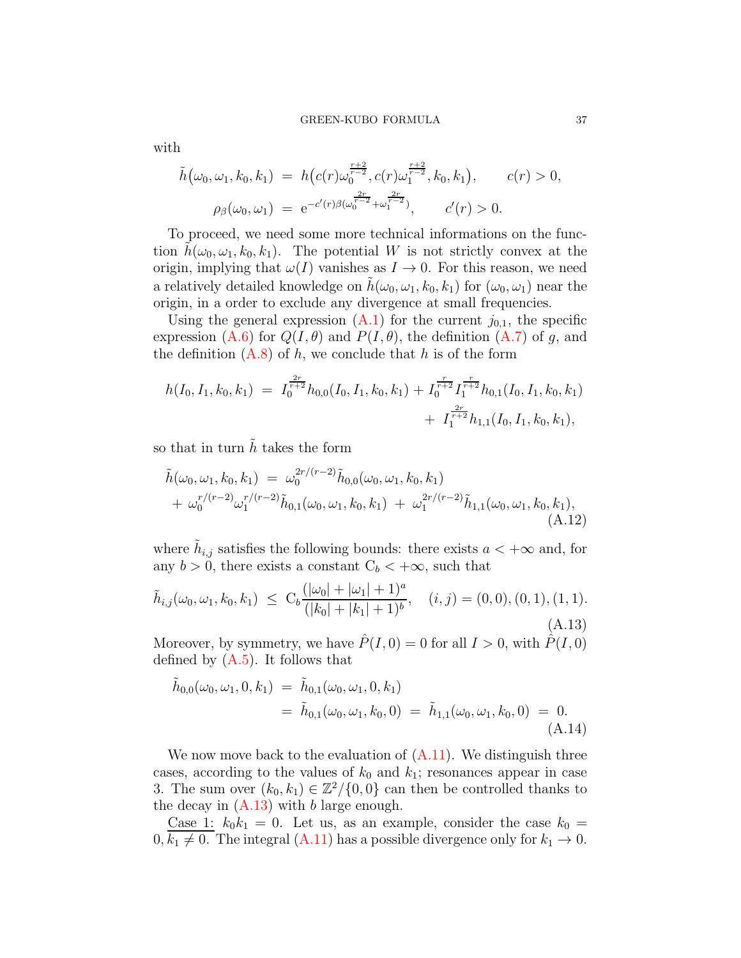$$
\tilde{h}(\omega_0, \omega_1, k_0, k_1) = h(c(r)\omega_0^{\frac{r+2}{r-2}}, c(r)\omega_1^{\frac{r+2}{r-2}}, k_0, k_1), \qquad c(r) > 0,
$$
  

$$
\rho_\beta(\omega_0, \omega_1) = e^{-c'(r)\beta(\omega_0^{\frac{2r}{r-2}} + \omega_1^{\frac{2r}{r-2}})}, \qquad c'(r) > 0.
$$

To proceed, we need some more technical informations on the function  $h(\omega_0, \omega_1, k_0, k_1)$ . The potential W is not strictly convex at the origin, implying that  $\omega(I)$  vanishes as  $I \to 0$ . For this reason, we need a relatively detailed knowledge on  $h(\omega_0, \omega_1, k_0, k_1)$  for  $(\omega_0, \omega_1)$  near the origin, in a order to exclude any divergence at small frequencies.

Using the general expression  $(A.1)$  for the current  $j_{0,1}$ , the specific expression [\(A.6\)](#page-33-2) for  $Q(I, \theta)$  and  $P(I, \theta)$ , the definition [\(A.7\)](#page-34-0) of g, and the definition  $(A.8)$  of h, we conclude that h is of the form

$$
h(I_0, I_1, k_0, k_1) = I_0^{\frac{2r}{r+2}} h_{0,0}(I_0, I_1, k_0, k_1) + I_0^{\frac{r}{r+2}} I_1^{\frac{r}{r+2}} h_{0,1}(I_0, I_1, k_0, k_1) + I_1^{\frac{2r}{r+2}} h_{1,1}(I_0, I_1, k_0, k_1),
$$

so that in turn  $\hat{h}$  takes the form

<span id="page-36-2"></span>
$$
\tilde{h}(\omega_0, \omega_1, k_0, k_1) = \omega_0^{2r/(r-2)} \tilde{h}_{0,0}(\omega_0, \omega_1, k_0, k_1) \n+ \omega_0^{r/(r-2)} \omega_1^{r/(r-2)} \tilde{h}_{0,1}(\omega_0, \omega_1, k_0, k_1) + \omega_1^{2r/(r-2)} \tilde{h}_{1,1}(\omega_0, \omega_1, k_0, k_1),
$$
\n(A.12)

where  $\tilde{h}_{i,j}$  satisfies the following bounds: there exists  $a < +\infty$  and, for any  $b > 0$ , there exists a constant  $C_b < +\infty$ , such that

<span id="page-36-0"></span>
$$
\tilde{h}_{i,j}(\omega_0, \omega_1, k_0, k_1) \leq C_b \frac{(|\omega_0| + |\omega_1| + 1)^a}{(|k_0| + |k_1| + 1)^b}, \quad (i, j) = (0, 0), (0, 1), (1, 1).
$$
\n(A.13)

Moreover, by symmetry, we have  $\hat{P}(I, 0) = 0$  for all  $I > 0$ , with  $\hat{P}(I, 0)$ defined by [\(A.5\)](#page-33-3). It follows that

<span id="page-36-1"></span>
$$
\tilde{h}_{0,0}(\omega_0, \omega_1, 0, k_1) = \tilde{h}_{0,1}(\omega_0, \omega_1, 0, k_1)
$$
\n
$$
= \tilde{h}_{0,1}(\omega_0, \omega_1, k_0, 0) = \tilde{h}_{1,1}(\omega_0, \omega_1, k_0, 0) = 0.
$$
\n(A.14)

We now move back to the evaluation of  $(A.11)$ . We distinguish three cases, according to the values of  $k_0$  and  $k_1$ ; resonances appear in case 3. The sum over  $(k_0, k_1) \in \mathbb{Z}^2/\{0, 0\}$  can then be controlled thanks to the decay in  $(A.13)$  with b large enough.

Case 1:  $k_0k_1 = 0$ . Let us, as an example, consider the case  $k_0 =$  $0, k_1 \neq 0$ . The integral [\(A.11\)](#page-35-3) has a possible divergence only for  $k_1 \rightarrow 0$ .

with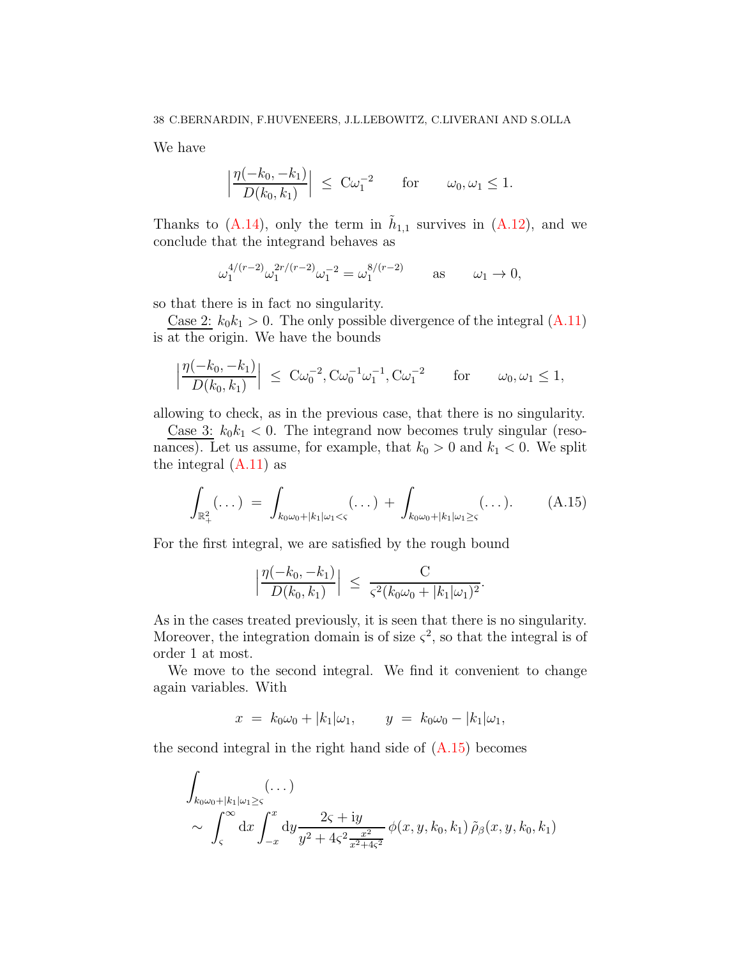We have

$$
\left|\frac{\eta(-k_0, -k_1)}{D(k_0, k_1)}\right| \leq C\omega_1^{-2} \quad \text{for} \quad \omega_0, \omega_1 \leq 1.
$$

Thanks to  $(A.14)$ , only the term in  $\tilde{h}_{1,1}$  survives in  $(A.12)$ , and we conclude that the integrand behaves as

$$
\omega_1^{4/(r-2)} \omega_1^{2r/(r-2)} \omega_1^{-2} = \omega_1^{8/(r-2)} \quad \text{as} \quad \omega_1 \to 0,
$$

so that there is in fact no singularity.

Case 2:  $k_0k_1 > 0$ . The only possible divergence of the integral  $(A.11)$ is at the origin. We have the bounds

$$
\left|\frac{\eta(-k_0, -k_1)}{D(k_0, k_1)}\right| \leq C\omega_0^{-2}, \text{C}\omega_0^{-1}\omega_1^{-1}, \text{C}\omega_1^{-2} \quad \text{for} \quad \omega_0, \omega_1 \leq 1,
$$

allowing to check, as in the previous case, that there is no singularity.

Case 3:  $k_0k_1 < 0$ . The integrand now becomes truly singular (resonances). Let us assume, for example, that  $k_0 > 0$  and  $k_1 < 0$ . We split the integral  $(A.11)$  as

<span id="page-37-0"></span>
$$
\int_{\mathbb{R}^2_+} (\dots) \ = \ \int_{k_0 \omega_0 + |k_1| \omega_1 < \varsigma} (\dots) \ + \ \int_{k_0 \omega_0 + |k_1| \omega_1 \geq \varsigma} (\dots). \tag{A.15}
$$

For the first integral, we are satisfied by the rough bound

$$
\left|\frac{\eta(-k_0, -k_1)}{D(k_0, k_1)}\right| \leq \frac{C}{\varsigma^2 (k_0 \omega_0 + |k_1| \omega_1)^2}.
$$

As in the cases treated previously, it is seen that there is no singularity. Moreover, the integration domain is of size  $\zeta^2$ , so that the integral is of order 1 at most.

We move to the second integral. We find it convenient to change again variables. With

$$
x = k_0 \omega_0 + |k_1| \omega_1, \qquad y = k_0 \omega_0 - |k_1| \omega_1,
$$

the second integral in the right hand side of [\(A.15\)](#page-37-0) becomes

$$
\int_{k_0\omega_0+|k_1|\omega_1\geq\varsigma}(\dots) \atop \sim \int_{\varsigma}^{\infty} dx \int_{-x}^{x} dy \frac{2\varsigma + iy}{y^2 + 4\varsigma^2 \frac{x^2}{x^2 + 4\varsigma^2}} \phi(x, y, k_0, k_1) \tilde{\rho}_{\beta}(x, y, k_0, k_1)
$$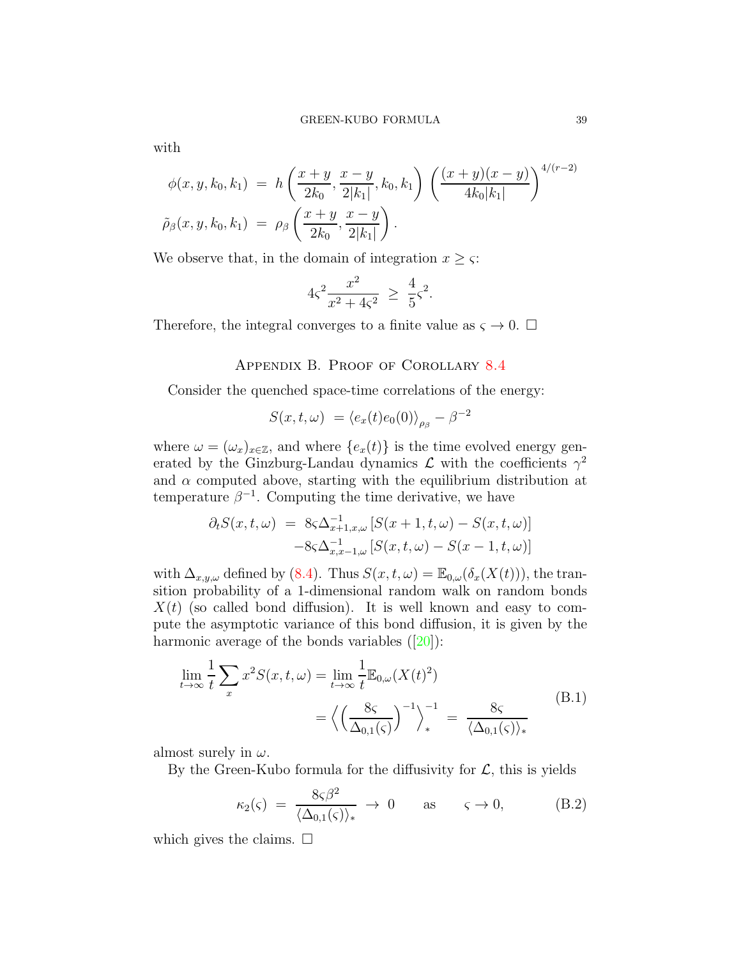with

$$
\phi(x, y, k_0, k_1) = h\left(\frac{x+y}{2k_0}, \frac{x-y}{2|k_1|}, k_0, k_1\right) \left(\frac{(x+y)(x-y)}{4k_0|k_1|}\right)^{4/(r-2)}
$$

$$
\tilde{\rho}_{\beta}(x, y, k_0, k_1) = \rho_{\beta}\left(\frac{x+y}{2k_0}, \frac{x-y}{2|k_1|}\right).
$$

We observe that, in the domain of integration  $x \geq \varsigma$ :

$$
4\varsigma^2 \frac{x^2}{x^2 + 4\varsigma^2} \, \ge \, \frac{4}{5}\varsigma^2.
$$

<span id="page-38-0"></span>Therefore, the integral converges to a finite value as  $\zeta \to 0$ .  $\Box$ 

Appendix B. Proof of Corollary [8.4](#page-30-2)

Consider the quenched space-time correlations of the energy:

$$
S(x, t, \omega) = \langle e_x(t)e_0(0)\rangle_{\rho_\beta} - \beta^{-2}
$$

where  $\omega = (\omega_x)_{x \in \mathbb{Z}}$ , and where  $\{e_x(t)\}\$ is the time evolved energy generated by the Ginzburg-Landau dynamics  $\mathcal L$  with the coefficients  $\gamma^2$ and  $\alpha$  computed above, starting with the equilibrium distribution at temperature  $\beta^{-1}$ . Computing the time derivative, we have

$$
\partial_t S(x, t, \omega) = 8\varsigma \Delta_{x+1, x, \omega}^{-1} \left[ S(x+1, t, \omega) - S(x, t, \omega) \right]
$$

$$
-8\varsigma \Delta_{x, x-1, \omega}^{-1} \left[ S(x, t, \omega) - S(x-1, t, \omega) \right]
$$

with  $\Delta_{x,y,\omega}$  defined by [\(8.4\)](#page-29-1). Thus  $S(x,t,\omega) = \mathbb{E}_{0,\omega}(\delta_x(X(t)))$ , the transition probability of a 1-dimensional random walk on random bonds  $X(t)$  (so called bond diffusion). It is well known and easy to compute the asymptotic variance of this bond diffusion, it is given by the harmonicaverage of the bonds variables  $([20])$  $([20])$  $([20])$ :

$$
\lim_{t \to \infty} \frac{1}{t} \sum_{x} x^2 S(x, t, \omega) = \lim_{t \to \infty} \frac{1}{t} \mathbb{E}_{0, \omega}(X(t)^2)
$$
\n
$$
= \left\langle \left(\frac{8\varsigma}{\Delta_{0,1}(\varsigma)}\right)^{-1} \right\rangle_*^{-1} = \frac{8\varsigma}{\langle \Delta_{0,1}(\varsigma) \rangle_*} \tag{B.1}
$$

almost surely in  $\omega$ .

By the Green-Kubo formula for the diffusivity for  $\mathcal{L}$ , this is yields

$$
\kappa_2(\varsigma) = \frac{8\varsigma\beta^2}{\langle \Delta_{0,1}(\varsigma) \rangle_*} \to 0 \quad \text{as} \quad \varsigma \to 0, \quad (B.2)
$$

which gives the claims.  $\square$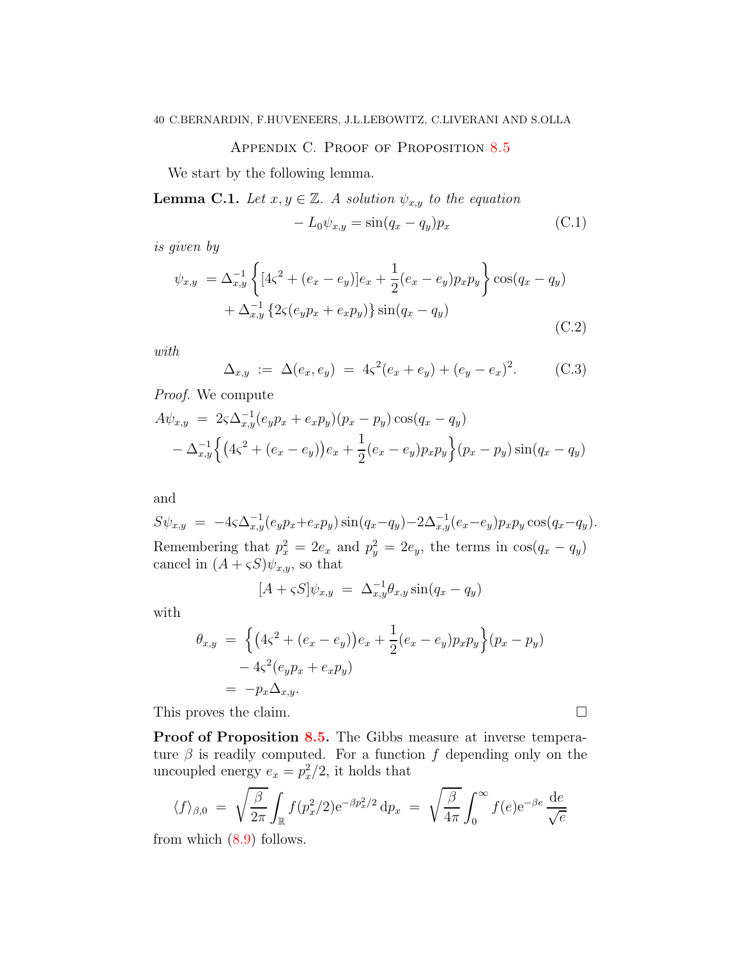# APPENDIX C. PROOF OF PROPOSITION [8.5](#page-30-0)

<span id="page-39-0"></span>We start by the following lemma.

<span id="page-39-1"></span>**Lemma C.1.** Let  $x, y \in \mathbb{Z}$ . A solution  $\psi_{x,y}$  to the equation

$$
-L_0 \psi_{x,y} = \sin(q_x - q_y)p_x \tag{C.1}
$$

is given by

$$
\psi_{x,y} = \Delta_{x,y}^{-1} \left\{ [4\zeta^2 + (e_x - e_y)]e_x + \frac{1}{2}(e_x - e_y)p_x p_y \right\} \cos(q_x - q_y) + \Delta_{x,y}^{-1} \left\{ 2\zeta(e_y p_x + e_x p_y) \right\} \sin(q_x - q_y)
$$
\n(C.2)

with

$$
\Delta_{x,y} := \Delta(e_x, e_y) = 4\varsigma^2(e_x + e_y) + (e_y - e_x)^2. \quad (C.3)
$$

Proof. We compute

$$
A\psi_{x,y} = 2\varsigma \Delta_{x,y}^{-1} (e_y p_x + e_x p_y) (p_x - p_y) \cos(q_x - q_y)
$$
  
- 
$$
\Delta_{x,y}^{-1} \Big\{ (4\varsigma^2 + (e_x - e_y)) e_x + \frac{1}{2} (e_x - e_y) p_x p_y \Big\} (p_x - p_y) \sin(q_x - q_y)
$$

and

$$
S\psi_{x,y} = -4\varsigma \Delta_{x,y}^{-1}(e_y p_x + e_x p_y) \sin(q_x - q_y) - 2\Delta_{x,y}^{-1}(e_x - e_y) p_x p_y \cos(q_x - q_y).
$$
  
Remembering that  $p_x^2 = 2e_x$  and  $p_y^2 = 2e_y$ , the terms in  $\cos(q_x - q_y)$   
cancel in  $(A + \varsigma S)\psi_{x,y}$ , so that

$$
[A + \varsigma S] \psi_{x,y} = \Delta_{x,y}^{-1} \theta_{x,y} \sin(q_x - q_y)
$$

with

$$
\theta_{x,y} = \left\{ \left( 4\zeta^2 + (e_x - e_y) \right) e_x + \frac{1}{2} (e_x - e_y) p_x p_y \right\} (p_x - p_y) \n- 4\zeta^2 (e_y p_x + e_x p_y) \n= -p_x \Delta_{x,y}.
$$

This proves the claim.

Proof of Proposition [8.5.](#page-30-0) The Gibbs measure at inverse temperature  $\beta$  is readily computed. For a function f depending only on the uncoupled energy  $e_x = p_x^2/2$ , it holds that

$$
\langle f \rangle_{\beta,0} = \sqrt{\frac{\beta}{2\pi}} \int_{\mathbb{R}} f(p_x^2/2) e^{-\beta p_x^2/2} dp_x = \sqrt{\frac{\beta}{4\pi}} \int_0^\infty f(e) e^{-\beta e} \frac{de}{\sqrt{e}}
$$

from which  $(8.9)$  follows.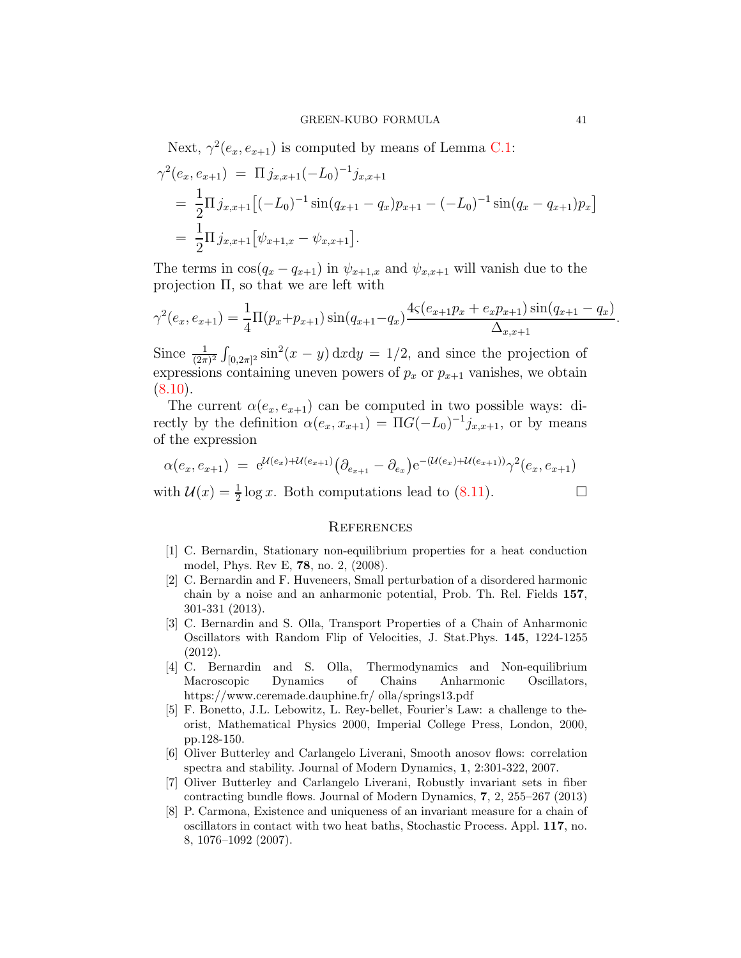Next, 
$$
\gamma^2(e_x, e_{x+1})
$$
 is computed by means of Lemma C.1:  
\n
$$
\gamma^2(e_x, e_{x+1}) = \Pi j_{x,x+1}(-L_0)^{-1}j_{x,x+1}
$$
\n
$$
= \frac{1}{2}\Pi j_{x,x+1}[(-L_0)^{-1}\sin(q_{x+1} - q_x)p_{x+1} - (-L_0)^{-1}\sin(q_x - q_{x+1})p_x]
$$
\n
$$
= \frac{1}{2}\Pi j_{x,x+1}[\psi_{x+1,x} - \psi_{x,x+1}].
$$

The terms in  $\cos(q_x - q_{x+1})$  in  $\psi_{x+1,x}$  and  $\psi_{x,x+1}$  will vanish due to the projection Π, so that we are left with

$$
\gamma^{2}(e_{x}, e_{x+1}) = \frac{1}{4}\Pi(p_{x}+p_{x+1})\sin(q_{x+1}-q_{x})\frac{4\zeta(e_{x+1}p_{x}+e_{x}p_{x+1})\sin(q_{x+1}-q_{x})}{\Delta_{x,x+1}}
$$

Since  $\frac{1}{(2\pi)^2} \int_{[0,2\pi]^2} \sin^2(x-y) \, dx dy = 1/2$ , and since the projection of expressions containing uneven powers of  $p_x$  or  $p_{x+1}$  vanishes, we obtain  $(8.10).$  $(8.10).$ 

The current  $\alpha(e_x, e_{x+1})$  can be computed in two possible ways: directly by the definition  $\alpha(e_x, x_{x+1}) = \Pi G(-L_0)^{-1} j_{x,x+1}$ , or by means of the expression

$$
\alpha(e_x, e_{x+1}) = e^{\mathcal{U}(e_x) + \mathcal{U}(e_{x+1})} \left( \partial_{e_{x+1}} - \partial_{e_x} \right) e^{-\left( \mathcal{U}(e_x) + \mathcal{U}(e_{x+1}) \right)} \gamma^2(e_x, e_{x+1})
$$

with  $\mathcal{U}(x) = \frac{1}{2} \log x$ . Both computations lead to [\(8.11\)](#page-30-5).

# **REFERENCES**

- <span id="page-40-5"></span>[1] C. Bernardin, Stationary non-equilibrium properties for a heat conduction model, Phys. Rev E, 78, no. 2, (2008).
- <span id="page-40-2"></span>[2] C. Bernardin and F. Huveneers, Small perturbation of a disordered harmonic chain by a noise and an anharmonic potential, Prob. Th. Rel. Fields 157, 301-331 (2013).
- <span id="page-40-1"></span>[3] C. Bernardin and S. Olla, Transport Properties of a Chain of Anharmonic Oscillators with Random Flip of Velocities, J. Stat.Phys. 145, 1224-1255 (2012).
- [4] C. Bernardin and S. Olla, Thermodynamics and Non-equilibrium Macroscopic Dynamics of Chains Anharmonic Oscillators, https://www.ceremade.dauphine.fr/ olla/springs13.pdf
- <span id="page-40-0"></span>[5] F. Bonetto, J.L. Lebowitz, L. Rey-bellet, Fourier's Law: a challenge to theorist, Mathematical Physics 2000, Imperial College Press, London, 2000, pp.128-150.
- <span id="page-40-3"></span>[6] Oliver Butterley and Carlangelo Liverani, Smooth anosov flows: correlation spectra and stability. Journal of Modern Dynamics, 1, 2:301-322, 2007.
- <span id="page-40-4"></span>[7] Oliver Butterley and Carlangelo Liverani, Robustly invariant sets in fiber contracting bundle flows. Journal of Modern Dynamics, 7, 2, 255–267 (2013)
- <span id="page-40-6"></span>[8] P. Carmona, Existence and uniqueness of an invariant measure for a chain of oscillators in contact with two heat baths, Stochastic Process. Appl. 117, no. 8, 1076–1092 (2007).

.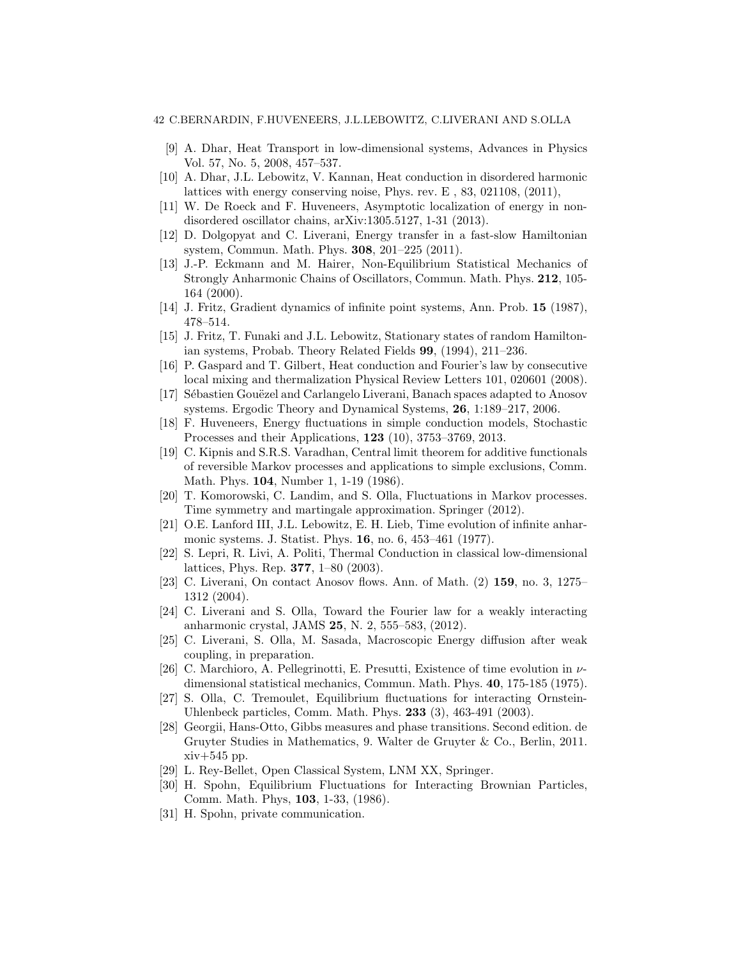### <span id="page-41-3"></span>42 C.BERNARDIN, F.HUVENEERS, J.L.LEBOWITZ, C.LIVERANI AND S.OLLA

- [9] A. Dhar, Heat Transport in low-dimensional systems, Advances in Physics Vol. 57, No. 5, 2008, 457–537.
- <span id="page-41-8"></span>[10] A. Dhar, J.L. Lebowitz, V. Kannan, Heat conduction in disordered harmonic lattices with energy conserving noise, Phys. rev. E , 83, 021108, (2011),
- <span id="page-41-22"></span><span id="page-41-1"></span>[11] W. De Roeck and F. Huveneers, Asymptotic localization of energy in nondisordered oscillator chains, arXiv:1305.5127, 1-31 (2013).
- <span id="page-41-19"></span>[12] D. Dolgopyat and C. Liverani, Energy transfer in a fast-slow Hamiltonian system, Commun. Math. Phys. 308, 201–225 (2011).
- [13] J.-P. Eckmann and M. Hairer, Non-Equilibrium Statistical Mechanics of Strongly Anharmonic Chains of Oscillators, Commun. Math. Phys. 212, 105- 164 (2000).
- <span id="page-41-14"></span><span id="page-41-9"></span>[14] J. Fritz, Gradient dynamics of infinite point systems, Ann. Prob. 15 (1987), 478–514.
- [15] J. Fritz, T. Funaki and J.L. Lebowitz, Stationary states of random Hamiltonian systems, Probab. Theory Related Fields 99, (1994), 211–236.
- <span id="page-41-21"></span>[16] P. Gaspard and T. Gilbert, Heat conduction and Fourier's law by consecutive local mixing and thermalization Physical Review Letters 101, 020601 (2008).
- <span id="page-41-7"></span><span id="page-41-5"></span>[17] Sébastien Gouëzel and Carlangelo Liverani, Banach spaces adapted to Anosov systems. Ergodic Theory and Dynamical Systems, 26, 1:189–217, 2006.
- [18] F. Huveneers, Energy fluctuations in simple conduction models, Stochastic Processes and their Applications, 123 (10), 3753–3769, 2013.
- <span id="page-41-16"></span>[19] C. Kipnis and S.R.S. Varadhan, Central limit theorem for additive functionals of reversible Markov processes and applications to simple exclusions, Comm. Math. Phys. 104, Number 1, 1-19 (1986).
- <span id="page-41-17"></span>[20] T. Komorowski, C. Landim, and S. Olla, Fluctuations in Markov processes. Time symmetry and martingale approximation. Springer (2012).
- <span id="page-41-10"></span>[21] O.E. Lanford III, J.L. Lebowitz, E. H. Lieb, Time evolution of infinite anharmonic systems. J. Statist. Phys. 16, no. 6, 453–461 (1977).
- <span id="page-41-2"></span>[22] S. Lepri, R. Livi, A. Politi, Thermal Conduction in classical low-dimensional lattices, Phys. Rep. 377, 1–80 (2003).
- <span id="page-41-20"></span>[23] C. Liverani, On contact Anosov flows. Ann. of Math. (2) 159, no. 3, 1275– 1312 (2004).
- <span id="page-41-0"></span>[24] C. Liverani and S. Olla, Toward the Fourier law for a weakly interacting anharmonic crystal, JAMS 25, N. 2, 555–583, (2012).
- <span id="page-41-4"></span>[25] C. Liverani, S. Olla, M. Sasada, Macroscopic Energy diffusion after weak coupling, in preparation.
- <span id="page-41-11"></span>[26] C. Marchioro, A. Pellegrinotti, E. Presutti, Existence of time evolution in  $\nu$ dimensional statistical mechanics, Commun. Math. Phys. 40, 175-185 (1975).
- <span id="page-41-12"></span>[27] S. Olla, C. Tremoulet, Equilibrium fluctuations for interacting Ornstein-Uhlenbeck particles, Comm. Math. Phys. 233 (3), 463-491 (2003).
- <span id="page-41-13"></span>[28] Georgii, Hans-Otto, Gibbs measures and phase transitions. Second edition. de Gruyter Studies in Mathematics, 9. Walter de Gruyter & Co., Berlin, 2011.  $xiv+545$  pp.
- <span id="page-41-18"></span><span id="page-41-15"></span>[29] L. Rey-Bellet, Open Classical System, LNM XX, Springer.
- [30] H. Spohn, Equilibrium Fluctuations for Interacting Brownian Particles, Comm. Math. Phys, 103, 1-33, (1986).
- <span id="page-41-6"></span>[31] H. Spohn, private communication.